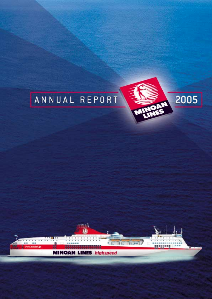



....

○日数米

80000000

**MINOAN LINES** highspeed

**Ingy Index** 

\* E

ann)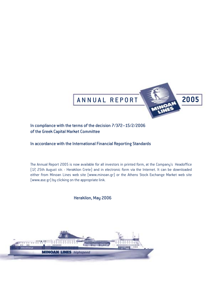

## In compliance with the terms of the decision 7/372–15/2/2006 of the Greek Capital Market Committee

## In accordance with the International Financial Reporting Standards

The Annual Report 2005 is now available for all investors in printed form, at the Company's Headoffice (17, 25th August str. - Heraklion Crete) and in electronic form via the Internet. It can be downloaded either from Minoan Lines web site (www.minoan.gr) or the Athens Stock Exchange Market web site (www.ase.gr) by clicking on the appropriate link.

Heraklion, May 2006

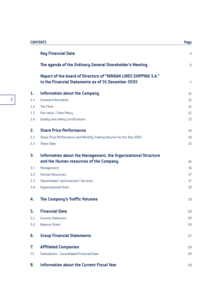|     | <b>CONTENTS</b>                                                                                                        |                          |  |
|-----|------------------------------------------------------------------------------------------------------------------------|--------------------------|--|
|     | <b>Key Financial Data</b>                                                                                              | $\overline{4}$           |  |
|     | The agenda of the Ordinary General Shareholder's Meeting                                                               | $6\phantom{1}6$          |  |
|     | Report of the board of Directors of "MINOAN LINES SHIPPING S.A."<br>to the Financial Statements as of 31 December 2005 | $\overline{\phantom{0}}$ |  |
| 1.  | <b>Information about the Company</b>                                                                                   | 12                       |  |
| 1.1 | <b>General Information</b>                                                                                             | 12                       |  |
| 1.2 | The Fleet                                                                                                              | 12                       |  |
| 1.3 | Fair value / Fleet Policy                                                                                              | 12                       |  |
| 1.4 | Quality and safety Certifications                                                                                      | 13                       |  |
| 2.  | <b>Share Price Performance</b>                                                                                         | 14                       |  |
| 2.1 | Share Price Performance and Monthly Trading Volume For the Year 2005                                                   | 14                       |  |
| 2.2 | <b>Share Data</b>                                                                                                      | 15                       |  |
| 3.  | Information about the Management, the Organizational Structure                                                         |                          |  |
|     | and the Human resources of the Company                                                                                 | 16                       |  |
| 3.1 | Management                                                                                                             | 16                       |  |
| 3.2 | <b>Human Resources</b>                                                                                                 | 17                       |  |
| 3.3 | Shareholders' and Investors' Services                                                                                  | 17                       |  |
| 3.4 | <b>Organizational Chart</b>                                                                                            | 18                       |  |
| 4.  | <b>The Company's Traffic Volumes</b>                                                                                   | 19                       |  |
| 5.  | <b>Financial Data</b>                                                                                                  | 20                       |  |
| 5.1 | <b>Income Statement</b>                                                                                                | 20                       |  |
| 5.2 | <b>Balance Sheet</b>                                                                                                   | 24                       |  |
| 6.  | <b>Group Financial Statements</b>                                                                                      | 27                       |  |
| 7.  | <b>Affiliated Companies</b>                                                                                            | 29                       |  |
| 7.1 | Subsidiaries - Consolidated Financial Data                                                                             | 29                       |  |
| 8.  | <b>Information about the Current Fiscal Year</b>                                                                       | 30                       |  |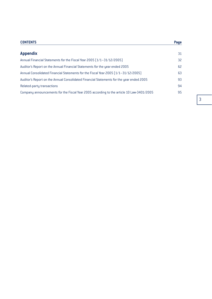#### **CONTENTS Page**

| <b>Appendix</b>                                                                          | 31 |
|------------------------------------------------------------------------------------------|----|
| Annual Financial Statements for the Fiscal Year 2005 [1/1-31/12/2005]                    | 32 |
| Auditor's Report on the Annual Financial Statements for the year ended 2005              | 62 |
| Annual Consolidated Financial Statements for the Fiscal Year 2005 [1/1-31/12/2005]       | 63 |
| Auditor's Report on the Annual Consolidated Financial Statements for the year ended 2005 | 93 |
| Related-party transactions                                                               | 94 |
| Company announcements for the Fiscal Year 2005 according to the article 10 Law-3401/2005 | 95 |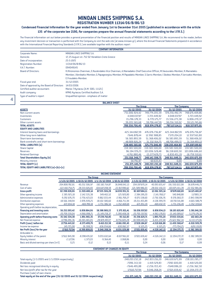# **MINOAN LINES SHIPPING S.A.**

**REGISTRATION NUMBER 11314/06/B/86/13**

#### **Condensed Financial Information for the year ended from January 1st to December 31st 2005 (published in accordance with the article 135 of the corporate law 2190, for companies prepare the annual financial statements according to the I.F.R.S.)**

The financial information set out below provides a general presentation of the financial position and results of MINOAN LINES SHIPPING S.A..We recommend to the reader, before any investment decision or transaction is performed with the Company, to visit the web site (at www.minoan.gr), where the Annual Financial Statements prepared in accordance with the International Financial Reporting Standards (I.F.R.S.) are available together with the auditors report

| <b>COMPANY INFORMATION</b>                 |                                                                                                                              |  |  |
|--------------------------------------------|------------------------------------------------------------------------------------------------------------------------------|--|--|
| Corporate Name:                            | MINOAN LINES SHIPPING S.A.                                                                                                   |  |  |
| Domicile:                                  | 17, 25 August str. 712 02 Heraklion-Crete-Greece                                                                             |  |  |
| Date of incorporation:                     | 25-5-1972                                                                                                                    |  |  |
| <b>Registration Number:</b>                | 11314/06/B/86/13                                                                                                             |  |  |
| V.A.T. Number:                             | 094049145                                                                                                                    |  |  |
| <b>Board of Directors:</b>                 | K.Klironomos-Chairman, E.Koulendakis-Vice Chairman, A.Maniadakis-Chief Executive Officer, M.Vavourakis-Member, K.Mamalakis-  |  |  |
|                                            | Member, I.Xenikakis-Member, G.Papageorgiou-Member, M.Papadakis-Member, S.Sarris-Member, I.Sbokos-Member, P.Jortzakis-Member, |  |  |
|                                            | E.Froudakis-Member.                                                                                                          |  |  |
| Fiscal year end:                           | 31/12/2005                                                                                                                   |  |  |
| Date of approval by the Board of Directors | 14/03/2006                                                                                                                   |  |  |
| Certified auditor accountant:              | Marios T.Kyriacou (A.M. SOEL 11121)                                                                                          |  |  |
| Audit company:                             | KPMG Kyriacou Certified Auditors S.A.                                                                                        |  |  |
| Type of auditor's report                   | Ungualified opinion - emphasis of matter                                                                                     |  |  |

| <b>BALANCE SHEET</b>                      |                 |                  |                    |                  |
|-------------------------------------------|-----------------|------------------|--------------------|------------------|
|                                           | The Group       |                  | <b>The Company</b> |                  |
| <b>ASSETS</b>                             | 31/12/2005      | 31/12/2004       | 31/12/2005         | 31/12/2004       |
| Non-current assets                        | 731.006.924,42  | 749.774.205,59   | 729.256.492,74     | 748.676.409,86   |
| Inventories                               | 4.048.037,97    | 3.723.449,92     | 4.048.037,97       | 3.723.449,92     |
| Customers                                 | 15.296.178,33   | 6.770.175,77     | 15.556.273,38      | 6.806.270,37     |
| Other current assets                      | 39.205.565,68   | 59.706.447,39    | 38.256.310,02      | 59.121.745,66    |
| <b>TOTAL ASSETS</b>                       | 789.556.706,40  | 819.974.278,67   | 787.117.114,11     | 818.327.875,81   |
| <b>EQUITY AND LIABILITIES</b>             |                 |                  |                    |                  |
| Interest bearing loans and borrowings     | 425.344.867,39  | 476.076.736.87   | 425.344.867,39     | 476.076.736,87   |
| Other long-term liabilities               | 7.646.878,44    | 12.992.988,85    | 7.570.204,10       | 12.937.563,80    |
| Short-term borrowings                     | 56.583.893,59   | 51.368.406,02    | 56.583.893,59      | 51.368.406,02    |
| Bank overdrafts and short-term borrowings | 48.909.926,24   | 31.332.914,75    | 48.706.499,72      | 31.314.493,13    |
| <b>TOTAL LIABILITIES (a)</b>              | 538.485.565,66  | 571.771.046,49   | 538.205.464,80     | 571.697.199,82   |
| <b>Share Capital</b>                      | 159.583.500,00  | 159.583.500,00   | 159.583.500,00     | 159.583.500,00   |
| Reserves                                  | 96.194.729,23   | 103.836.528,48   | 96.158.600,50      | 103.806.686,60   |
| <b>Retained Earnings</b>                  | $-4.761.880,46$ | $-15.277.429.73$ | $-6.830.451,19$    | $-16.759.510.61$ |
| <b>Total Shareholders Equity (b)</b>      | 251.016.348,77  | 248.142.598,75   | 248.911.649,31     | 246.630.675,99   |
| Minority interest                         | 54.791,97       | 60.633,43        | 0,00               | 0,00             |
| <b>TOTAL EQUITY [c]</b>                   | 251.071.140,74  | 248.203.232,18   | 248.911.649,31     | 246.630.675,99   |
| TOTAL EQUITY AND LIABILITIES [a]+[b]+[c]  | 789.556.706,40  | 819.974.278,67   | 787.117.114,11     | 818.327.875,81   |

| <b>INCOME STATEMENT</b>                                                     |                  |                  |                   |                    |                  |                  |                  |                  |
|-----------------------------------------------------------------------------|------------------|------------------|-------------------|--------------------|------------------|------------------|------------------|------------------|
|                                                                             | The Group        |                  |                   | <b>The Company</b> |                  |                  |                  |                  |
|                                                                             | 1/1-31/12/2005   | 1/10-31/12/2005  | $1/1/-31/12/2004$ | 1/10-31/12/2004    | 1/1-31/12/2005   | 1/10-31/12/2005  | 1/1-31/12/2004   | 1/10-31/12/2004  |
| Revenue                                                                     | 204.808.782,81   | 40.252.506,97    | 192.182.714,87    | 36.848.042,13      | 204.197.670,14   | 40.093.655,47    | 191.550.022,08   | 36.678.446,73    |
| Cost of sales                                                               | -122.410.754.75  | $-28.333.026.83$ | -104.647.208,59   | $-22.817.090.62$   | -121.589.986,03  | $-28.032.150.33$ | -103.871.411.39  | $-22.552.981,06$ |
| <b>Gross profit</b>                                                         | 82.398.028.06    | 11.919.480,14    | 87.535.506.28     | 14.030.951.51      | 82.607.684.11    | 12.061.505.14    | 87.678.610.69    | 14.125.465,67    |
| Other operating income                                                      | 2.385.925,18     | 2.142.535,38     | 549.463,52        | 125.920,80         | 2.384.199,20     | 2.141.768,17     | 540.848.88       | 117.883,33       |
| Administrative expenses                                                     | $-9.292.676,70$  | $-2.756.423.03$  | $-9.862.033,44$   | $-2.961.769,27$    | $-9.071.538,60$  | $-2.736.506,76$  | $-9.576.060,72$  | $-2.843.598.99$  |
| Distribution expenses                                                       | -18.566.348,94   | $-3.976.939.25$  | $-18.102.580,60$  | $-4.466.711.94$    | $-19.211.455.89$ | $-4.138.399,70$  | $-18.718.541.88$ | $-4.665.588,79$  |
| Other operating expenses                                                    | $-672.834,18$    | $-469.789.18$    | $-1.731.386,54$   | $-1.352.469.69$    | $-671.951,19$    | $-469.432,72$    | $-1.731.236.49$  | $-1.352.319,64$  |
| Operating profit before tax, depreciation,                                  |                  |                  |                   |                    |                  |                  |                  |                  |
| financing and investing costs                                               | 56.252.093,42    | 6.858.864,06     | 58.388.969,22     | 5.375.921,41       | 56.036.937,63    | 6.858.934,13     | 58.193.620,48    | 5.381.841,58     |
| Depreciation and amortization                                               | $-20.709.559,04$ | $-4.966.898,71$  | $-21.149.258,37$  | $-5.280.408,58$    | $-20.700.307.92$ | $-4.963.178.93$  | $-21.140.089,67$ | $-5.279.178.30$  |
| <b>Operating profit before financing costs</b>                              | 35.542.534,38    | 1.891.965,35     | 37.239.710,85     | 95.512,83          | 35.336.629,71    | 1.895.755,20     | 37.053.530,81    | 102.663,28       |
| Net financial expense                                                       | -17,786.091,36   | $-10.265.465,05$ | -28.829.497,27    | $-8.756.605,28$    | -18.308.445,04   | $-6.415.372.08$  | $-25.622.962,34$ | $-6.113.173.06$  |
| Profit (Loss) before tax                                                    | 17.756.443.02    | $-8.373.499,70$  | 8.410.213.58      | $-8.661.092,45$    | 17.028.184,67    | $-4.519.616,88$  | 11.430.568,47    | $-6.010.509,78$  |
| Income tax expense                                                          | 145.725,08       | 26.308,35        | $-636.054,66$     | $-630.062,57$      | 6.525,25         | 6.525,25         | $-773.704,25$    | $-628.119.85$    |
| Net Profit (loss) for the year                                              | 17.610.717,94    | $-8.399.808,05$  | 9.046.268,24      | $-8.031.029,88$    | 17.021.659,42    | $-4.526.142,13$  | 12.204.272,72    | $-5.382.389,93$  |
| Atributable to:                                                             |                  |                  |                   |                    |                  |                  |                  |                  |
| Equity holders of the parent                                                | 17.612.845,90    | $-8.398.435.02$  | 9.055.632,64      | $-8.027.961,02$    | 17.021.659,42    | $-4.526.142,13$  | 12.204.272,72    | $-5.382.389.93$  |
| Minority interest                                                           | $-2.127,96$      | $-1.373,03$      | $-9.364,40$       | $-3.068,86$        | 0,00             | 0,00             | 0,00             | 0,00             |
| Basic and diluted earnings per share $\left( \text{in } \mathbb{E} \right)$ | 0,25             | $-0,12$          | 0,13              | $-0,11$            | 0,24             | $-0,06$          | 0,17             | $-0,08$          |

| STATEMENT OF CHANGES IN EQUITY                                               |                  |                 |                    |                 |
|------------------------------------------------------------------------------|------------------|-----------------|--------------------|-----------------|
|                                                                              | <b>The Group</b> |                 | <b>The Company</b> |                 |
|                                                                              | 31/12/2005       | 31/12/2004      | 31/12/2005         | 31/12/2004      |
| Total equity $(1/1/2005$ and $1/1/2004$ respectively                         | 248.203.232,18   | 242.833.216.20  | 246.630.675.99     | 238.101.285.77  |
| Dividends paid                                                               | $-7.096.313,50$  | $-1.419.529.83$ | $-7.092.600.00$    | $-1.418.520,00$ |
| Net loss recognised directly in equity                                       | $-7.646.495.88$  | $-2.256.722.43$ | $-7.648.086.10$    | $-2.256.362,50$ |
| Net loss/profit after tax for the year                                       | 17.610.717,94    | 9.046.268.24    | 17.021.659,42      | 12.204.272,72   |
| Purchase [sale] of own shares                                                |                  |                 |                    |                 |
| Total equity at the end of the year [31/12/2005 and 31/12/2004 respectively] | 251.071.140.74   | 248.203.232.18  | 248.911.649.31     | 246.630.675.99  |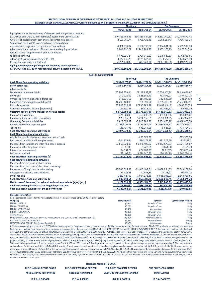| RECONCILIATION OF EQUITY AT THE BEGINNING OF THE YEAR [1/1/2005 AND 1/1/2004 RESPECTIVELY]                      |                                        |                 |                 |                 |
|-----------------------------------------------------------------------------------------------------------------|----------------------------------------|-----------------|-----------------|-----------------|
| BETWEEN GREEK GENERAL ACCEPTED ACCOUNTING PRINCIPLES AND INTERNATIONAL FINANCIAL REPORTING STANDARDS (I.F.R.S.) | <b>The Group</b><br><b>The Company</b> |                 |                 |                 |
|                                                                                                                 | 01/01/2005                             | 01/01/2004      | 01/01/2005      | 01/01/2004      |
| Equity balance at the beginning of the year, excluding minority interest                                        |                                        |                 |                 |                 |
| $[1/1/2005$ and $1/1/2004$ respectively) according to Greek G.A.A.P.                                            | 240.595.764.45                         | 236.585.864.18  | 243.312.160.22  | 240.479.670.42  |
| Write-off of establishment cost and various intangible assets                                                   | $-2.661.760.74$                        | $-4.761.428.46$ | $-2.652.967.43$ | -4.736.456.24   |
| Valuation of fixed assets to deemed cost, recomputation                                                         |                                        |                 |                 |                 |
| depreciation charges and recognition of finance lease                                                           | 4.971.236.84                           | 8.166.138.82    | 2.364.691.00    | 5.559.592,98    |
| Adjustment due to valuation of investments and equity securities                                                | 6.963.942,29                           | 11.246.983.80   | 5.333.376.29    | 5.272.347,40    |
| Reclassification of government grants from equity                                                               |                                        |                 |                 |                 |
| to deferred income                                                                                              | $-5.575.626.87$                        | $-5.768.746.81$ | $-5.575.626.87$ | $-5.768.746.81$ |
| Adjustment to provision according to I.F.R.S.                                                                   | $-3.243.557.22$                        | $-4.125.122.99$ | $-3.243.557.22$ | $-4.123.641.98$ |
| Reversal of dividends not declared                                                                              | 7.092.600,00                           | 1.418.520,00    | 7.092.600,00    | 1.418.520,00    |
| Equity at the beginning of the period, excluding minority interest                                              |                                        |                 |                 |                 |
| [1/1/2005 and 1/1/2004 respectively] adjusted according to I.F.R.S.                                             | 248.142.598.75                         | 242.762.208.54  | 246.630.675,99  | 238.101.285,77  |

| <b>CASH FLOW STATEMENT</b>                                           |                  |                  |                    |                  |
|----------------------------------------------------------------------|------------------|------------------|--------------------|------------------|
|                                                                      | <b>The Group</b> |                  | <b>The Company</b> |                  |
| <b>Cash flows from operating activities</b>                          | $1/1-31/12/2005$ | 1/1-31/12/2004   | 1/1-31/12/2005     | 1/1-31/12/2004   |
| <b>Profit before Tax</b>                                             | 17.756.443,02    | 8.410.213,58     | 17.028.184,67      | 11.430.568,47    |
| Adjustments for:                                                     |                  |                  |                    |                  |
| Depreciation and amortization                                        | 20.709.559,04    | 21.149.258,37    | 20.700.307,92      | 21.140.089,67    |
| Provisions                                                           | 741.006,09       | 1.898.669,40     | 722.672,07         | 1.877.602,75     |
| Unrealised foreign exchange differences                              | 342.825,50       | $-381.847.99$    | 342.825,50         | -381.847,99      |
| Gain (loss) from tangible asset disposal                             | $-10.289.160.82$ | 721.390,68       | $-9.755.315.99$    | $-2.562.044,91$  |
| <b>Financial expenses</b>                                            | 25.648.839,32    | 27.650.266,96    | 25.637.348,17      | 27.635.657,05    |
| Other non-monetary income (expenses)                                 | $-192.661,52$    | $-69.015,00$     | $-192.661,52$      | $-69.015,00$     |
| Operating results before changes in working capital                  | 54.716.850,63    | 59.378.936,00    | 54.483.360,82      | 59.071.010,04    |
| Increase in inventories                                              | $-324.588,05$    | 153.845,01       | $-324.588,05$      | 153.845,01       |
| Increase in trade and other receivables                              | $-7.795.797.61$  | $-5.206.552.75$  | $-7.653.871.85$    | $-5.427.174.02$  |
| (Increase) Decrease in liabilities                                   | 9.620.375,89     | $-6.840.284,80$  | 9.432.455,77       | $-6.642.025,00$  |
| Interest and related expenses paid                                   | $-22.996.137.42$ | $-25.738.160,08$ | $-22.984.646,27$   | $-25.723.550,17$ |
| Taxes paid                                                           | $-145.725.08$    | 636.054,66       | $-6.525,25$        | 773.704,25       |
| Cash flow from operating activities (a)                              | 33.074.978,36    | 22.383.838,04    | 32.946.185,17      | 22.205.810,11    |
| <b>Cash flows from investing activities</b>                          |                  |                  |                    |                  |
| Acquisition of subsidiaries and associates net of cash               |                  | $-265.570,00$    |                    | $-265.570,00$    |
| Purchase of tangible and intangible assets                           | -584.839,84      | $-864.207,99$    | $-581.529,50$      | $-837.237,71$    |
| Proceeds from tangible and intangible assets disposal                | 23.052.679,03    | 50.271.405,87    | 23.052.679,03      | 50.271.405,87    |
| Increase in other long-term assets                                   | $-3.651,00$      | $-3.722,85$      | $-3.651,00$        | $-3.671,20$      |
| Interest income received                                             | 94.331,79        | 224.289,93       | 92.617,85          | 223.685,40       |
| Dividends received                                                   | 166.402,74       | 1.278.740,65     | 296.554,79         | 1.304.766,14     |
| Cash flow from investing activities [b]                              | 22.724.922,72    | 50.640.935,61    | 22.856.671,17      | 50.693.378,50    |
| <b>Cash flows from financing activities</b>                          |                  |                  |                    |                  |
| Proceeds from the issue of share capital                             |                  |                  |                    |                  |
| Proceeds from the issue of short term borrowings                     |                  |                  |                    |                  |
| Repayment of long/short term borrowings                              | $-45.666.054,55$ | $-72.843.109.64$ | $-45.666.054,55$   | $-72.843.109.64$ |
| Repayment of finance lease liabilities                               | $-74.128.93$     | $-70.945,25$     | $-74.128.93$       | $-70.945,25$     |
| Dividends paid                                                       | $-6.852.627,03$  | $-1.944.233,39$  | $-6.848.905,93$    | $-1.840.786,81$  |
| Cash flow from financing activities [c]                              | $-52.592.810,51$ | $-74.858.288,28$ | $-52.589.089,41$   | $-74.754.841,70$ |
| Net increase/(decrease) in cash and and cash equivalents (a)+(b)+(c) | 3.207.090,57     | $-1.833.514,63$  | 3.213.766,93       | $-1.855.653,09$  |
| Cash and cash equivalents at the beggining of the year               | 1.135.679,00     | 2.969.193,63     | 997.850,85         | 2.853.503,94     |
| Cash and cash equivalents at the end of the year                     | 4.342.769,57     | 1.135.679,00     | 4.211.617,78       | 997.850,85       |
|                                                                      |                  |                  |                    |                  |

Notes and information:

**1.**The companies included in the financial statements for the year ended 31/12/2005 are stated below:

| Company                                                                             | <b>Group interest</b> | <b>Domicile</b>        | <b>Consolidation Method</b> |
|-------------------------------------------------------------------------------------|-----------------------|------------------------|-----------------------------|
| MINOAN LINES S.A.                                                                   | parent                | Heraklion-Crete        | Fullu                       |
| MINOAN CRUISES S.A.                                                                 | 80.28%                | Heraklion-Crete        | Fully                       |
| MINOAN AGENCIES S.r.I.                                                              | 95.00%                | Ancona-Italy           | Fully                       |
| KRITIKI FILOXENIA S.A.                                                              | 99.99%                | <b>Heraklion-Crete</b> | Fully                       |
| ATHINA A.V.E.E.                                                                     | 99.99%                | Heraklion-Crete        | Fully                       |
| EUROPEAN THALASSIC AGENCIES SHIPPING MANAGEMENT AND CONSULTANTS (under liquidation) | 100.00%               | Panamas-America        | Fullu                       |
| <b>HELLENIC SEAWAYS MARITIME S.A.</b>                                               | 33.31%                | Piraeus-Greece         | Equity                      |
| MEDITERRANEAN FERRIES S.r.l. (under liquidation)                                    | 50.00%                | Genova-Italu           | Equity                      |

**2.**The main accounting policies of 31/12/2004 have been adopted. **3.**The parent company has not been audited by the tax authorities for the fiscal years 2000-2005 while the subsidiaries and associates have not been audited from the date of their establishment except for: a) the companies ATHINA A.V.E.E., MINOAN CRUISES S.A. and HELLENIC SEAWAYS MARITIME S.A. that have been audited until the fiscal year 1999 and b) the company EUROPEAN THALASSIC AGENCIES SHIPPING MANAGEMENT AND CONSULTANTS S.A. that its fiscal issues have been finalized. **4.** For securing the outstanding debt at 31/12/2005 amounting € 453.844.867.39, have been registered on the property,plant,equipment and the vessels of the above stated financial statements the following mortgages : a) first and second preferred mortgages on the vessels amounting € 408.675.783,00 and € 158.000.000,00 respectively b) mortgages on the land and buildings amounting € 17.154.748,66 c) 25.850.775 shares pledged owned by the parent company. **5.**There are no outstanding disputes at the court or any arbitration against the Company and consolidated companies, which may have substantial effects on their financial position. **6.** The personnel empoyed by the Group at the year ended 31/12/2005 was 931 persons. **7**. Earnings per share are calculated on the weighted average number of shares outstanding. **8.** The total revenues and purchases for the year ended (1/1-31/12/2005) resulting from transactions between the parent and its subsidiaries and associates amounted to € 62.106,13 and € 1.048.708,40 respectively, The receivables and payables as of 31/12/2005 of the parent and its subsidiaries and associates amounted to € 486.187,14 and € 281.313,41 respectively. **9.** The consolidated revenue for the year ended 1/1-31/12/2005 according to STAKOD 03 is analyzed as follow: 611.0 Revenue from vessel operations € 171.501.462,09, 553.1 Revenue from restaurants on board € 11.612.836,80, 521.4 Revenue from shops on board € 11.576.347,90, 554.1 Revenue from bars on board € 7.610.825,02, 927.1 Revenue from slot machines € 1.876.438,87, 634.0 Revenue from other transportation activities € 555.428,19, 702.0 Revenue from rent  $\epsilon$  75.443.94

| <b>Heraklion March 14th 2006</b> |                             |                              |                         |  |  |
|----------------------------------|-----------------------------|------------------------------|-------------------------|--|--|
| THE CHAIRMAN OF THE BOARD        | THE CHIEF EXECUTIVE OFFICER | THE CHIEF FINANCIAL OFFICER  | THE CHIEF ACCOUNTANT    |  |  |
| KONSTANTINOS KLIRONOMOS          | ANTONIOS MANIADAKIS         | GEORGIOS VASSILOKONSTANDAKIS | <b>DIMITRA BATSI</b>    |  |  |
| <b>ID C Nr K 980430</b>          | <b>ID C Nr X 850531</b>     | <b>ID C Nr X 945118</b>      | <b>ID C Nr P 487723</b> |  |  |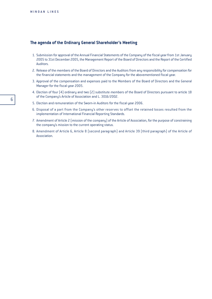## **The agenda of the Ordinary General Shareholder's Meeting**

- 1. Submission for approval of the Annual Financial Statements of the Company of the fiscal year from 1st January 2005 to 31st December 2005, the Management Report of the Board of Directors and the Report of the Certified Auditors.
- 2. Release of the members of the Board of Directors and the Auditors from any responsibility for compensation for the financial statements and the management of the Company for the abovementioned fiscal year.
- 3. Approval of the compensation and expenses paid to the Members of the Board of Directors and the General Manager for the fiscal year 2005.
- 4. Election of four (4) ordinary and two (2) substitute members of the Board of Directors pursuant to article 18 of the Company's Article of Association and L. 3016/2002.
- 5. Election and remuneration of the Sworn-in Auditors for the fiscal year 2006.
- 6. Disposal of a part from the Company's other reserves to offset the retained losses resulted from the implementation of International Financial Reporting Standards.
- 7. Amendment of Article 2 (mission of the company) of the Article of Association, for the purpose of constraining the company's mission to the current operating status.
- 8. Amendment of Article 6, Article 8 (second paragraph) and Article 39 (third paragraph) of the Article of Association.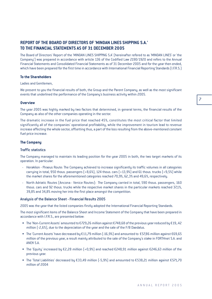## **REPORT OF THE BOARD OF DIRECTORS OF 'MINOAN LINES SHIPPING S.A.' TO THE FINANCIAL STATEMENTS AS OF 31 DECEMBER 2005**

The Board of Directors' Report of the 'MINOAN LINES SHIPPING S.A' (hereinafter refered to as 'MINOAN LINES' or 'the Company') was prepared in accordance with article 136 of the Codified Law 2190/1920 and refers to the Annual Financial Statements and Consolidated Financial Statements as of 31 December 2005 and for the year then ended, which have been prepared for the first time in accordance with International Financial Reporting Standards (I.F.R.S.)

#### **To the Shareholders**

Ladies and Gentlemen,

We present to you the financial results of both, the Group and the Parent Company, as well as the most significant events that underlined the performance of the Company's business activity within 2005.

#### **Overview**

The year 2005 was highly marked by two factors that determined, in general terms, the financial results of the Company as also of the other companies operating in the sector.

The dramatic increase in the fuel price that reached 45%, constitutes the most critical factor that limited significantly all of the companies' operational profitability, while the improvement in tourism lead to revenue increase affecting the whole sector, offsetting thus, a part of the loss resulting from the above-mentioned constant fuel price increase.

#### **The Company**

#### Traffic statistics

The Company managed to maintain its leading position for the year 2005 in both, the two target markets of its operation. In particular:

- Heraklion Piraeus Route: The Company achieved to increase significantly its traffic volumes in all categories carrying in total, 950 thous. passengers  $(+8,6\%)$ , 124 thous. cars  $(+3,9\%)$  and 61 thous. trucks  $(+9,5\%)$  while the market shares for the aforementioned categories reached 70,9%, 62,3% and 49,6%, respectively.
- North Adriatic Routes (Ancona Venice Routes): The Company carried in total, 590 thous. passengers, 160 thous. cars and 92 thous. trucks while the respective market shares in the particular markets reached 37,1%, 39,8% and 34,8% moving her into the first place amongst the competition.

#### Analysis of the Balance Sheet - Financial Results 2005

2005 was the year that the listed companies firstly adopted the International Financial Reporting Standards.

The most significant items of the Balance Sheet and Income Statement of the Company that have been prepared in accordance with I.F.R.S., are presented below:

- The 'Non-Current Assets' amounted to  $E729,26$  million against  $E748,68$  of the previous year reduced by  $E19,42$ million (-2,6%), due to the depreciation of the year and the sale of the F/B Daedalus.
- The 'Current Assets' have decreased by  $E11,79$  million (-16,9%) and amounted to  $E57,86$  million against  $E69,65$ million of the previous year, a result mainly attributed to the sale of the Company's stake in FORTHnet S.A. and ANEK S.A.
- The 'Equity' increased by  $E2,28$  million  $(+0,9\%)$  and reached  $E248,91$  million against  $E246,63$  million of the previous year.
- The 'Total Liabilities' decreased by  $E33,49$  million (-5,9%) and amounted to  $E538,21$  million against  $E571,70$ million of 2004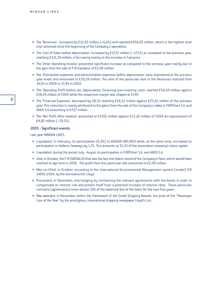- The 'Revenues' increased by  $E12.65$  million (+6.6%) and reached  $E204.20$  million, which is the highest level ever achieved since the beginning of the Company's operations.
- The 'Cost of Sales before depreciation' increased by  $E17,72$  million  $[+17,1%]$  as compared to the previous year, reaching  $E121,59$  million, a fact owing mainly to the increase in fuel price.
- The 'Other Operating Income' presented significant increase as compared to the previous year mainly due to the gain from the sale of  $F/B$  Daedalus of  $E2,08$  million
- The 'Distribution expenses and Administration expenses before depreciation' were maintained at the previous year levels and amounted to  $E28,28$  million. The ratio of the particular item to the Revenues reduced from 14,8% in 2004 to 13,9% in 2005.
- The 'Operating Profit before tax, depreciation, financing and investing costs' reached  $E$ 56,04 million against €58,19 million of 2004 while the respective margin was shaped at 27,4%
- The 'Financial Expenses' decreased by 28,5% reaching  $£18,31$  million against  $£25,62$  million of the previous year. This reduction is mainly attributed to the gains from the sale of the Company's stake in FORTHnet S.A. and ANEK S.A amounting to  $E$ 7,17 million
- The 'Net Profit After taxation' amounted to  $E17,02$  million against  $E12,20$  million of 2004 an improvement of €4,82 million  $(+39,5%)$

#### 2005 - Significant events

Last year MINOAN LINES:

- Liquidated, in February, its participation (6,8%) to AEGEAN AIRLINES while, at the same time, increased its participation in Hellenic Seaways by 1,7%. This amounts to 33,3% of the associated company's share capital.
- Liquidated, during the period July August its participation in FORTHnet S.A. and ANEK S.A.
- Sold, in October, the F/B DAEDALUS that was the last and oldest vessel of the Company's fleet, which would have reached its age limit in 2006. The profit from this particular sale amounted to  $\epsilon$ 2,08 million.
- Was certified, in October, according to the International Environmental Management system (model) ISO 14001:2004, by the Germanischer Lloyd.
- Proceeded, in November, into hedging by contracting the relevant agreements with the banks in order to compensate its interest risk and protect itself from a potential increase of interest rates. These particular contracts (agreements) cover almost 50% of the balanced due of the loans for the next five years.
- Was awarded, in November, within the framework of the Greek Shipping Awards, the prize of the "Passenger Line of the Year" by the prestigious, international shipping newspaper Lloyd's List.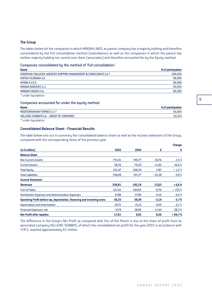#### **The Group**

The tables below list the companies in which MINOAN LINES, as parent company has a majority holding and therefore consolidated by the full consolidation method (subsidiaries) as well as the companies in which the parent has neither majority holding nor control over them (associates) and therefore accounted for by the Equity method.

Companies consolidated by the method of 'full consolidation'

| <b>Name</b>                                                         | % of participation |
|---------------------------------------------------------------------|--------------------|
| EUROPEAN THALASSIC AGENCIES SHIPPING MANAGEMENT & CONSULTANTS S.A.* | 100.00%            |
| KRITIKI FILOXENIA S.A.                                              | 99,99%             |
| ATHINA A.V.E.E.                                                     | 99.99%             |
| MINOAN AGENCIES S.r.I.                                              | 95,00%             |
| <b>MINOAN CRUISES S.A.</b>                                          | 80,28%             |
| * under liquidation                                                 |                    |

#### Companies accounted for under the equity method

| <b>Name</b>                                       | % of participation |
|---------------------------------------------------|--------------------|
| MEDITERRANEAN FERRIES S.r.I.*                     | 50.00%             |
| <b>HELLENIC SEAWAYS S.A. - GROUP OF COMPANIES</b> | 33.31%             |
|                                                   |                    |

*\* under liquidation*

#### **Consolidated Balance Sheet - Financial Results**

The table below sets out in summary the consolidated balance sheet as well as the income statement of the Group, compared with the corresponding items of the previous year.

|                                                                          |        |        |          | Change   |
|--------------------------------------------------------------------------|--------|--------|----------|----------|
| $(in \in$ million                                                        | 2005   | 2004   | €        | X        |
| <b>Balance Sheet</b>                                                     |        |        |          |          |
| <b>Non Current Assets</b>                                                | 731,01 | 749,77 | $-18,76$ | $-2,5%$  |
| <b>Current Assets</b>                                                    | 58,55  | 70,20  | $-11,65$ | $-16,6%$ |
| <b>Total Equity</b>                                                      | 251,07 | 248,20 | 2,87     | $+1,2%$  |
| <b>Total Liabilities</b>                                                 | 538,49 | 571,77 | $-33,28$ | $-5,8%$  |
| <b>Income Statement</b>                                                  |        |        |          |          |
| <b>Revenues</b>                                                          | 204,81 | 192,18 | 12,63    | $+6,6%$  |
| <b>Cost of Sales</b>                                                     | 122,41 | 104,65 | 17,76    | $+17,0%$ |
| <b>Distribution Expenses and Administration Expenses</b>                 | 27,86  | 27,96  | $-0,10$  | $-0,4%$  |
| Operating Profit before tax, depreciation, financing and investing costs | 56,25  | 58,39  | $-2,14$  | $-3,7%$  |
| <b>Depreciation and Amortization</b>                                     | 20,71  | 21,15  | $-0,44$  | $-2,1%$  |
| <b>Financial Expenses, net</b>                                           | 17,79  | 28,83  | $-11,04$ | $-38,3%$ |
| <b>Net Profit after taxation</b>                                         | 17,61  | 9,05   | 8,56     | $+94.7%$ |

The difference in the Group's Net Profit as compared with this of the Parent is due to the share of profit from its associated company HELLENIC SEAWAYS, of which the consolidated net profit for the year 2005 in accordance with I.F.R.S. reached approximately  $E2$  million.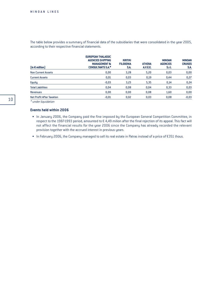The table below provides a summary of financial data of the subsidiaries that were consolidated in the year 2005, according to their respective financial statements.

| $(in \in$ million]               | <b>EUROPEAN THALASSIC</b><br><b>AGENCIES SHIPPING</b><br><b>MANAGEMENT &amp;</b><br><b>CONSULTANTS S.A.*</b> | <b>KRITIKI</b><br><b>FILOXENIA</b><br>S.A. | <b>ATHENA</b><br>A.V.E.E. | <b>MINOAN</b><br><b>AGENCIES</b><br>S.r.l. | <b>MINOAN</b><br><b>CRUISES</b><br>S.A. |
|----------------------------------|--------------------------------------------------------------------------------------------------------------|--------------------------------------------|---------------------------|--------------------------------------------|-----------------------------------------|
| <b>Non Current Assets</b>        | 0,00                                                                                                         | 3,28                                       | 5,20                      | 0,03                                       | 0,00                                    |
| <b>Current Assets</b>            | 0,01                                                                                                         | 0,03                                       | 0,19                      | 0,44                                       | 0,27                                    |
| Equity                           | $-0,03$                                                                                                      | 3,23                                       | 5,35                      | 0,14                                       | 0,24                                    |
| <b>Total Liabilities</b>         | 0,04                                                                                                         | 0,08                                       | 0,04                      | 0,33                                       | 0,03                                    |
| <b>Revenues</b>                  | 0,00                                                                                                         | 0,00                                       | 0,08                      | 1,60                                       | 0,00                                    |
| <b>Net Profit After Taxation</b> | $-0,01$                                                                                                      | 0,02                                       | 0,03                      | 0,08                                       | $-0,03$                                 |
| $*$                              |                                                                                                              |                                            |                           |                                            |                                         |

*\* under liquidation*

#### **Events held within 2006**

- In January 2006, the Company paid the fine imposed by the European General Competition Committee, in respect to the 1987-1993 period, amounted to  $\epsilon$  4,49 milion after the final rejection of its appeal. This fact will not affect the financial results for the year 2006 since the Company has already recorded the relevant provision together with the accrued interest in previous years.
- In February 2006, the Company managed to sell its real estate in Patras instead of a price of  $\epsilon$ 351 thous.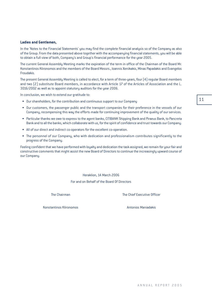In the 'Notes to the Financial Statements' you may find the complete financial analysis so of the Company as also of the Group. From the data presented above together with the accompanying financial statements, you will be able to obtain a full view of both, Company's and Group's financial performance for the year 2005.

The current General Assembly Meeting marks the expiration of the term in office of the Chairman of the Board Mr. Konstantinos Klironomos and the members of the Board Messrs., Ioannis Xenikakis, Minas Papadakis and Evangelos Froudakis.

The present General Assembly Meeting is called to elect, for a term of three-years, four (4) regular Board members and two (2) substitute Board members, in accordance with Article 17 of the Articles of Association and the L. 3016/2002 as well as to appoint statutory auditors for the year 2006.

In conclusion, we wish to extend our gratitude to:

- Our shareholders, for the contribution and continuous support to our Company
- ñ Our customers, the passenger public and the transport companies for their preference in the vessels of our Company, recompensing this way the efforts made for continuing improvement of the quality of our services.
- Particular thanks we owe to express to the agent banks, CITIBANK Shipping Bank and Piraeus Bank, to Pancreta Bank and to all the banks, which collaborate with us, for the spirit of confidence and trust towards our Company.
- All of our direct and indirect co-operators for the excellent co-operation.
- The personnel of our Company, who with dedication and professionalism contributes significantly to the progress of the Company.

Feeling confident that we have performed with loyalty and dedication the task assigned, we remain for your fair and constructive comments that might assist the new Board of Directors to continue the increasingly upward course of our Company.

> Heraklion, 14 March 2006 For and on Behalf of the Board Of Directors

The Chairman The Chief Executive Officer

Konstantinos Klironomos **Antonios Maniadakis**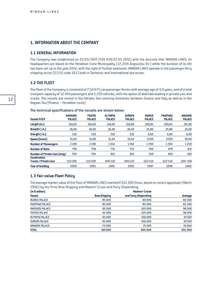## **1. INFORMATION ABOUT THE COMPANY**

### **1.1 GENERAL INFORMATION**

The Company was established on 25/05/1972 (FEK 939/25.05.1972) with the discrete title 'MINOAN LINES. Its headquarters are based on the Heraklion Crete Municipality (17, 25th Avgoustou Str.) while the duration of its life has been set up to the year 2052, with the right of further extension. MINOAN LINES operate in the passenger ferry shipping sector (E.S.Y.E code: 611) both in Domestic and International sea routes.

### **1.2 THE FLEET**

The fleet of the Company is consisted of 7 (H/S/F) car-passenger ferries with average age of 4,9 years, and of a total transport capacity of 12.454 passengers and 5.230 vehicles, with the option of alternate loading in private cars and trucks. The vessels are routed in the Adriatic Sea covering itineraries between Greece and Italy as well as in the Aegean Sea (Piraeus – Heraklion route)

| Vessel H/S/F                         | <b>KNOSSOS</b><br><b>PALACE</b> | <b>FESTOS</b><br><b>PALACE</b> | <b>OLYMPIA</b><br><b>PALACE</b> | <b>EUROPA</b><br><b>PALACE</b> | <b>IKARUS</b><br><b>PALACE</b> | <b>PASIPHAE</b><br><b>PALACE</b> | <b>ARIADNE</b><br><b>PALACE</b> |
|--------------------------------------|---------------------------------|--------------------------------|---------------------------------|--------------------------------|--------------------------------|----------------------------------|---------------------------------|
| Length (m.)                          | 214,00                          | 214,00                         | 214,00                          | 214,00                         | 200.65                         | 200,65                           | 212,00                          |
| Breadth [ m.]                        | 26,40                           | 26,40                          | 26,40                           | 26,40                          | 25,80                          | 25,80                            | 25,00                           |
| Draught [ m. ]                       | 7,10                            | 7,10                           | 7,10                            | 7,10                           | 6,60                           | 6,60                             | 6,60                            |
| Speed (knots)                        | 31,60                           | 31,60                          | 31,60                           | 31,60                          | 27,00                          | 27,00                            | 30,00                           |
| <b>Number of Passengers</b>          | 2.190                           | 2.190                          | 1.912                           | 1.912                          | 1.500                          | 1.500                            | 1.250                           |
| <b>Number of Beds</b>                | 758                             | 758                            | 732                             | 732                            | 700                            | 678                              | 412                             |
| <b>Number of Private Cars [only]</b> | 700                             | 700                            | 821                             | 821                            | 819                            | 819                              | 550                             |
| Combination                          |                                 |                                |                                 |                                |                                |                                  |                                 |
| Trucks / Private Cars                | 113/100                         | 113/100                        | 104/110                         | 104/110                        | 122/110                        | 122/110                          | 103/104                         |
| Year of building                     | 2000                            | 2001                           | 2001                            | 2002                           | 1997                           | 1998                             | 2002                            |

#### The technical specifications of the vessels are shown below:

### **1.3 Fair value/Fleet Policy**

The average market value of the fleet of MINOAN LINES reached  $\epsilon$  631.000 thous. based on recent appraisals (March 2006) by the firms Brax Shipping and Masters' Cruise and Ferry Shipbroking.

| $(in \in$ million]     |                      | <b>Masters' Cruise</b> |         |
|------------------------|----------------------|------------------------|---------|
| <b>Vessel</b>          | <b>Brax Shipping</b> | and Ferry Shipbroking  | Average |
| <b>IKARUS PALACE</b>   | 85,000               | 80,000                 | 82.500  |
| <b>PASIPHAE PALACE</b> | 85,000               | 80,000                 | 82.500  |
| <b>KNOSSOS PALACE</b>  | 92.000               | 105.000                | 98.500  |
| <b>FESTOS PALACE</b>   | 92.000               | 105.000                | 98.500  |
| <b>OLYMPIA PALACE</b>  | 95,000               | 100.000                | 97.500  |
| <b>EUROPA PALACE</b>   | 95,000               | 100.000                | 97.500  |
| <b>ARIADNE PALACE</b>  | 73,000               | 75,000                 | 74.000  |
| <b>TOTAL</b>           | 617.000              | 645.000                | 631.000 |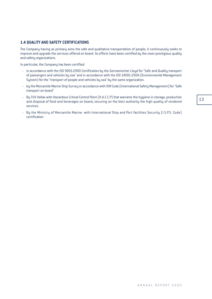### **1.4 QUALITY AND SAFETY CERTIFICATIONS**

The Company having as primary aims the safe and qualitative transportation of people, it continuously seeks to improve and upgrade the services offered on board. Its efforts have been certified by the most prestigious quality and safety organizations.

In particular, the Company has been certified:

- in accordance with the ISO 9001-2000 Certification by the Germanischer Lloyd for "Safe and Quality transport of passengers and vehicles by sea" and in accordance with the ISO 14001:2004 (Environmental Management System) for the "transport of people and vehicles by sea" by the same organization.
- by the Mercantile Marine Ship Survey in accordance with ISM Code (International Safety Management) for "Safe transport on board"
- By TUV Hellas with Hazardous Critical Control Point (H.A.C.C.P) that warrants the hygiene in storage, production and disposal of food and beverages on board, securing on the best authority the high quality of rendered services.
- By the Ministry of Mercantile Marine with International Ship and Port facilities Security (I.S.P.S. Code) certification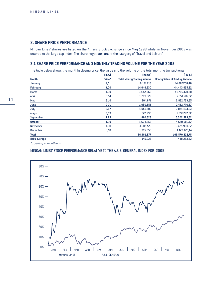## **2. SHARE PRICE PERFORMANCE**

Minoan Lines' shares are listed on the Athens Stock Exchange since May 1998 while, in November 2005 was entered to the large cap index. The share negotiates under the category of "Travel and Leisure".

## **2.1 SHARE PRICE PERFORMANCE AND MONTHLY TRADING VOLUME FOR THE YEAR 2005**

The table below shows the monthly closing price, the value and the volume of the total monthly transactions:

| $(in \in )$ | (items)                            | $(in \in)$                            |
|-------------|------------------------------------|---------------------------------------|
| Price*      | <b>Total Montly Trading Volume</b> | <b>Montly Value of Trading Volume</b> |
| 2,51        | 6.151.216                          | 14.687.708,46                         |
| 3,00        | 14.649.630                         | 44.443.455,32                         |
| 3,00        | 2.442.566                          | 11.786.178,28                         |
| 3,14        | 1.709.329                          | 5.351.287,32                          |
| 3,10        | 904.871                            | 2.832.733,65                          |
| 2,71        | 1.030.555                          | 2.452.776,37                          |
| 2,87        | 1.051.509                          | 2.841.403,83                          |
| 2,59        | 672.230                            | 1.837.722,82                          |
| 2,75        | 1.864.628                          | 5.022.528,62                          |
| 3,00        | 1.604.858                          | 4.659.580,17                          |
| 3,08        | 3.085.129                          | 9.475.980,77                          |
| 3,18        | 1.315.356                          | 4.179.473,14                          |
|             | 36.481.877                         | 109.570.828,75                        |
|             | 145.928                            | 438.283,32                            |
|             |                                    |                                       |

*\* : closing at month end*

#### MINOAN LINES' STOCK PERFORMANCE RELATIVE TO THE A.S.E. GENERAL INDEX FOR 2005

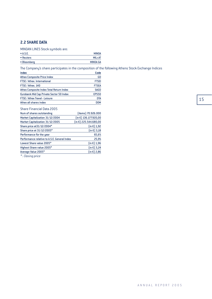## **2.2 SHARE DATA**

MINOAN LINES Stock symbols are:

| $\bullet$ A.S.E. | <b>MINOA</b>    |
|------------------|-----------------|
| • Reuters        | MILr.AT         |
| • Bloomberg      | <b>MINOA GA</b> |

The Company's share participates in the composition of the following Athens Stock Exchange Indices

| Code             |
|------------------|
| GD               |
| FTSEI            |
| <b>FTSEA</b>     |
| <b>SAGD</b>      |
| <b>EPS50</b>     |
| DTA              |
| D <sub>0</sub> M |
|                  |

#### Share Financial Data 2005

| Num of shares outstanding                    | (items) 70.926.000                        |
|----------------------------------------------|-------------------------------------------|
| Market Capitalization 31/12/2004             | $(in \in)$ 136.177.920,00                 |
| Market Capitalization 31/12/2005             | $(in \in)$ 225.544.680,00                 |
| Share price at 31/12/2004*                   | $\left[\text{in } \mathsf{E}\right]$ 1,92 |
| Share price at 31/12/2005*                   | $(in \in)$ 3,18                           |
| Performance for the year                     | 65,6%                                     |
| Performance relative to A.S.E. General Index | 25,9%                                     |
| Lowest Share value 2005*                     | $(in \in) 1,96$                           |
| Highest Share value 2005*                    | $(in \in)$ 3,24                           |
| Average Value 2005*                          | $(in \in)$ 2,86                           |
|                                              |                                           |

*\* : Closing price*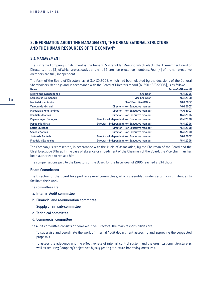## **3. INFORMATION ABOUT THE MANAGEMENT, THE ORGANIZATIONAL STRUCTURE AND THE HUMAN RESOURCES OF THE COMPANY**

#### **3.1 MANAGEMENT**

The supreme Company's instrument is the General Shareholder Meeting which elects the 12-member Board of Directors, three (3) of which are executive and nine (9) are non-executive members. Four (4) of the non executive members are fully independent.

The form of the Board of Directors, as at 31/12/2005, which had been elected by the decisions of the General Shareholders Meetings and in accordance with the Board of Directors record (n. 390 13/6/2005), is as follows:

| <b>Name</b>                    |                                             | <b>Term of office until</b> |
|--------------------------------|---------------------------------------------|-----------------------------|
| <b>Klironomos Konstantinos</b> | Chairman                                    | <b>AGM 2006</b>             |
| Kouledakis Emmanouil           | <b>Vice Chairman</b>                        | <b>AGM 2008</b>             |
| <b>Maniadakis Antonios</b>     | <b>Chief Executive Officer</b>              | <b>AGM 2007</b>             |
| <b>Vavourakis Michael</b>      | Director - Non Executive member             | <b>AGM 2007</b>             |
| <b>Mamalakis Konstantinos</b>  | Director - Non Executive member             | <b>AGM 2007</b>             |
| <b>Xenikakis loannis</b>       | Director - Non Executive member             | <b>AGM 2006</b>             |
| Papageorgiou Georgios          | Director - Independent Non Executive member | <b>AGM 2008</b>             |
| <b>Papadakis Minas</b>         | Director - Independent Non Executive member | <b>AGM 2006</b>             |
| <b>Sarris Stylianos</b>        | Director - Non Executive member             | <b>AGM 2008</b>             |
| <b>Sbokos Yiannis</b>          | Director - Non Executive member             | <b>AGM 2008</b>             |
| <b>Jortzakis Pantelis</b>      | Director - Independent Non Executive member | <b>AGM 2007</b>             |
| <b>Froudakis Evangelos</b>     | Director - Independent Non Executive member | <b>AGM 2006</b>             |

The Company is represented, in accordance with the Aticle of Association, by the Chairman of the Board and the Chief Executive Officer. In the case of absence or impediment of the Chairman of the Board, the Vice Chairman has been authorized to replace him.

The compensations paid to the Directors of the Board for the fiscal year of 2005 reached  $\epsilon$  534 thous.

#### Board Committees

The Directors of the Board take part in several committees, which assembled under certain circumstances to facilitate their work.

The committees are:

- a. Internal Audit committee
- b. Financial and remuneration committee
	- Supply chain sub-committee
- c. Technical committee
- d. Commercial committee

The Audit committee consists of non-executive Directors. The main responsibilities are:

- To supervise and coordinate the work of Internal Audit department assessing and approving the suggested proposals.
- To assess the adequacy and the effectiveness of internal control system and the organizational structure as well as securing Company's objectives by suggesting structure-improving measures.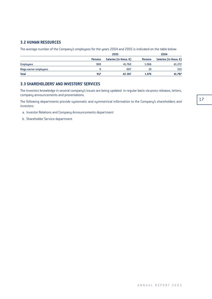### **3.2 HUMAN RESOURCES**

The average number of the Company's employees for the years 2004 and 2005 is indicated on the table below:

|                       |                | 2005                             |                | 2004                             |
|-----------------------|----------------|----------------------------------|----------------|----------------------------------|
|                       | <b>Persons</b> | Salaries (In thous. $\epsilon$ ) | <b>Persons</b> | Salaries (In thous. $\epsilon$ ) |
| <b>Employees</b>      | 908            | 41.760                           | 1.066          | 41.272                           |
| Wage earner employees |                | 607                              | 10             | 515                              |
| <b>Total</b>          | 917            | 42.367                           | 1.076          | 41.787                           |

### **3.3 SHAREHOLDERS' AND INVESTORS' SERVICES**

The investors knowledge in several company's issues are being updated in regular basis via press releases, letters, company announcements and presentations.

The following departments provide systematic and symmetrical information to the Company's shareholders and investors:

- a. Investor Relations and Company Announcements department
- b. Shareholder Service department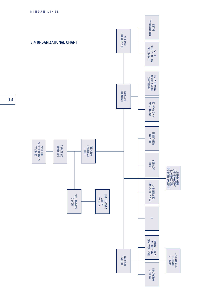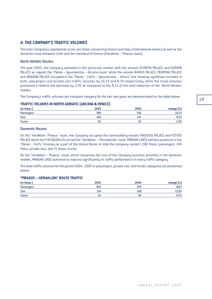## **4. THE COMPANY'S TRAFFIC VOLUMES**

The main Company's operational routes are those connecting Greece and Italy (International routes) as well as the Domestic route between Crete and the mainland of Greece (Heraklion – Piraeus route).

#### North Adriatic Routes

The year 2005, the Company operated in the particular market with the vessels OLYMPIA PALACE and EUROPA PALACE as regards the "Patras – Igoumenitsa – Ancona route" while the vessels IKARUS PALACE, PASIPHAE PALACE and ARIADNE PALACE occupied in the "Patras – Corfu – Igoumenitsa – Venice" line showing significant increase in both, passengers and private cars traffic volumes by 10,1% and 8,3% respectively, while the truck volumes presented a relative low decrease by 3,9% as compared to the 8,1% of the total reduction of the North Adriatic market.

The Company's traffic volumes per transport category for the last two years are demonstrated on the table below:

#### **TRAFFIC VOLUMES IN NORTH ADRIATIC (ANCONA & VENICE)**

| (in thous.)       | 2005 | 2004 | change [%] |
|-------------------|------|------|------------|
| <b>Passengers</b> | 590  | 536  | 10,1%      |
| Cars              | 160  | 147  | 8,3%       |
| <b>Trucks</b>     | 92   | 95   | $-3,9%$    |

#### Domestic Routes

On the "Heraklion- Piraeus" route, the Company occupied the new-building vessels KNOSSOS PALACE and FESTOS PALACE while the F/B DAEDALUS served the "Heraklion – Thessaloniki" route. MINOAN LINES had also presence in the "Patras – Corfu" itinerary as a part of the Venice Route. In total the company carried 1.182 thous. passengers, 149 thous. private cars, and 71 thous. trucks.

On the "Heraklion – Piraeus" route, which comprises the core of the Company business activities in the domestic market, MINOAN LINES achieved to improve significantly its traffic performance in every traffic category.

The total traffic volumes for the period 2004 - 2005 in passengers, private cars, and trucks categories are presented below:

#### **"PIRAEUS – HERAKLION" ROUTE TRAFFIC**

| (in thous.)       | 2005 | 2004 | change [%] |
|-------------------|------|------|------------|
| <b>Passengers</b> | 950  | 874  | 8,6%       |
| Cars              | 124  | 109  | 13,9%      |
| <b>Trucks</b>     | ы    | 56   | 9,5%       |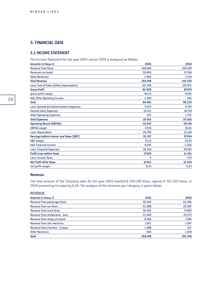## **5. FINANCIAL DATA**

## **5.1 INCOME STATEMENT**

The Income Statement for the year 2005 versus 2004 is analyzed as follows:

| Amounts in thous. €                       | 2005    | 2004    |
|-------------------------------------------|---------|---------|
| <b>Revenue from fares</b>                 | 169.494 | 160.478 |
| <b>Revenues on board</b>                  | 30.800  | 27.558  |
| <b>Other Revenues</b>                     | 3.904   | 3.514   |
| <b>Total Revenue</b>                      | 204.198 | 191.550 |
| Less: Cost of Sales (before depreciation) | 121.590 | 103.871 |
| <b>Gross Profit</b>                       | 82.608  | 87.679  |
| gross profit margin                       | 40,5%   | 45,8%   |
| Add: Other Operating Income               | 2.384   | 541     |
| <b>Total</b>                              | 84.992  | 88.220  |
| Less: General and Administrative Expenses | 9.072   | 9.576   |
| <b>General Sales Expenses</b>             | 19.211  | 18.719  |
| <b>Other Operating Expenses</b>           | 672     | 1.731   |
| <b>Total Expenses</b>                     | 28.955  | 30.026  |
| <b>Operating Result (EBITDA)</b>          | 56.037  | 58.194  |
| <b>EBITDA</b> margin                      | 27,4%   | 30,4%   |
| <b>Less: Depreciation</b>                 | 20.700  | 21.140  |
| Earnings before Interest and Taxes (EBIT) | 35.337  | 37.054  |
| <b>EBIT margin</b>                        | 17,3%   | 19,3%   |
| <b>Add: Financial Income</b>              | 8.245   | 2.562   |
| <b>Less: Financial Expenses</b>           | 26.554  | 28.185  |
| <b>Profit/Loss before Taxes</b>           | 17.028  | 11.431  |
| Less: Income Taxes                        | 6       | $-773$  |
| <b>Net Profit after Taxes</b>             | 17.022  | 12.204  |
| net profit margin                         | 8,3%    | 6,4%    |

#### **Revenue**

The total amount of the Company sales for the year 2005 reached  $\epsilon$  204.198 thous. against  $\epsilon$  191.550 thous. in 2004 presenting increase by 6,6%. The analysis of the revenues per category, is given below:

#### REVENUE

| Amounts in thous, $\epsilon$           | 2005    | 2004    |
|----------------------------------------|---------|---------|
| Revenue from passenger fares           | 65.914  | 62.496  |
| Revenue from car fares                 | 22.088  | 20.287  |
| Revenue from truck fares               | 81.492  | 77.695  |
| Revenue from restaurants - bars        | 22.440  | 20.275  |
| Revenue from shops on board            | 8.360   | 7.282   |
| Revenue from slot machines             | 1.851   | 1.947   |
| <b>Revenue from Charters - Cruises</b> | 1.088   | 527     |
| <b>Other Revenues</b>                  | 965     | 1.040   |
| <b>Total</b>                           | 204.198 | 191.550 |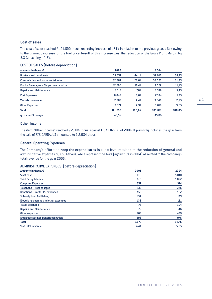#### **Cost of sales**

The cost of sales reached  $\epsilon$  121.590 thous. recording increase of 17,1% in relation to the previous year, a fact owing to the dramatic increase of the fuel price. Result of this increase was the reduction of the Gross Profit Margin by 5,3 % reaching 40,5%.

#### COST OF SALES (before depreciation)

| Amounts in thous, $\epsilon$                 | 2005    |        | 2004    |        |
|----------------------------------------------|---------|--------|---------|--------|
| <b>Bunkers and Lubricants</b>                | 53.651  | 44.1%  | 39.910  | 38,4%  |
| <b>Crew salaries and social contribution</b> | 32.381  | 26,6%  | 32.563  | 31,3%  |
| Food - Beverages - Shops merchandize         | 12.590  | 10,4%  | 11.567  | 11,1%  |
| <b>Repairs and Maintenance</b>               | 8.517   | 7,0%   | 5.589   | 5,4%   |
| <b>Port Expenses</b>                         | 8.042   | 6,6%   | 7.584   | 7,3%   |
| <b>Vessels Insurance</b>                     | 2.887   | 2,4%   | 3.040   | 2,9%   |
| <b>Other Expenses</b>                        | 3.521   | 2,9%   | 3.618   | 3,5%   |
| <b>Total</b>                                 | 121.590 | 100.0% | 103.871 | 100,0% |
| gross profit margin                          | 40,5%   |        | 45,8%   |        |

#### **Other Income**

The item, "Other Income" reached  $\epsilon$  2.384 thous. against  $\epsilon$  541 thous., of 2004. It primarily includes the gain from the sale of F/B DAEDALUS amounted to  $\epsilon$  2.084 thous.

#### **General Operating Expenses**

The Company's efforts to keep the expenditures in a low level resulted to the reduction of general and administrative expenses by  $E504$  thous. while represent the 4,4% (against 5% in 2004) as related to the company's total revenue for the year 2005.

#### ADMINISTRATIVE EXPENSES (before depreciation)

| Staff cost<br><b>Third Party Salaries</b>  | 2005  | 2004  |
|--------------------------------------------|-------|-------|
|                                            | 6.016 | 5.818 |
|                                            | 816   | 1.027 |
| <b>Computer Expenses</b>                   | 352   | 374   |
| Telephone - Post charges                   | 332   | 345   |
| <b>Donations-Grants-PR expenses</b>        | 155   | 182   |
| <b>Subscription - Publishing</b>           | 139   | 135   |
| Electricity cleaning and other expenses    | 138   | 131   |
| <b>Travel Expenses</b>                     | 78    | 104   |
| <b>Repairs and Maintenance</b>             | 72    | 46    |
| Other expenses                             | 768   | 439   |
| <b>Employee Defined Benefit obligation</b> | 206   | 976   |
| <b>Total</b>                               | 9.072 | 9.576 |
| % of Total Revenue                         | 4.4%  | 5,0%  |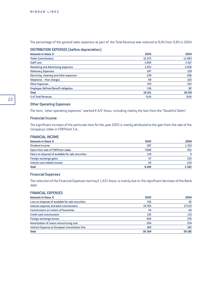The percentage of the general sales expenses as part of the Total Revenue was reduced to 9,4% from 9,8% in 2004

#### DISTRIBUTION EXPENSES (before depreciation)

| Amounts in thous, $\epsilon$               | 2005   | 2004   |
|--------------------------------------------|--------|--------|
| <b>Ticket Commissions</b>                  | 12.272 | 11.963 |
| <b>Staff cost</b>                          | 3.850  | 3.417  |
| Marketing and Advertising expenses         | 2.013  | 2.456  |
| <b>Stationary Expenses</b>                 | 247    | 159    |
| Electricity, cleaning and other expenses   | 239    | 206    |
| Telephone - Post charges                   | 99     | 103    |
| Other Expenses                             | 374    | 332    |
| <b>Employee Defined Benefit obligation</b> | 116    | 82     |
| <b>Total</b>                               | 19.211 | 18.719 |
| % of Total Revenue                         | 9,4%   | 9,8%   |

#### Other Operating Expenses

The item, "other operating expenses" reached  $\epsilon$  672 thous. including mainly the loss from the "Doubtful Debts".

#### Financial Income

The significant increase of the particular item for the year 2005 is mainly attributed to the gain from the sale of the Company's stake in FORTHnet S.A..

### FINANCIAL INCOME

| Amounts in thous. $\bm{\epsilon}$                  | 2005  | 2004  |
|----------------------------------------------------|-------|-------|
| Dividend Income                                    | 297   | 1.353 |
| <b>Gains from sale of FORTHnet stake</b>           | 7.680 | 451   |
| Gains on disposal of available for sale securities | 119   |       |
| Foreign exchange gains                             | 57    | 535   |
| Interest and related income                        | 93    | 224   |
| <b>Total</b>                                       | 8.245 | 2.562 |

#### Financial Expenses

The reduction of the Financial Expenses item by  $\epsilon$  1.631 thous. is mainly due to the significant decrease of the Bank debt.

#### FINANCIAL EXPENSES

| Amounts in thous, $\epsilon$                      | 2005   | 2004   |
|---------------------------------------------------|--------|--------|
| Loss on disposal of available for sale securities | 516    | 92     |
| Interest expense and bank commissions             | 24.765 | 27.223 |
| <b>Commissions on Letters of Guarantee</b>        | 54     | 64     |
| <b>Credit card commissions</b>                    | 135    | 115    |
| Foreign exchange losses                           | 400    | 276    |
| Amortization of Loans restructuring cost          | 504    | 234    |
| Interest Expense on European Committee's fine     | 180    | 182    |
| <b>Total</b>                                      | 26.554 | 28.185 |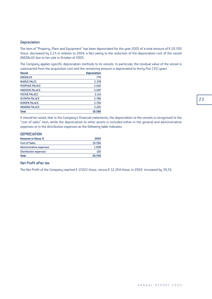#### **Depreciation**

The item of "Property, Plant and Equipment" has been depreciated for the year 2005 of a total amount of  $\epsilon$  20.700 thous. decreased by 2,1% in relation to 2004, a fact owing to the reduction of the depreciation cost of the vessel DAEDALUS due to her sale in October of 2005.

The Company applies specific depreciation methods to its vessels. In particular, the residual value of the vessel is substracted from the acquisition cost and the remaining amount is depreciated to thirty-five (35) years

| <b>Vessel</b>          | <b>Depreciation</b> |
|------------------------|---------------------|
| <b>DAEDALUS</b>        | 774                 |
| <b>IKARUS PALCE</b>    | 2.378               |
| <b>PASIPHAE PALACE</b> | 2.426               |
| <b>KNOSSOS PALACE</b>  | 3.097               |
| <b>FESTOS PALACE</b>   | 3.114               |
| <b>OLYMPIA PALACE</b>  | 2.786               |
| <b>EUROPA PALACE</b>   | 2.790               |
| <b>ARIADNE PALACE</b>  | 2.201               |
| <b>Total</b>           | 19.566              |

It should be noted, that in the Company's financial statements, the depreciation to the vessels is recognised to the "cost of sales" item, while the depreciation to other assets is included either in the general and administrative expenses or in the distribution expenses as the following table indicates:

#### **DEPRECIATION**

| Amounts in thous, $\epsilon$   | 2005   |
|--------------------------------|--------|
| <b>Cost of Sales</b>           | 19.566 |
| <b>Administrative expenses</b> | 1.008  |
| <b>Distribution expenses</b>   | 126    |
| <b>Total</b>                   | 20,700 |

### Net Profit after tax

The Net Profit of the Company reached  $\epsilon$  17.022 thous. versus  $\epsilon$  12.204 thous. in 2004 increased by 39,5%.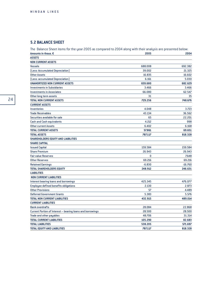## **5.2 BALANCE SHEET**

| The Balance Sheet items for the year 2005 as compared to 2004 along with their analysis are presented below: |          |           |
|--------------------------------------------------------------------------------------------------------------|----------|-----------|
| Amounts in thous. €                                                                                          | 2005     | 2004      |
| <b>ASSETS</b>                                                                                                |          |           |
| <b>NON CURRENT ASSETS</b>                                                                                    |          |           |
| <b>Vessels</b>                                                                                               | 688.008  | 692.382   |
| (Less: Accumulated Depreciation)                                                                             | 39.002   | 21.325    |
| <b>Other Assets</b>                                                                                          | 16.835   | 16.602    |
| (Less: accumulated Depreciation)                                                                             | 6.161    | 5.030     |
| <b>UNAMORTIZED NON CURRENT ASSETS</b>                                                                        | 659.680  | 682.629   |
| <b>Investments in Subsidiaries</b>                                                                           | 3.466    | 3.466     |
| <b>Investments in Associates</b>                                                                             | 66.080   | 62.547    |
| Other long term assets                                                                                       | 31       | 35        |
| <b>TOTAL NON CURRENT ASSETS</b>                                                                              | 729.256  | 748.676   |
| <b>CURRENT ASSETS</b>                                                                                        |          |           |
| <b>Inventories</b>                                                                                           | 4.048    | 3.723     |
| <b>Trade Receivables</b>                                                                                     | 43.134   | 36.562    |
| Securities available for sale                                                                                | 65       | 22.201    |
| <b>Cash and Cash equivalents</b>                                                                             | 4.212    | 998       |
| <b>Other current Assets</b>                                                                                  | 6.402    | 6.168     |
| <b>TOTAL CURRENT ASSETS</b>                                                                                  | 57.861   | 69.651    |
| <b>TOTAL ASSETS</b>                                                                                          | 787.117  | 818.328   |
| SHAREHOLDERS EQUITY AND LIABILITIES                                                                          |          |           |
| <b><i>SHARE CAPITAL</i></b>                                                                                  |          |           |
| <b>Issued Capital</b>                                                                                        | 159.584  | 159.584   |
| <b>Share Premium</b>                                                                                         | 26.943   | 26.943    |
| <b>Fair value Reserves</b>                                                                                   | 0        | 7.648     |
| <b>Other Reserves</b>                                                                                        | 69.216   | 69.216    |
| <b>Retained Earnings</b>                                                                                     | $-6.830$ | $-16.760$ |
| <b>TOTAL SHAREHOLDERS EQUITY</b>                                                                             | 248.912  | 246.631   |
| <b>LIABILITIES</b>                                                                                           |          |           |
| <b>NON CURRENT LIABILITIES</b>                                                                               |          |           |
| Interest bearing loans and borrowings                                                                        | 425.345  | 476.077   |
| <b>Employee defined benefits obligations</b>                                                                 | 2.130    | 2.873     |
| <b>Other Provisions</b>                                                                                      | 57       | 4.489     |
| <b>Deferred Government Grants</b>                                                                            | 5.383    | 5.576     |
| <b>TOTAL NON CURRENT LIABILITIES</b>                                                                         | 432.915  | 489.014   |
| <b>CURRENT LIABILITIES</b>                                                                                   |          |           |
| <b>Bank overdrafts</b>                                                                                       | 28.084   | 22.868    |
| Current Portion of Interest - bearing loans and borrowings                                                   | 28.500   | 28.500    |
| <b>Trade and other payables</b>                                                                              | 48.706   | 31.314    |
| <b>TOTAL CURRENT LIABILITIES</b>                                                                             | 105.290  | 82.683    |
| <b>TOTAL LIABILITIES</b>                                                                                     | 538.205  | 571.697   |
| TOTAL EQUITY AND LIABILITIES                                                                                 | 787.117  | 818.328   |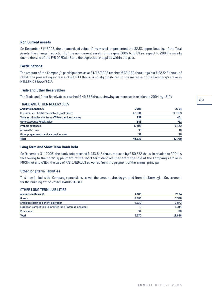#### **Non Current Assets**

On December 31<sup>st</sup> 2005, the unamortized value of the vessels represented the 82,5% approximately, of the Total Assets. The change (reduction) of the non current assets for the year 2005 by 2,6% in respect to 2004 is mainly due to the sale of the F/B DAEDALUS and the depreciation applied within the year.

#### **Participations**

The amount of the Company's participations as at 31/12/2005 reached  $\epsilon$  66.080 thous. against  $\epsilon$  62.547 thous. of 2004. The presenting increase of  $\epsilon$ 3.533 thous. is solely attributed to the increase of the Company's stake in HELLENIC SEAWAYS S.A.

### **Trade and Other Receivables**

The Trade and Other Receivables, reached  $\epsilon$  49.536 thous. showing an increase in relation to 2004 by 15,9%

#### TRADE AND OTHER RECEIVABLES

| Amounts in thous, $\epsilon$                         | 2005   | 2004   |
|------------------------------------------------------|--------|--------|
| Customers - Checks receivables (post dated)          | 42.234 | 35.399 |
| Trade receivables due from affiliates and associates | 257    | 451    |
| <b>Other Accounts Receivables</b>                    | 643    | 712    |
| <b>Prepaid expenses</b>                              | 6.308  | 6.122  |
| <b>Accrued Income</b>                                | 35     | 16     |
| Other prepayments and accrued income                 | 59     | 30     |
| <b>Total</b>                                         | 49.536 | 42.729 |

#### **Long Term and Short Term Bank Debt**

On December 31st 2005, the bank debt reached  $\epsilon$  453.845 thous. reduced by  $\epsilon$  50.732 thous. in relation to 2004. A fact owing to the partially payment of the short term debt resulted from the sale of the Company's stake in FORTHnet and ANEK, the sale of F/B DAEDALUS as well as from the payment of the annual principal.

#### **Other long term liabilities**

This item includes the Company's provisions as well the amount already granted from the Norwegian Government for the building of the vessel IKARUS PALACE.

#### OTHER LONG TERM LIABILITIES

| Amounts in thous, $\epsilon$                            | 2005  | 2004   |
|---------------------------------------------------------|-------|--------|
| Grants                                                  | 5.383 | 5.576  |
| Employee defined benefit obligation                     | 2.130 | 2.873  |
| European Competition Committee Fine (interest included) |       | 4.311  |
| <b>Provisions</b>                                       | 57    | 178    |
| <b>Total</b>                                            | 7.570 | 12.938 |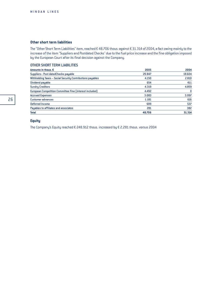#### **Other short term liabilities**

The "Other Short Term Liabilities" item, reached  $\epsilon$  48.706 thous. against  $\epsilon$  31.314 of 2004, a fact owing mainly to the increase of the item "Suppliers and Postdated Checks" due to the fuel price increase and the fine obligation imposed by the European Court after its final decision against the Company.

#### OTHER SHORT TERM LIABILITIES

| Amounts in thous, $\epsilon$                               | 2005   | 2004   |
|------------------------------------------------------------|--------|--------|
| Suppliers-Post dated Checks payable                        | 29.847 | 18.604 |
| Withholding Taxes - Social Security Contributions payables | 4.150  | 2.810  |
| Dividend payable                                           | 654    | 411    |
| <b>Sundry Creditors</b>                                    | 4.319  | 4.859  |
| European Competition Committee Fine (interest included)    | 4.492  | 0      |
| <b>Accrued Expenses</b>                                    | 3.083  | 3.097  |
| Customer advances                                          | 1.181  | 616    |
| Deferred Income                                            | 699    | 537    |
| Payables to affiliates and associates                      | 281    | 382    |
| <b>Total</b>                                               | 48.706 | 31.314 |

## **Equity**

The Company's Equity reached  $\epsilon$  248.912 thous. increased by  $\epsilon$  2.281 thous. versus 2004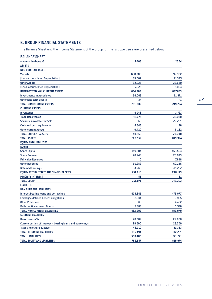## **6. GROUP FINANCIAL STATEMENTS**

The Balance Sheet and the Income Statement of the Group for the last two years are presented below:

| <b>BALANCE SHEET</b>                                       |          |           |
|------------------------------------------------------------|----------|-----------|
| Amounts in thous. €                                        | 2005     | 2004      |
| <b>ASSETS</b>                                              |          |           |
| <b>NON CURRENT ASSETS</b>                                  |          |           |
| <b>Vessels</b>                                             | 688.008  | 692.382   |
| (Less: Accumulated Depreciation)                           | 39.002   | 21.325    |
| Other Assets                                               | 22.926   | 22.689    |
| (Less: Accumulated Depreciation)                           | 7.025    | 5.884     |
| <b>UNAMORTIZED NON CURRENT ASSETS</b>                      | 664.908  | 687.863   |
| <b>Investments in Associates</b>                           | 66.063   | 61.871    |
| Other long term assets                                     | 37       | 41        |
| <b>TOTAL NON CURRENT ASSETS</b>                            | 731.007  | 749.774   |
| <b>CURRENT ASSETS</b>                                      |          |           |
| <b>Inventories</b>                                         | 4.048    | 3.723     |
| <b>Trade Receivables</b>                                   | 43.675   | 36.958    |
| Securities available for Sale                              | 65       | 22.201    |
| <b>Cash and cash equivalents</b>                           | 4.343    | 1.136     |
| <b>Other current Assets</b>                                | 6.420    | 6.182     |
| <b>TOTAL CURRENT ASSETS</b>                                | 58.550   | 70.200    |
| <b>TOTAL ASSETS</b>                                        | 789.557  | 819.974   |
| <b>EQUITY AND LIABILITIES</b>                              |          |           |
| <b>EQUITY</b>                                              |          |           |
| <b>Share Capital</b>                                       | 159.584  | 159.584   |
| <b>Share Premium</b>                                       | 26.943   | 26.943    |
| <b>Fair value Reserves</b>                                 | 0        | 7.648     |
| <b>Other Reserves</b>                                      | 69.252   | 69.246    |
| <b>Retained Earnings</b>                                   | $-4.762$ | $-15.277$ |
| EQUITY ATTRIBUTED TO THE SHAREHOLDERS                      | 251.016  | 248.143   |
| <b>MINORITY INTEREST</b>                                   | 55       | 61        |
| <b>TOTAL EQUITY</b>                                        | 251.071  | 248.203   |
| <b>LIABILITIES</b>                                         |          |           |
| <b>NON CURRENT LIABILITIES</b>                             |          |           |
| <b>Interest bearing loans and borrowings</b>               | 425.345  | 476.077   |
| <b>Employee defined benefit obligations</b>                | 2.201    | 2.925     |
| <b>Other Provisions</b>                                    | 63       | 4.492     |
| <b>Deferred Government Grants</b>                          | 5.383    | 5.576     |
| <b>TOTAL NON CURRENT LIABILITIES</b>                       | 432.992  | 489.070   |
| <b>CURRENT LIABILTIES</b>                                  |          |           |
| <b>Bank overdrafts</b>                                     | 28.084   | 22.868    |
| Current portion of Interest - bearing loans and borrowings | 28.500   | 28.500    |
| Trade and other payables                                   | 48.910   | 31.333    |
| <b>TOTAL CURRENT LIABILITIES</b>                           | 105.494  | 82.701    |
| <b>TOTAL LIABILITIES</b>                                   | 538.486  | 571.771   |
| <b>TOTAL EQUITY AND LIABILITIES</b>                        | 789.557  | 819.974   |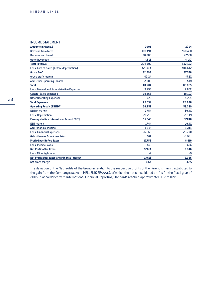### INCOME STATEMENT

| Amounts in thous.€                                  | 2005    | 2004     |
|-----------------------------------------------------|---------|----------|
| <b>Revenue from fares</b>                           | 169.494 | 160.478  |
| <b>Revenues on board</b>                            | 30.800  | 27.558   |
| <b>Other Revenues</b>                               | 4.515   | 4.147    |
| <b>Total Revenue</b>                                | 204.809 | 192.183  |
| Less: Cost of Sales (before depreciation)           | 122.411 | 104.647  |
| <b>Gross Profit</b>                                 | 82.398  | 87.536   |
| gross profit margin                                 | 40,2%   | 45,5%    |
| Add: Other Operating Income                         | 2.386   | 549      |
| <b>Total</b>                                        | 84.784  | 88.085   |
| Less: General and Administrative Expenses           | 9.293   | 9.862    |
| <b>General Sales Expenses</b>                       | 18.566  | 18.103   |
| <b>Other Operating Expenses</b>                     | 673     | 1.731    |
| <b>Total Expenses</b>                               | 28.532  | 29.696   |
| <b>Operating Result (EBITDA)</b>                    | 56.252  | 58.389   |
| <b>EBITDA</b> margin                                | 27,5%   | 30,4%    |
| <b>Less: Depreciation</b>                           | 20.710  | 21.149   |
| Earnings before Interest and Taxes (EBIT)           | 35.543  | 37.240   |
| <b>EBIT margin</b>                                  | 17,4%   | 19,4%    |
| <b>Add: Financial Income</b>                        | 8.117   | 1.311    |
| <b>Less: Financial Expenses</b>                     | 26.565  | 28.200   |
| <b>Gains/Losses from Associates</b>                 | 662     | $-1.941$ |
| <b>Profit/Loss Before Taxes</b>                     | 17.756  | 8.410    |
| Less: Income Taxes                                  | 146     | $-636$   |
| <b>Net Profit after Taxes</b>                       | 17.611  | 9.046    |
| Less: Minority Interest                             | $-2$    | $-9$     |
| <b>Net Profit after Taxes and Minority Interest</b> | 17.613  | 9.056    |
| net profit margin                                   | 8,6%    | 4,7%     |

The deviation of the Net Profits of the Group in relation to the respective profits of the Parent is mainly attributed to the gain from the Company's stake in HELLENIC SEAWAYS, of which the net consolidated profits for the fiscal year of 2005 in accordance with International Financial Reporting Standards reached approximately  $\epsilon$  2 million.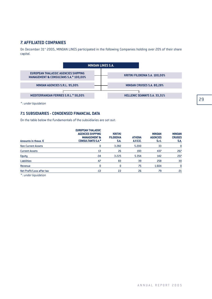## **7. AFFILIATED COMPANIES**

On December 31<sup>st</sup> 2005, MINOAN LINES participated in the following Companies holding over 20% of their share capital.



*\* : under liquidation*

### **7.1 SUBSIDIARIES - CONDENSED FINANCIAL DATA**

On the table below the fundamentals of the subsidiaries are set out:

| Amounts in thous, $\epsilon$ | <b>EUROPEAN THALASSIC</b><br><b>AGENCIES SHIPPING</b><br><b>MANAGEMENT &amp;</b><br><b>CONSULTANTS S.A.*</b> | <b>KRITIKI</b><br><b>FILOXENIA</b><br>S.A. | <b>ATHENA</b><br>A.V.E.E. | <b>MINOAN</b><br><b>AGENCIES</b><br>S.r.l. | <b>MINOAN</b><br><b>CRUISES</b><br>S.A. |
|------------------------------|--------------------------------------------------------------------------------------------------------------|--------------------------------------------|---------------------------|--------------------------------------------|-----------------------------------------|
| <b>Non Current Assets</b>    |                                                                                                              | 3.282                                      | 5.200                     | 33                                         | 0                                       |
| <b>Current Assets</b>        | 13                                                                                                           | 26                                         | 193                       | 437                                        | 267                                     |
| <b>Equity</b>                | $-34$                                                                                                        | 3.225                                      | 5.354                     | 142                                        | 237                                     |
| <b>Liabilities</b>           | 47                                                                                                           | 83                                         | 39                        | 258                                        | 30                                      |
| Revenue                      |                                                                                                              | 0                                          | 75                        | 1.604                                      | 0                                       |
| Net Profit/Loss after tax    | $-13$                                                                                                        | 22                                         | 26                        | 79                                         | $-31$                                   |

*\* : under liquidation*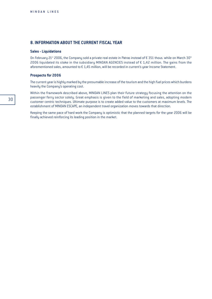## **8. INFORMATION ABOUT THE CURRENT FISCAL YEAR**

#### **Sales - Liquidations**

On February 21st 2006, the Company sold a private real estate in Patras instead of  $\epsilon$  351 thous. while on March 30<sup>th</sup> 2006 liquidated its stake in the subsidiary MINOAN AGENCIES instead of  $\epsilon$  1,42 million. The gains from the aforementioned sales, amounted to  $\epsilon$  1,45 million, will be recorded in current's year Income Statement.

#### **Prospects for 2006**

The current year is highly marked by the presumable increase of the tourism and the high fuel prices which burdens heavily the Company's operating cost.

Within the framework described above, MINOAN LINES plan their future strategy focusing the attention on the passenger ferry sector solely. Great emphasis is given to the field of marketing and sales, adopting modern customer centric techniques. Ultimate purpose is to create added value to the customers at maximum levels. The establishment of MINOAN ESCAPE, an independent travel organization moves towards that direction.

Keeping the same pace of hard work the Company is optimistic that the planned targets for the year 2006 will be finally achieved reinforcing its leading position in the market.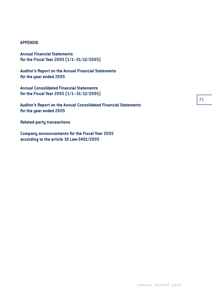## **APPENDIX**

**Annual Financial Statements for the Fiscal Year 2005 (1/1–31/12/2005)**

**Auditor's Report on the Annual Financial Statements for the year ended 2005**

**Annual Consolidated Financial Statements for the Fiscal Year 2005 (1/1–31/12/2005)**

**Auditor's Report on the Annual Consolidated Financial Statements for the year ended 2005**

**Related-party transactions**

**Company announcements for the Fiscal Year 2005 according to the article 10 Law-3401/2005**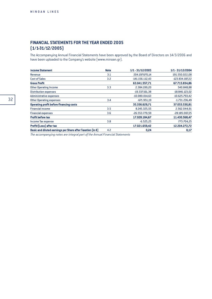## **FINANCIAL STATEMENTS FOR THE YEAR ENDED 2005 (1/1-31/12/2005)**

The Accompanying Annual Financial Statements have been approved by the Board of Directors on 14/3/2006 and have been uploaded to the Company's website (www.minoan.gr).

| <b>Income Statement</b>                                              | <b>Note</b> | 1/1 - 31/12/2005  | 1/1 - 31/12/2004 |
|----------------------------------------------------------------------|-------------|-------------------|------------------|
| Revenue                                                              | 3.1         | 204.197.670,14    | 191.550.022,08   |
| <b>Cost of Sales</b>                                                 | 3.2         | $-141.156.112,43$ | -123.834.187,22  |
| <b>Gross Profit</b>                                                  |             | 63.041.557.71     | 67.715.834,86    |
| <b>Other Operating Income</b>                                        | 3.3         | 2.384.199,20      | 540.848,88       |
| <b>Distribution expenses</b>                                         |             | -19.337.161,38    | -18.846.123,02   |
| <b>Administrative expenses</b>                                       |             | $-10.080.014,63$  | -10.625.793,42   |
| <b>Other Operating expenses</b>                                      | 3.4         | $-671.951,19$     | $-1.731.236,49$  |
| <b>Operating profit before financing costs</b>                       |             | 35.336.629.71     | 37.053.530.81    |
| <b>Financial income</b>                                              | 3.5         | 8.245.325,55      | 2.562.044,91     |
| <b>Financial expenses</b>                                            | 3.6         | $-26.553.770,59$  | -28.185.007,25   |
| <b>Profit before tax</b>                                             |             | 17.028.184.67     | 11.430.568,47    |
| Income Tax expense                                                   | 3.8         | $-6.525,25$       | 773.704,25       |
| Profit/[Loss] after tax                                              |             | 17.021.659,42     | 12.204.272,72    |
| Basic and diluted earnings per Share after Taxation (in $\epsilon$ ) | 4.2         | 0,24              | 0,17             |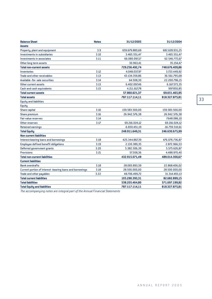| <b>Balance Sheet</b>                                      | <b>Notes</b> | 31/12/2005      | 31/12/2004       |
|-----------------------------------------------------------|--------------|-----------------|------------------|
| <b>Assets</b>                                             |              |                 |                  |
| Property, plant and equipment                             | 3.9          | 659.679.880,69  | 682.628.931,25   |
| <b>Investments in subsidiaries</b>                        | 3.10         | 3.465.551,47    | 3.465.551,47     |
| <b>Investments in associates</b>                          | 3.11         | 66.080.097,17   | 62.546.772,67    |
| Other long term assets                                    |              | 30.963,41       | 35.154,47        |
| <b>Total non-current assets</b>                           |              | 729.256.492,74  | 748.676.409,86   |
| <b>Inventories</b>                                        | 3.12         | 4.048.037,97    | 3.723.449,92     |
| <b>Trade and other receivables</b>                        | 3.13         | 43.134.359,86   | 36.561.795,68    |
| Available -for- sale securities                           | 3.14         | 64.508,30       | 22.200.796,15    |
| Other current assets                                      | 3.13         | 6.402.097,46    | 6.167.573,35     |
| <b>Cash and cash equivalents</b>                          | 3.15         | 4.211.617,78    | 997.850,85       |
| <b>Total current assets</b>                               |              | 57.860.621,37   | 69.651.465,95    |
| <b>Total assets</b>                                       |              | 787.117.114,11  | 818.327.875,81   |
| <b>Equity and liabilities</b>                             |              |                 |                  |
| Equity                                                    |              |                 |                  |
| Share capital                                             | 3.16         | 159.583.500,00  | 159.583.500,00   |
| Share premium                                             | 3.16         | 26.942.576,38   | 26.942.576,38    |
| <b>Fair value reserves</b>                                | 3.14         |                 | 7.648.086,10     |
| Other reserves                                            | 3.17         | 69.216.024,12   | 69.216.024,12    |
| <b>Retained earnings</b>                                  |              | $-6.830.451,19$ | $-16.759.510,61$ |
| <b>Total Equity</b>                                       |              | 248.911.649,31  | 246.630.675,99   |
| <b>Non current liabilities</b>                            |              |                 |                  |
| Interest-bearing loans and borrowings                     | 3.18         | 425.344.867,39  | 476.076.736,87   |
| <b>Employee defined benefit obligations</b>               | 3.19         | 2.130.389,35    | 2.872.966,53     |
| Deferred government grants                                | 3.20         | 5.382.506,39    | 5.575.626,87     |
| <b>Provisions</b>                                         | 3.21         | 57.308,36       | 4.488.970,40     |
| <b>Total non-current liabilities</b>                      |              | 432.915.071,49  | 489.014.300,67   |
| <b>Current liabilities</b>                                |              |                 |                  |
| <b>Bank overdrafts</b>                                    | 3.18         | 28.083.893,59   | 22.868.406,02    |
| Current portion of interest -bearing loans and borrowings | 3.18         | 28.500.000,00   | 28.500.000,00    |
| Trade and other payables                                  | 3.22         | 48.706.499,72   | 31.314.493,13    |
| <b>Total current liabilities</b>                          |              | 105.290.393,31  | 82.682.899,15    |
| <b>Total liabilities</b>                                  |              | 538.205.464,80  | 571.697.199,82   |
| <b>Total Equity and liabilities</b>                       |              | 787.117.114,11  | 818.327.875,81   |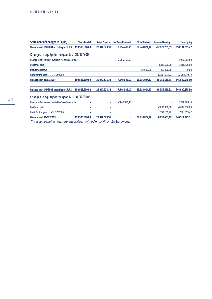| <b>Statement of Changes in Equity</b>                 | <b>Share Capital</b> |               | <b>Share Premium Fair Value Reserves</b> | <b>Other Reserves</b> | <b>Retained Earnings</b> | <b>Total Equity</b> |
|-------------------------------------------------------|----------------------|---------------|------------------------------------------|-----------------------|--------------------------|---------------------|
| Balance as at 1/1/2004 according to I.F.R.S.          | 159.583.500,00       | 26.942.576,38 | 9.904.448,60                             | 68.749.024,12         | $-27.078.263.33$         | 238.101.285,77      |
| Changes in equity for the year 1/1 - 31/12/2004       |                      |               |                                          |                       |                          |                     |
| Change in fair value of available-for-sale securities | ٠                    | ٠             | $-2.256.362,50$                          |                       | ٠                        | $-2.256.362,50$     |
| Dividends paid                                        |                      | ٠             | ٠                                        | ۰                     | $-1.418.520,00$          | $-1.418.520,00$     |
| <b>Statutory Reserve</b>                              |                      |               |                                          | 467.000,00            | $-467.000,00$            | 0,00                |
| Profit for the year 1/1 - 31/12/2004                  |                      | ٠             |                                          |                       | 12.204.272,72            | 12.204.272,72       |
| <b>Balance as at 31/12/2004</b>                       | 159.583.500,00       | 26.942.576,38 | 7.648.086,10                             | 69.216.024,12         | $-16.759.510.61$         | 246.630.675,99      |
| Balance as at 1/1/2005 according to I.F.R.S.          | 159.583.500,00       | 26.942.576,38 | 7.648.086,10                             | 69.216.024,12         | $-16.759.510.61$         | 246.630.675,99      |
| Changes in equity for the year 1/1 - 31/12/2005       |                      |               |                                          |                       |                          |                     |
| Change in fair value of available-for-sale securities |                      | ٠             | $-7.648.086,10$                          |                       | ٠                        | $-7.648.086,10$     |
| Dividends paid                                        |                      | ×             | ٠                                        | ٠                     | $-7.092.600,00$          | $-7.092.600,00$     |
| Profit for the year 1/1 - 31/12/2005                  |                      | ٠             | ٠                                        | ۰                     | 17.021.659,42            | 17.021.659,42       |
| <b>Balance as at 31/12/2005</b>                       | 159.583.500,00       | 26.942.576.38 | ٠                                        | 69.216.024,12         | $-6.830.451.19$          | 248.911.649.31      |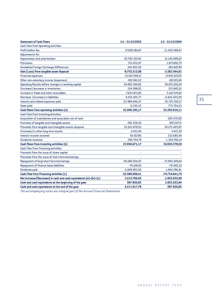| <b>Statement of Cash Flows</b>                                   | 1/1 - 31/12/2005 | 1/1 - 31/12/2004 |
|------------------------------------------------------------------|------------------|------------------|
| <b>Cash flow from Operating Activities</b>                       |                  |                  |
| <b>Profit before Tax</b>                                         | 17.028.184,67    | 11.430.568,47    |
| Adjustments for:                                                 |                  |                  |
| <b>Depreciation and amortization</b>                             | 20.700.307,92    | 21.140.089,67    |
| <b>Provisions</b>                                                | 722.672,07       | 1.877.602,75     |
| <b>Unrealized Foreign Exchange Differences</b>                   | 342.825,50       | -381.847,99      |
| Gain (Loss) from tangible asset disposal                         | $-9.755.315,99$  | $-2.562.044,91$  |
| <b>Financial expenses</b>                                        | 25.637.348,17    | 27.635.657,05    |
| Other non-monetary income (expenses)                             | $-192.661,52$    | $-69.015,00$     |
| Operating Results before changes in working capital              | 54.483.360,82    | 59.071.010,04    |
| (Increase) decrease in Inventories                               | $-324.588,05$    | 153.845,01       |
| Increase in Trade and other receivables                          | $-7.653.871.85$  | $-5.427.174,02$  |
| Decrease (Increase) in liabilities                               | 9.432.455,77     | $-6.642.025,00$  |
| Interest and related expenses paid                               | -22.984.646,27   | $-25.723.550,17$ |
| <b>Taxes paid</b>                                                | $-6.525,25$      | 773.704,25       |
| Cash flows from operating activities [a]                         | 32.946.185,17    | 22.205.810,11    |
| <b>Cash flow from Investing Activities</b>                       |                  |                  |
| Acquisition of subsidiaries and associates net of cash           |                  | $-265.570,00$    |
| Purchase of tangible and intangible assets                       | $-581.529,50$    | $-837.237,71$    |
| Proceeds from tangible and intangible assets disposal            | 23.052.679,03    | 50.271.405,87    |
| (Increase) in other long-term assets                             | $-3.651,00$      | $-3.671,20$      |
| Interest income received                                         | 92.617,85        | 223.685,40       |
| <b>Dividends received</b>                                        | 296.554,79       | 1.304.766,14     |
| <b>Cash flows from investing activities (b)</b>                  | 22.856.671,17    | 50.693.378,50    |
| <b>Cash flow from Financing activities</b>                       |                  |                  |
| Proceeds from the issue of share capital                         |                  |                  |
| Proceeds from the issue of short term borrowings                 |                  |                  |
| Repayment of long/short term borrowings                          | -45.666.054,55   | -72.843.109,64   |
| Repayment of finance lease liabilities                           | $-74.128,93$     | $-70.945,25$     |
| <b>Dividends paid</b>                                            | $-6.848.905,93$  | $-1.840.786,81$  |
| <b>Cash Flow from Financing activities (c)</b>                   | -52.589.089,41   | -74.754.841,70   |
| Net Increase/(Decrease) in cash and cash equivalents (a)+(b)+(c) | 3.213.766,93     | $-1.855.653,09$  |
| Cash and cash equivalents at the beginning of the year           | 997.850,85       | 2.853.503,94     |
| Cash and cash equivalents at the end of the year                 | 4.211.617,78     | 997.850,85       |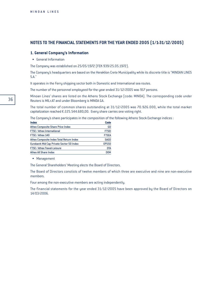# **NOTES TO THE FINANCIAL STATEMENTS FOR THE YEAR ENDED 2005 (1/1-31/12/2005)**

## **1. General Company's Information**

• General Information

The Company was established on 25/05/1972 (FEK 939/25.05.1972).

The Company's headquarters are based on the Heraklion Crete Municipality while its discrete title is "MINOAN LINES S.A."

It operates in the Ferry shipping sector both in Domestic and International sea routes.

The number of the personnel employeed for the year ended 31/12/2005 was 917 persons.

Minoan Lines' shares are listed on the Athens Stock Exchange (code: MINOA). The corresponding code under Reuters is MILr.AT and under Bloomberg is MINOA GA.

The total number of common shares outstanding at 31/12/2005 was 70.926.000, while the total market capitalization reached  $\epsilon$  225.544.680,00. Every share carries one voting right.

The Company's share participates in the composition of the following Athens Stock Exchange indices :

| <b>Index</b>                             | Code         |
|------------------------------------------|--------------|
| <b>Athex Composite Share Price Index</b> | GD           |
| <b>FTSE</b> / Athex International        | <b>FTSEI</b> |
| FTSE / Athex 140                         | <b>FTSEA</b> |
| Athex Composite Index Total Return Index | <b>SAGD</b>  |
| Eurobank Mid Cap Private Sector 50 Index | <b>EPS50</b> |
| <b>FTSE / Athex Travel-Leisure</b>       | <b>DTA</b>   |
| Athex All Share Index                    | <b>DOM</b>   |

• Management

The General Shareholders' Meeting elects the Board of Directors.

The Board of Directors constists of twelve members of which three are executive and nine are non-executive members.

Four among the non-executive members are acting independently.

The financial statements for the year ended 31/12/2005 have been approved by the Board of Directors on 14/03/2006.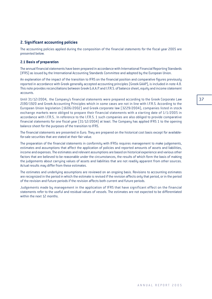# **2. Significant accounting policies**

The accounting policies applied during the composition of the financial statements for the fiscal year 2005 are presented below.

## **2.1 Basis of preparation**

The annual financial statements have been prepared in accordance with International Financial Reporting Standards (IFRS) as issued by the International Accounting Standards Committee and adopted by the European Union.

An explanation of the impact of the transition to IFRS on the financial position and comparative figures previously reported in accordance with Greek generally accepted accounting principles (Greek GAAP), is included in note 4.8. This note provides reconciliations between Greek G.A.A.P. and I.F.R.S. of balance sheet, equity and income statement accounts.

Until 31/12/2004, the Company's financial statements were prepared according to the Greek Corporate Law 2190/1920 and Greek Accounting Principles which in some cases are not in line with I.F.R.S. According to the European Union legislation (1606/2002) and Greek corporate law (3229/2004), companies listed in stock exchange markets were obliged to prepare their financial statements with a starting date of 1/1/2005 in accordance with I.F.R.S.. In reference to the I.F.R.S. 1 such companies are also obliged to provide comparative financial statements for one fiscal year (31/12/2004) at least. The Company has applied IFRS 1 to the opening balance sheet for the purposes of the transition to IFRS.

The financial statements are presented in Euro. They are prepared on the historical cost basis except for availablefor-sale securities that are stated at their fair value.

The preparation of the financial statements in conformity with IFRSs requires management to make judgements, estimates and assumptions that affect the application of policies and reported amounts of assets and liabilities, income and expenses. The estimates and relevant assumptions are based on historical experience and various other factors that are believed to be reasonable under the circumstances, the results of which form the basis of making the judgements about carrying values of assets and liabilities that are not readily apparent from other sources. Actual results may differ from these estimates.

The estimates and underlying assumptions are reviewed on an ongoing basis. Revisions to accounting estimates are recognized in the period in which the estimate is revised if the revision affects only that period, or in the period of the revision and future periods if the revision affects both current and future periods.

Judgements made by management in the application of IFRS that have significant effect on the financial statements refer to the useful and residual values of vessels. The estimates are not expected to be differentiated within the next 12 months.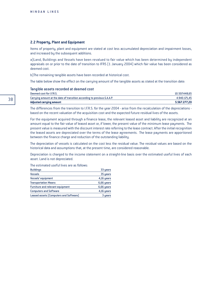#### **2.2 Property, Plant and Equipment**

Items of property, plant and equipment are stated at cost less accumulated depreciation and impairment losses, and increased by the subsequent additions.

a)Land, Buildings and Vessels have been revalued to fair value which has been determined by independent appraisals on or prior to the date of transition to IFRS [1 January 2004] which fair value has been considered as deemed cost.

b)The remaining tangible assets have been recorded at historical cost.

The table below show the effect on the carrying amount of the tangible assets as stated at the transition date:

#### Tangible assets recorded at deemed cost

| Deemed cost for I.F.R.S.                                                 | 10.507.448.65 |
|--------------------------------------------------------------------------|---------------|
| Carrying amount at the date of transition according to previous G.A.A.P. | 4.940.171.45  |
| Adjusted carrying amount                                                 | 5.567.277.20  |

The differences from the transition to I.F.R.S. for the year 2004 - arise from the recalculation of the depreciations based on the recent valuation of the acquisition cost and the expected future residual lives of the assets.

For the equipment acquired through a finance lease, the relevant leased asset and liability are recognized at an amount equal to the fair value of leased asset or, if lower, the present value of the minimum lease payments. The present value is measured with the discount interest rate referring to the lease contract. After the initial recognition the leased assets are depreciated over the terms of the lease agreements. The lease payments are apportioned between the finance charge and reduction of the outstanding liability.

The depreciation of vessels is calculated on the cost less the residual value. The residual values are based on the historical data and assumptions that, at the present time, are considered reasonable.

Depreciation is charged to the income statement on a straight-line basis over the estimated useful lives of each asset. Land is not depreciated.

| <b>Buildings</b>                       | 33 years   |
|----------------------------------------|------------|
| <b>Vessels</b>                         | 35 years   |
| Vessels' equipment                     | 4,16 years |
| <b>Transportation Means</b>            | 6,66 years |
| Furniture and relevant equipment       | 6,66 years |
| <b>Computers and Software</b>          | 4,16 years |
| Leased assets (Computers and Software) | 3 years    |

#### The estimated useful lives are as follows: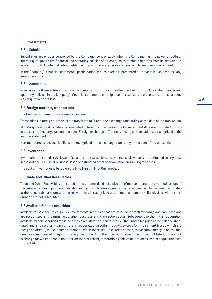# **2.3 Investments**

#### 2.3.a Subsidiaries

Subsidiaries are entities controlled by the Company. Control exists when the Company has the power directly or indirectly, to govern the financial and operating policies of an entity so as to obtain benefits from its activities. In assessing control, potential voting rights that presently are exercisable or convertible are taken into account.

In the Company's financial statements, participation in subsidiaries is presented at the acquisition cost less any impairment loss.

# 2.3.b Associates

Associates are those entities for which the Company has significant influence, but no control, over the financial and operating policies. In the Company's financial statements participation in associates is presented at the cost value less any impairment loss.

#### **2.4 Foreign currency transactions**

The financial statements are presented in Euro.

Transactions in foreign currencies are translated to Euro at the exchange rates ruling at the date of the transaction.

Monetary assets and liabilities denominated in foreign currencies at the balance sheet date are translated to Euro at the closing exchange rate on that date. Foreign exchange differences arising on translation are recognized in the income statement.

Non-monetary assets and liabilities are recognized at the exchange rate ruling at the date of the transaction.

### **2.5 Inventories**

Inventories are stated at the lower of cost and net realisable value. Net realisable value is the estimated selling price in the ordinary course of business, less the estimated costs of completion and selling expenses.

The cost of inventories is based on the FIFO (First In First Out) method.

# **2.6 Trade and Other Receivables**

Trade and Other Receivables are stated at the umamortised cost with the effective interest rate method, except of the cases which an impairment indication exists. In such cases a provision is determined while the item is estimated at the recoverable amount and the relevant loss is recognized at the income statement. Receivables with a short duration are not discounted.

# **2.7 Available for sale securities**

Available for sale securities include investments in entities that are listed on a stock exchange and non listed and are recognized at the initial acquisition cost less any transaction costs. Subsequent to the initial recognition available for sale securities for listed entities are stated at their fair value (the quoted bid price at the balance sheet date) and any resultant gain or loss is recognized directly in equity, except for impairment losses which are recognisd directly in the income statement. When these securities are disposed, the accumulated gain or loss that previously recognized in equity is recognized directly in the income statement. Securities not listed in the stock exchange for which there is no other method of reliably determining fair value are measured at acquisition cost (note 3.14).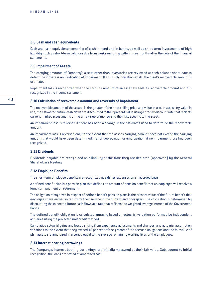#### **2.8 Cash and cash equivalents**

Cash and cash equivalents comprise of cash in hand and in banks, as well as short term investments of high liquidity, such as short-term balances due from banks maturing within three months after the date of the financial statements.

#### **2.9 Impairment of Assets**

The carrying amounts of Company's assets other than inventories are reviewed at each balance sheet date to determine if there is any indication of impairment. If any such indication exists, the asset's recoverable amount is estimated.

Impairment loss is recognized when the carrying amount of an asset exceeds its recoverable amount and it is recognized in the income statement.

#### **2.10 Calculation of recoverable amount and reversals of impairment**

The recoverable amount of the assets is the greater of their net selling price and value in use. In assessing value in use, the estimated future cash flows are discounted to their present value using a pre-tax discount rate that reflects current market assessments of the time value of money and the risks specific to the asset.

An impairment loss is reversed if there has been a change in the estimates used to determine the recoverable amount.

An impairment loss is reversed only to the extent that the asset's carrying amount does not exceed the carrying amount that would have been determined, net of depreciation or amortisation, if no impairment loss had been recognized.

### **2.11 Dividends**

Dividends payable are recognized as a liability at the time they are declared (approved) by the General Shareholder's Meeting.

#### **2.12 Employee Benefits**

The short term employee benefits are recognized as salaries expenses on an accrued basis.

A defined benefit plan is a pension plan that defines an amount of pension benefit that an employee will receive a lump sum payment on retirement.

The obligation recognized in respect of defined benefit pension plans is the present value of the future benefit that employees have earned in return for their service in the current and prior years. The calculation is determined by discounting the expected future cash flows at a rate that reflects the weighted average interest of the Government bonds.

The defined benefit obligation is calculated annually based on actuarial valuation performed by independent actuaries using the projected unit credit method.

Cumulative actuarial gains and losses arising from experience adjustments and changes, and actuarial assumption variations to the extent that they exceed 10 per cent of the greater of the accrued obligations and the fair value of plan assets are amortized in a period equal to the average remaining working lives of the employees.

## **2.13 Interest bearing borrowings**

The Company's interest bearing borrowings are initially measured at their fair value. Subsequent to initial recognition, the loans are stated at amortized cost.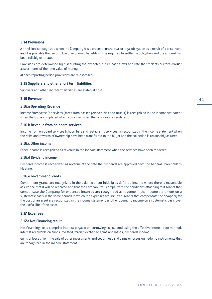# **2.14 Provisions**

A provision is recognized when the Company has a present contractual or legal obligation as a result of a past event and it is probable that an outflow of economic benefits will be required to settle the obligation and the amount has been reliably estimated.

Provisions are determined by discounting the expected future cash flows at a rate that reflects current market assessments of the time value of money.

At each reporting period provisions are re-assessed.

#### **2.15 Suppliers and other short term liabilities**

Suppliers and other short-term liabilities are stated at cost.

#### **2.16 Revenue**

#### 2.16.a Operating Revenue

Income from vessel's services (fares from passengers vehicles and trucks) is recognized in the income statement when the trip is completed which coincides when the services are rendered.

## 2.16.b Revenue from on-board services

Income from on-board services (shops, bars and restaurants services) is recognized in the income statement when the risks and rewards of ownership have been transferred to the buyer and the collection is reasonably assured.

#### 2.16.c Other income

Other income is recognized as revenue in the income statement when the services have been rendered.

#### 2.16.d Dividend income

Dividend income is recognized as revenue at the date the dividends are approved from the General Shareholder's Meeting.

#### 2.16.e Government Grants

Government grants are recognized in the balance sheet initially as deferred income where there is reasonable assurance that it will be received and that the Company will comply with the conditions attaching to it.Grants that compensate the Company for expenses incurred are recognized as revenue in the income statement on a systematic basis in the same periods in which the expenses are incurred. Grants that compensate the company for the cost of an asset are recognized in the income statement as other operating income on a systematic basis over the useful life of the asset.

# **2.17 Expenses**

#### 2.17.a Net Financing result

Net financing costs comprise interest payable on borrowings calculated using the effective interest rate method, interest receivable on funds invested, foreign exchange gains and losses, dividends income,

gains or losses from the sale of other investments and securities , and gains or losses on hedging instruments that are recognized in the income statement.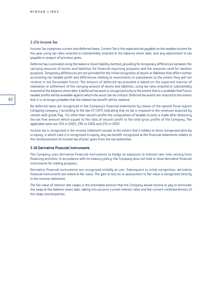# 2.17h Income Tax

Income Tax comprises current and deferred taxes. Current Tax is the expected tax payable on the taxable income for the year using tax rates enacted or substantially enacted at the balance sheet date, and any adjustment to tax payable in respect of previous years.

Deferred tax is provided using the balance sheet liability method, providing for temporary differences between the carrying amounts of assets and liabilities for financial reporting purposes and the amounts used for taxation purposes. Temporary differences are not provided for the initial recognition of assets or liabilities that affect neither accounting nor taxable profit and differences relating to investments in subsidiaries to the extent they will not reverse in the forseeable future. The amount of deferred tax provided is based on the expected manner of realisation or settlement of the carrying amount of assets and liabilities, using tax rates enacted or substantially enacted at the balance sheet date. A deferred tax asset is recognized only to the extent that it is probable that future taxable profits will be available against which the asset can be utilized. Deferred tax assets are reduced to the extent that it is no longer probable that the related tax benefit will be realized.

No deferred taxes are recognized in the Company's financial statements by reason of the special fiscal regime (shipping company ) according to the law 27/1975 indicating that no tax is imposed to the revenues acquired by vessels with greek flag. For other than vessel's profits the computation of taxable income is made after deducting the tax free amount which equals to the ratio of vessel's profit to the total gross profits of the Company. The applicable rates are 32% in 2005, 29% in 2006 and 25% in 2007.

Income tax is recognized in the income statement except to the extent that it relates to items recognized directly in equity, in which case it is recognized in equity. Any tax benefit recognized at the financial statements relates to the reimbursement of income tax of prior years from the tax authorities

# **2.18 Derivative financial instruments**

The Company uses derivative financial instruments to hedge its exposure to interest rate risks arising from financing activities. In accordance with its treasury policy, the Company does not hold or issue derivative financial instruments for trading purposes.

Derivative financial instruments are recognized initially at cost. Subsequent to initial recognition, derivative financial instruments are stated at fair value. The gain or loss on re-assessment to fair value is recognized directly in the income statement.

The fair value of interest rate swaps is the estimated amount that the Company would receive or pay to terminate the swap at the balance sheet date, taking into account current interest rates and the current creditworthiness of the swap counterparties.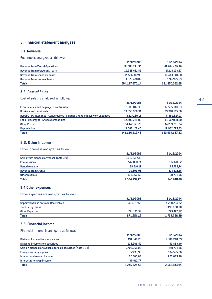# **3. Financial statement analyses**

# **3.1. Revenue**

Revenue is analyzed as follows:

|                                       | 31/12/2005     | 31/12/2004     |
|---------------------------------------|----------------|----------------|
| <b>Revenue from Vessel Operations</b> | 171.521.221.55 | 162.014.469,80 |
| Revenue from restaurant - bars        | 19.223.661.82  | 17.114.193,27  |
| Revenue from shops on board           | 11.576.347.90  | 10.443.681,78  |
| Revenue from slot machines            | 1.876.438.87   | 1.977.677,23   |
| <b>Totals</b>                         | 204.197.670.14 | 191.550.022,08 |

# **3.2. Cost of Sales**

Cost of sales is analyzed as follows:

| 31/12/2005     | 31/12/2004     |
|----------------|----------------|
| 32.383.812.38  | 32.565.148,03  |
| 53.650.970,91  | 39.910.115,50  |
| 8.517.289,15   | 5.589.327,93   |
| 12.590.341,89  | 11.567.038,89  |
| 14.447.571.70  | 14.239.781,04  |
| 19.566.126,40  | 19.962.775,83  |
| 141.156.112.43 | 123.834.187.22 |
|                |                |

# **3.3. Other Income**

Other income is analyzed as follows:

|                                          | 31/12/2005   | 31/12/2004 |
|------------------------------------------|--------------|------------|
| Gains from disposal of vessel (note 3.9) | 2.083.587,36 |            |
| <b>Commissions</b>                       | 142.838,21   | 137.178,92 |
| Rental revenue                           | 38.516.12    | 68.722,74  |
| <b>Revenue from Grants</b>               | 10.396.93    | 314.223,16 |
| Other revenue                            | 108.860.58   | 20.724,06  |
| <b>Totals</b>                            | 2.384.199,20 | 540.848,88 |

# **3.4 Other expenses**

Other expenses are analyzed as follows:

|                                      | 31/12/2005 | 31/12/2004   |
|--------------------------------------|------------|--------------|
| Impairment loss on trade Receivables | 400.817.65 | 1.258.764,22 |
| Third party claims                   |            | 193.000,00   |
| Other Expenses                       | 271.133.54 | 279.472,27   |
| <b>Totals</b>                        | 671.951.19 | 1.731.236,49 |

# **3.5. Financial Income**

Financial income is analyzed as follows:

|                                                               | 31/12/2005   | 31/12/2004   |
|---------------------------------------------------------------|--------------|--------------|
| Dividend Income from associates                               | 191.348.20   | 1.300.240,39 |
| Dividend Income from securities                               | 105.206.59   | 52.868,40    |
| Gain on disposal of available for sale securities (note 3.14) | 7.798.658,96 | 450.724,86   |
| Foreign exchange gains                                        | 57.493.95    | 534.525,86   |
| Interest and related income                                   | 62.605.08    | 223.685.40   |
| Interest rate swap income                                     | 30.012.77    |              |
| <b>Totals</b>                                                 | 8.245.325,55 | 2.562.044,91 |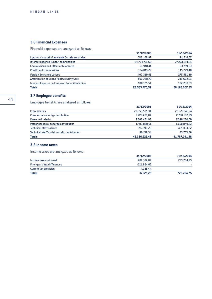# **3.6 Financial Expenses**

Financial expenses are analyzed as follows:

|                                                   | 31/12/2005    | 31/12/2004    |
|---------------------------------------------------|---------------|---------------|
| Loss on disposal of available for sale securities | 516.102.97    | 91.510,57     |
| Interest expense & bank commissions               | 24.764.721,66 | 27.223.014,91 |
| <b>Commissions on Letters of Guarantee</b>        | 53.918,41     | 63.759,83     |
| <b>Credit card commissions</b>                    | 134.813,77    | 115.279,40    |
| <b>Foreign Exchange Losses</b>                    | 400.319,45    | 275.551,30    |
| Amortization of Loans Restructuring Cost          | 503.768,79    | 233.602,91    |
| Interest Expense on European Committee's Fine     | 180.125.54    | 182.288,33    |
| <b>Totals</b>                                     | 26.553.770.59 | 28.185.007.25 |

# **3.7 Employee benefits**

Employee benefits are analyzed as follows:

| <b>Totals</b>                                | 42.366.929,46 | 41.787.041.38 |
|----------------------------------------------|---------------|---------------|
| Technical staff social security contribution | 90.218.34     | 83.755,06     |
| <b>Technical staff salaries</b>              | 516.596.20    | 431.033,57    |
| Personnel social security contribution       | 1.709.850,61  | 1.658.840,63  |
| <b>Personnel salaries</b>                    | 7.666.451.93  | 7.048.264,09  |
| Crew social security contribution            | 2.728.281.04  | 2.788.102,29  |
| <b>Crew salaries</b>                         | 29.655.531.34 | 29.777.045,74 |
|                                              | 31/12/2005    | 31/12/2004    |

# **3.8 Income taxes**

Income taxes are analyzed as follows:

|                              | 31/12/2005    | 31/12/2004 |
|------------------------------|---------------|------------|
| Income taxes returned        | 209.162.84    | 773.704,25 |
| Prior years' tax differences | $-211.664.65$ |            |
| Current tax provision        | $-4.023.44$   |            |
| <b>Totals</b>                | $-6.525.25$   | 773.704,25 |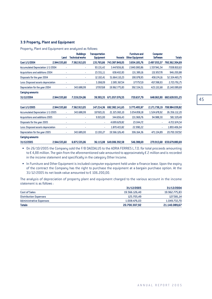# **3.9 Property, Plant and Equipment**

Property, Plant and Equipment are analyzed as follows:

|                                        | Land         |   | <b>Buildings</b><br><b>Technical works</b> | Transportation<br><b>Equipment</b> | <b>Vessels</b> | <b>Furniture and</b><br><b>Other Equipmnet</b> | <b>Computer</b><br><b>Software</b> | <b>Totals</b>  |
|----------------------------------------|--------------|---|--------------------------------------------|------------------------------------|----------------|------------------------------------------------|------------------------------------|----------------|
| Cost 1/1/2004                          | 2.944.535,60 |   | 7.562.913.05                               | 135,765,66                         | 743.387.849,05 | 3.834.185,76                                   | 2.497.055,57                       | 760.362.304.69 |
| Accumulated Depreciation 1/1/2004      |              |   | ٠                                          | 93.131,42                          | 3.447.656,81   | 2.840.080,86                                   | 1.557.941,54                       | 7.938.810,63   |
| <b>Acquisitions and additions 2004</b> |              | ٠ | ٠                                          | 23.551,11                          | 658.402.83     | 131.389.16                                     | 132.857,78                         | 946.200,88     |
| Disposals for the year 2004            |              | ۰ | ٠                                          | 12.102.41                          | 51.664.110.23  | 190.078.95                                     | 458.174,16                         | 52.324.465,75  |
| Less: Disposed assets depreciation     |              | ٠ | ٠                                          | 3.268.09                           | 2.085.367.54   | 177.757.19                                     | 457.398,93                         | 2.723.791,75   |
| Depreciation for the year 2004         |              | ٠ | 343.688.99                                 | 17.957.68                          | 19.962.775.83  | 392.534,51                                     | 423.132,68                         | 21.140.089,69  |
| <b>Carrying amounts</b>                |              |   |                                            |                                    |                |                                                |                                    |                |
| 31/12/2004                             | 2.944.535.60 |   | 7.219.224.06                               | 39.393.35                          | 671.057.076.55 | 720.637.79                                     | 648,063,90                         | 682.628.931.25 |

| Cost 1/1/2005                          | 2.944.535,60 | 7.562.913.05 | 147.214.36 | 692.382.141.65 | 3.775.495,97 | 2.171.739.19 | 708.984.039,82 |
|----------------------------------------|--------------|--------------|------------|----------------|--------------|--------------|----------------|
| Accumulated Depreciation 1/1/2005      | ٠            | 343.688.99   | 107.821.01 | 21.325.065,10  | 3.054.858.18 | 1.524.678.92 | 26.356.112,20  |
| <b>Acquisitions and additions 2005</b> |              | ٠            | 9.915,00   | 344.656.43     | 131.969.76   | 94.988.30    | 581.529,49     |
| Disposals for the year 2005            |              | ۰            | ۰          | 4.699.629.82   | 23.044,72    | ۰            | 4.722.674,54   |
| Less: Disposed assets depreciation     | ٠            | ۰            |            | 1.870.415.82   | 22.990.22    | ۰            | 1.893.406,04   |
| Depreciation for the year 2005         | ۰            | 343.689.00   | 13.193.27  | 19.566.126.40  | 306.164,36   | 471.134.89   | 20.700.307,92  |
| <b>Carrying amounts</b>                |              |              |            |                |              |              |                |
| 31/12/2005                             | 2.944.535.60 | 6.875.535.06 | 36.115.08  | 649.006.392.58 | 546.388.69   | 270.913.68   | 659.679.880.69 |

• On 26/10/2005 the Company sold the F/B DAEDALUS to the ADRIA FERRIES L.T.D. for total proceeds amounting to  $\epsilon$  4,88 million. The gain from the aforementioned sale amounted to approximately  $\epsilon$  2 million and is recorded in the income statement and specifically in the category Other Income.

• In Furniture and Other Equipment is included computer equipment held under a finance lease. Upon the expiry of the contract the Company has the right to purchase the equipment at a bargain purchase option. At the  $31/12/2005$  its net book value amounted to  $\epsilon$  106.200,00.

The analysis of depreciation of property plant and equipment charged to the various account in the income statement is as follows :

|                                | 31/12/2005    | 31/12/2004    |
|--------------------------------|---------------|---------------|
| <b>Cost of Sales</b>           | 19.566.126.40 | 19.962.775,83 |
| <b>Distribution Expenses</b>   | 125.705.49    | 127.581,14    |
| <b>Administrative Expenses</b> | 1.008.476.03  | 1.049.732,70  |
| <b>Totals</b>                  | 20,700,307,92 | 21.140.089,67 |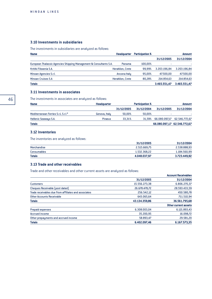# **3.10 Investments in subsidiaries**

The investments in subsidiaries are analyzed as follows:

| <b>Name</b>                                                        | <b>Headquarter</b>      | <b>Participation %</b> |              | Amount       |
|--------------------------------------------------------------------|-------------------------|------------------------|--------------|--------------|
|                                                                    |                         |                        | 31/12/2005   | 31/12/2004   |
| European Thalassic Agencies Shipping Management & Consultants S.A. | Panama                  | 100.00%                |              |              |
| Kritiki Filoxenia S.A.                                             | <b>Heraklion, Crete</b> | 99.99%                 | 3.203.196.84 | 3.203.196,84 |
| Minoan Agencies S.r.l.                                             | Ancona Italy            | 95.00%                 | 47,500,00    | 47.500,00    |
| <b>Minoan Cruises S.A.</b>                                         | <b>Heraklion, Crete</b> | 80.28%                 | 214.854.63   | 214.854,63   |
| <b>Totals</b>                                                      |                         |                        | 3.465.551,47 | 3.465.551.47 |

# **3.11 Investments in associates**

The investments in associates are analyzed as follows:

| <b>Name</b>                         | <b>Headquarter</b> | <b>Participation %</b> |            | Amount        |                             |
|-------------------------------------|--------------------|------------------------|------------|---------------|-----------------------------|
|                                     |                    | 31/12/2005             | 31/12/2004 | 31/12/2005    | 31/12/2004                  |
| Mediterranean Ferries S.r.L S.r.I.* | Genova, Italy      | 50.00%                 | 50.00%     |               |                             |
| <b>Hellenic Seaways S.A.</b>        | <b>Piraeus</b>     | 33.31%                 | 31.59%     | 66.080.097.17 | 62.546.772.67               |
| <b>Totals</b>                       |                    |                        |            |               | 66.080.097.17 62.546.772.67 |

# **3.12 Inventories**

The inventories are analyzed as follows:

| Totals      | 4.048.037.97 | 3.723.449,92 |
|-------------|--------------|--------------|
| Consumables | 1.532.368.22 | 1.184.560,99 |
| Merchandise | 2.515.669.75 | 2.538.888,93 |
|             | 31/12/2005   | 31/12/2004   |

# **3.13 Trade and other receivables**

Trade and other receivables and other current assets are analyzed as follows:

|                                                      |               | <b>Account Receivables</b>  |
|------------------------------------------------------|---------------|-----------------------------|
|                                                      | 31/12/2005    | 31/12/2004                  |
| <b>Customers</b>                                     | 15.556.273,38 | 6.806.270,37                |
| Cheques Receivable (post dated)                      | 26.678.478,72 | 28.593.433,59               |
| Trade receivables due from affiliates and associates | 256.542,12    | 450.580,78                  |
| <b>Other Accounts Receivable</b>                     | 643.065.64    | 711.510,94                  |
| <b>Totals</b>                                        | 43.134.359,86 | 36.561.795,68               |
|                                                      |               | <b>Other current assets</b> |
| <b>Prepaid expenses</b>                              | 6.308.003.04  | 6.121.893,43                |
| <b>Accrued income</b>                                | 35.200,95     | 16.098,72                   |
| Other prepayments and accrued income                 | 58.893.47     | 29.581,20                   |
| <b>Totals</b>                                        | 6.402.097,46  | 6.167.573,35                |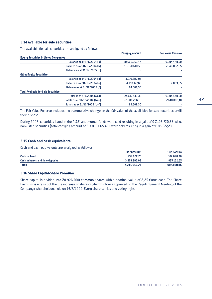# **3.14 Available for sale securities**

The available for sale securities are analyzed as follows:

|                                              | <b>Carrying amount</b> | <b>Fair Value Reserve</b> |
|----------------------------------------------|------------------------|---------------------------|
| <b>Equity Securities in Listed Companies</b> |                        |                           |
| Balance as at 1/1/2004 [a]                   | 20.660.262,44          | 9.904.448,60              |
| Balance as at 31/12/2004 [b]                 | 18.050.618,55          | 7.646.082,25              |
| Balance as at 31/12/2005 [c]                 |                        |                           |
| <b>Other Equity Securities</b>               |                        |                           |
| Balance as at 1/1/2004 [d]                   | 3.971.880,95           |                           |
| Balance as at 31/12/2004 [e]                 | 4.150.177,60           | 2.003,85                  |
| Balance as at 31/12/2005 [f]                 | 64.508,30              |                           |
| <b>Total Available for Sale Securities</b>   |                        |                           |
| Total as at $1/1/2004$ $(a+d)$               | 24.632.143.39          | 9.904.448.60              |
| Totals as at 31/12/2004 [b+e]                | 22.200.796,15          | 7.648.086,10              |
| Totals as at 31/12/2005 [c+f]                | 64.508.30              |                           |

The Fair Value Reserve includes the cummulative change on the fair value of the availables for sale securities untill their disposal.

During 2005, securities listed in the A.S.E. and mutual funds were sold resulting in a gain of € 7.195.720,32. Also, non-listed securities (total carrying amount of € 3.819.665,45) were sold resulting in a gain of € 85.677,73

## **3.15 Cash and cash equivalents**

Cash and cash equivalents are analyzed as follows:

| <b>Totals</b>                   | 4.211.617.78 | 997.850,85 |
|---------------------------------|--------------|------------|
| Cash in banks and time deposits | 3.978.995.08 | 835.152,55 |
| Cash on hand                    | 232.622.70   | 162.698,30 |
|                                 | 31/12/2005   | 31/12/2004 |

#### **3.16 Share Capital-Share Premium**

Share capital is divided into 70.926.000 common shares with a nominal value of 2,25 €uros each. The Share Premium is a result of the the increase of share capital which was approved by the Regular General Meeting of the Company's shareholders held on 16/5/1999. Every share carries one voting right.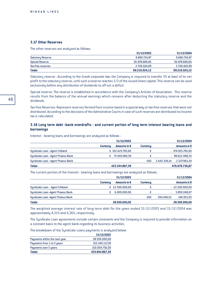# **3.17 Other Reserves**

The other reserves are analyzed as follows:

| <b>Totals</b>            | 69.216.024.12 | 69.216.024,12 |
|--------------------------|---------------|---------------|
| Tax-free reserves        | 2.556.610.09  | 2.556.610,09  |
| <b>Special Reserve</b>   | 56.978.689.06 | 56.978.689,06 |
| <b>Statutory Reserve</b> | 9.680.724.97  | 9.680.724,97  |
|                          | 31/12/2005    | 31/12/2004    |

Statutory reserve : According to the Greek corporate law, the Company is required to transfer 5% at least of its net profit to the statutory reserve, until such a reserve reaches 1/3 of the issued share capital. This reserve can be used exclusively before any distribution of dividends to off-set a deficit.

Special reserve: The reserve is established in accordance with the Company's Articles of Association. This reserve results from the balance of the annual earnings which remains after deducting the statutory reserve and the dividends.

Tax-free Reserves: Represent reserves formed from income taxed in a special way or tax-free reserves that were not distributed. According to the decisions of the Admistrative Courts in case of such reserves are distributed no income tax is calculated.

# **3.18 Long term debt -bank overdrafts - and current portion of long term interest bearing loans and borrowings**

|                                     | 31/12/2005      |                       |                 | 31/12/2004   |                   |
|-------------------------------------|-----------------|-----------------------|-----------------|--------------|-------------------|
|                                     | <b>Currencu</b> | Amounts in $\epsilon$ | <b>Currency</b> |              | Amounts in €      |
| Syndicate Loan - Agent Citibank     |                 | € 352.425.783,00      | €               |              | $-374.925.783,00$ |
| Syndicate Loan - Agent Piraeus Bank |                 | 72.919.084.39         | €               |              | $-98.622.990.33$  |
| Syndicate Loan - Agent Piraeus Bank |                 | ٠                     | <b>USD</b>      | 3.443.339.14 | 2.527.963.54      |
| <b>Totals</b>                       |                 | 425.344.867.39        |                 |              | 476.076.736.87    |

Interest - bearing loans and borrowings are analyzed as follows :

The current portion of the Interest - bearing loans and borrowings are analyzed as follows:

|                                     | 31/12/2005      |                       |                 | 31/12/2004 |                       |
|-------------------------------------|-----------------|-----------------------|-----------------|------------|-----------------------|
|                                     | <b>Currencu</b> | Amounts in $\epsilon$ | <b>Currency</b> |            | Amounts in $\epsilon$ |
| Syndicate Loan - Agent Citibank     |                 | € 22.500.000,00       | €               |            | $-22.500.000,00$      |
| Syndicate Loan - Agent Piraeus Bank |                 | 6.000.000,00          |                 |            | 5.850.048,07          |
| Syndicate Loan - Agent Piraeus Bank |                 |                       | usd             | 204.249.52 | 149.951,93            |
| <b>Totals</b>                       |                 | 28.500.000,00         |                 |            | 28.500.000,00         |

The weighted average interest rate of long-term debt for the years ended 31/12/2005 and 31/12/2004 was approximately 4,31% and 4,36%, respectively.

The Syndicate Loan agreements include certain covenants and the Company is required to provide information on a constant basis to the agent bank regarding its business activities.

The breakdown of the Syndicate Loans payments is analyzed below:

|                               | 31/12/2005     |
|-------------------------------|----------------|
| Payments within the next year | 28.500.000.00  |
| Payments from 1 to 5 years    | 215.340.117.39 |
| Payments over 5 years         | 210.004.750.00 |
| <b>Totals</b>                 | 453.844.867,39 |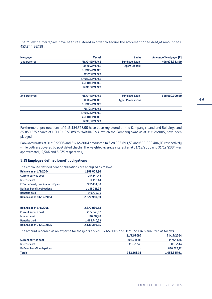The following mortgages have been registered in order to secure the aforementioned debt, of amount of  $\epsilon$ 453.844.867,39 :

| <b>Mortgage</b> | <b>Vessel</b>          | <b>Banks</b>              | Amount of Mortgage [€] |
|-----------------|------------------------|---------------------------|------------------------|
| 1st preferred   | <b>ARIADNE PALACE</b>  | Syndicate Loan -          | 408.675.783,00         |
|                 | <b>EUROPA PALACE</b>   | <b>Agent Citibank</b>     |                        |
|                 | <b>OLYMPIA PALACE</b>  |                           |                        |
|                 | <b>FESTOS PALACE</b>   |                           |                        |
|                 | <b>KNOSSOS PALACE</b>  |                           |                        |
|                 | <b>PASIPHAE PALACE</b> |                           |                        |
|                 | <b>IKARUS PALACE</b>   |                           |                        |
| 2nd preferred   | <b>ARIADNE PALACE</b>  | Syndicate Loan -          | 158.000.000.00         |
|                 | <b>EUROPA PALACE</b>   | <b>Agent Piraeus bank</b> |                        |
|                 | <b>OLYMPIA PALACE</b>  |                           |                        |
|                 | <b>FESTOS PALACE</b>   |                           |                        |
|                 | <b>KNOSSOS PALACE</b>  |                           |                        |
|                 | <b>PASIPHAE PALACE</b> |                           |                        |
|                 | <b>IKARUS PALACE</b>   |                           |                        |
|                 |                        |                           |                        |

Furthermore, pre-notations of € 13.154.748,66 have been registered on the Company's Land and Buildings and 25.850.775 shares of HELLENIC SEAWAYS MARITIME S.A, which the Company owns as at 31/12/2005, have been pledged.

Bank overdrafts at 31/12/2005 and 31/12/2004 amounted to € 28.083.893,59 and € 22.868.406,02 respectively while both are covered by post dated checks. The weighted average interest as at 31/12/2005 and 31/12/2004 was approximately 5,54% and 5,67% respectively.

# **3.19 Employee defined benefit obligations**

The employee defined benefit obligations are analyzed as follows:

| <b>Balance as at 1/1/2004</b>       | 1.999.609,34  |
|-------------------------------------|---------------|
| <b>Current service cost</b>         | 147.644,45    |
| Interest cost                       | 80.152,44     |
| Effect of early termination of plan | $-362.434.00$ |
| Defined benefit obligations         | 1.148.721,25  |
| <b>Benefits paid</b>                | -140.726,95   |
| <b>Balance as at 31/12/2004</b>     | 2.872.966,53  |

| <b>Balance as at 1/1/2005</b>   | 2.872.966.53    |
|---------------------------------|-----------------|
| Current service cost            | 205.945.87      |
| Interest cost                   | 116.217.48      |
| <b>Benefits paid</b>            | $-1.064.740.53$ |
| <b>Balance as at 31/12/2005</b> | 2.130.389.35    |

The amount recorded as an expense for the years ended 31/12/2005 and 31/12/2004 is analyzed as follows:

|                             | 31/12/2005 | 31/12/2004   |
|-----------------------------|------------|--------------|
| Current service cost        | 205.945.87 | 147.644,45   |
| Interest cost               | 116,217,48 | 80.152,44    |
| Defined benefit obligations |            | 830.528,72   |
| <b>Totals</b>               | 322.163,35 | 1.058.325,61 |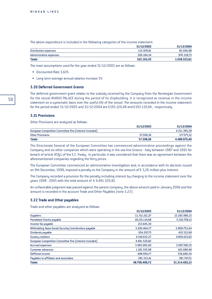The above expenditure is included in the following categories of the income statement:

|                         | 31/12/2005 | 31/12/2004   |
|-------------------------|------------|--------------|
| Distribution expenses   | 115.978.81 | 82.006,88    |
| Administrative expenses | 206.184.54 | 976.318,73   |
| <b>Totals</b>           | 322.163.35 | 1.058.325,61 |

The main assumptions used for the year ended 31/12/2005 are as follows:

- Discounted Rate 3,63%
- Long term average annual salaries increase 5%

#### **3.20 Deferred Government Grants**

The deferred government grant relates to the subsidy received by the Company from the Norwegian Government for the vessel IKARUS PALACE during the period of its shipbuilding. It is recognized as revenue in the income statement on a systematic basis over the useful life of the vessel. The amounts recorded in the income statement for the period ended 31/12/2005 and 31/12/2004 are  $£193.120,48$  and  $£193.119,94$ , respectively.

#### **3.21 Provisions**

Other Provisions are analyzed as follows:

|                                                         | 31/12/2005 | 31/12/2004   |
|---------------------------------------------------------|------------|--------------|
| European Competition Committee fine (interest included) |            | 4.311.395,28 |
| <b>Other Provisions</b>                                 | 57.308.36  | 177.575,12   |
| <b>Totals</b>                                           | 57,308,36  | 4.488.970.40 |

The Directorate General of the European Committee has commenced administrative proceedings against the Company and six other companies which were operating in the sea line Greece - Italy between 1987 and 1993 for breach of article 85§1 of the E.C. Treaty. In particular, it was considered that there was an agreement between the aforementioned companies regarding the ferry prices.

The European Committee commenced an administrative investigation and, in accordance with its decision issued on 9th December, 1998, imposed a penalty to the Company in the amount of  $\epsilon$  3,26 million plus interest.

The Company recorded a provision for the penalty including interest by charging to the income statement over the years 1998 - 2005 with the total amount of  $\epsilon$  4.491.520,82.

An unfavorable judgment was passed against the parent company, the above amount paid in January 2006 and the amount is recorded in the account Trade and Other Payables (note 3.22).

#### **3.22 Trade and Other payables**

Trade and other payables are analyzed as follows:

|                                                         | 31/12/2005    | 31/12/2004    |
|---------------------------------------------------------|---------------|---------------|
| <b>Suppliers</b>                                        | 11.712.212.37 | 15.283.980,15 |
| <b>Postdated Checks payable</b>                         | 18.135.114,68 | 3.319.708,13  |
| Income Tax payable                                      | 213.645,30    |               |
| Withholding Taxes-Social Security Contributions payable | 3.936.464.77  | 2.809.753,44  |
| Dividends payable                                       | 654.207.75    | 410.513,68    |
| <b>Sundry creditors</b>                                 | 4.318.632,27  | 4.859.023.65  |
| European Competition Committee fine (interest included) | 4.491.520.82  |               |
| <b>Accrued expenses</b>                                 | 3.083.092,60  | 3.097.390,55  |
| <b>Customer advances</b>                                | 1.181.335.98  | 615.689,48    |
| Deffered income                                         | 698.959,77    | 536,686,54    |
| Payables to affiliates and associates                   | 281.313,41    | 381.747,51    |
| <b>Totals</b>                                           | 48.706.499,72 | 31.314.493,13 |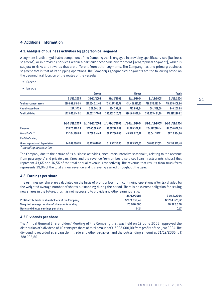# **4. Additional Information**

## **4.1. Analysis of business activities by geographical segment**

A segment is a distinguishable component of the Company that is engaged in providing specific services (business segment), or in providing services within a particular economic environment (geographical segment), which is subject to risks and rewards that are different from other segments. The Company has one primary business segment that is that of its shipping operations. The Company's geographical segments are the following based on the geographical location of the routes of the vessels:

- Greece
- Europe

|                                  | Greece         |                | <b>Europe</b>  |                | <b>Totals</b>  |                |
|----------------------------------|----------------|----------------|----------------|----------------|----------------|----------------|
|                                  | 31/12/2005     | 31/12/2004     | 31/12/2005     | 31/12/2004     | 31/12/2005     | 31/12/2004     |
| <b>Total non-current assets</b>  | 290.999.149,03 | 297.254.512.66 | 438.257.343.71 | 451.421.897,20 | 729.256.492.74 | 748.676.409,86 |
| Capital expenditure              | 247.137,39     | 222.301,24     | 334.392,11     | 723.899,64     | 581.529,50     | 946.200,88     |
| <b>Total Liabilities</b>         | 172.053.144,02 | 181.532.377.68 | 366.152.320.78 | 390.164.822.14 | 538.205.464.80 | 571.697.199,82 |
|                                  | 1/1-31/12/2005 | 1/1-31/12/2004 | 1/1-31/12/2005 | 1/1-31/12/2004 | 1/1-31/12/2005 | 1/1-31/12/2004 |
| Revenue                          | 65.870.470,05  | 57.060.699,87  | 138.327.200.09 | 134.489.322.21 | 204.197.670,14 | 191.550.022,08 |
| Gross Profit [*]                 | 23.304.188,85  | 17,769.814,44  | 39.737.368.86  | 49.946.020.42  | 63.041.557,71  | 67.715.834,86  |
| Profit before tax.               |                |                |                |                |                |                |
| financing costs and depreciation | 24.999.786.78  | 18.409.647.65  | 31.037.150.85  | 39.783.972.83  | 56.036.937.63  | 58.193.620,48  |
| $*includina donrociation$        |                |                |                |                |                |                |

*\* including depreciation*

The Company due to the nature of its business activities, encounters intensive seasonality relating to the revenue from passengers' and private cars' fares and the revenue from on-board services (bars - restaurants, shops) that represent 43,6% and 16,5% of the total annual revenue, respectively. The revenue that results from truck fares represents 39,9% of the total annual revenue and it is evenly earned throughout the year.

### **4.2. Earnings per share**

The earnings per share are calculated on the basis of profit or loss from continuing operations after tax divided by the weighted average number of shares outstanding during the period. There is no current obligation for issuing new shares in the future, thus it is not necessary to provide any other earnings ratio.

|                                                           | 31/12/2005    | 31/12/2004    |
|-----------------------------------------------------------|---------------|---------------|
| <b>Profit attributable to shareholders of the Company</b> | 17.021.659.42 | 12.204.272,72 |
| Weighted average number of shares outstanding             | 70.926.000    | 70.926.000    |
| Basic and diluted earnings per share                      | 0.24          | 0.17          |

#### **4.3 Dividends per share**

The Annual General Shareholders' Meeting of the Company that was held on 12 June 2005, approved the distribution of a dividend of 10 cents per share of total amount of € 7.092.600,00 from profits of the year 2004. The dividend is recorded as a payable in trade and other payables, and the outstanding amount at  $31/12/2005$  is  $\epsilon$ 388.265,80.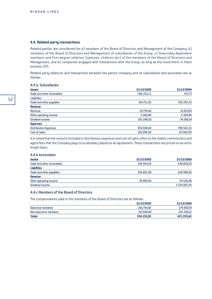## **4.4. Related-party transactions**

Related parties are considered the a) members of the Board of Directors and Management of the Company, b) members of the Board of Directors and Management of subsidiaries of the Group, c) financially dependent members and first-degree relatives (spouses, children etc) of the members of the Board of Directors and Management, and d) companies engaged with transactions with the Group, as long as the investment in them exceeds 20%.

Related party balances and transactions between the parent company and its subsidiaries and associates are as follows:

#### 4.4 a. Subsidiaries

| <b>Assets</b>                | 31/12/2005 | 31/12/2004 |
|------------------------------|------------|------------|
| Trade and other receivables  | 292.233,11 | 721,75     |
| <b>Liabilities</b>           |            |            |
| Trade and other payables     | 124.711,93 | 330.293,33 |
| Revenue                      |            |            |
| Revenue                      | 19.759,46  | 15.637,00  |
| Other operating income       | 2.360,84   | 2.360,84   |
| Dividend income              | 191.348,20 | 74.368,14  |
| <b>Expenses</b>              |            |            |
| <b>Distribution Expenses</b> | 832.618,40 | 790.542,31 |
| Cost of sales                | 216.090,00 | 217.462,00 |
|                              |            |            |

It is noted that the amount included in distribution expenses and cost of sales refers to the tickets commissions and agent fees that the Company pays to a subsidiary based on an agreement. These transactions are priced on an arm's length basis.

## 4.4.b Associates

| <b>Assets</b>               | 31/12/2005 | 31/12/2004   |
|-----------------------------|------------|--------------|
| Trade and other receivables | 193.954,03 | 449.859,03   |
| <b>Liabilities</b>          |            |              |
| Trade and other payables    | 156.601,48 | 229.969,45   |
| <b>Revenue</b>              |            |              |
| Other operating income      | 39.985.83  | 70.520.98    |
| Dividend income             |            | 1.225.872,25 |

# 4.4.c Members of the Board of Directors

The compensations paid to the members of the Board of Directors are as follows:

|                       | 31/12/2005 | 31/12/2004 |
|-----------------------|------------|------------|
| Executive members     | 316,744.82 | 179.987,29 |
| Non-executive members | 217,408.09 | 241.348,12 |
| <b>Totals</b>         | 534.152.91 | 421.335,41 |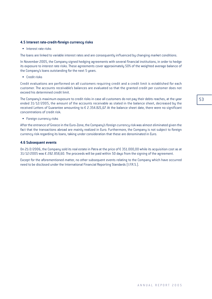# **4.5 Interest rate-credit-foreign currency risks**

• Interest rate risks

The loans are linked to variable interest rates and are consequently influenced by changing market conditions.

In November 2005, the Company signed hedging agreements with several financial institutions, in order to hedge its exposure to interest rate risks. These agreements cover approximately 50% of the weighted average balance of the Company's loans outstanding for the next 5 years.

• Credit risks

Credit evaluations are performed on all customers requiring credit and a credit limit is established for each customer. The accounts receivable's balances are evaluated so that the granted credit per customer does not exceed his determined credit limit.

The Company's maximum exposure to credit risks in case all customers do not pay their debts reaches, at the year ended 31/12/2005, the amount of the accounts receivable as stated in the balance sheet, decreased by the received Letters of Guarantee amounting to  $\epsilon$  2.354.821,67. At the balance sheet date, there were no significant concentrations of credit risk.

• Foreign currency risks

After the entrance of Greece in the Euro-Zone, the Company's foreign currency risk was almost eliminated given the fact that the transactions abroad are mainly realized in Euro. Furthermore, the Company is not subject to foreign currency risk regarding its loans, taking under consideration that these are denominated in Euro.

#### **4.6 Subsequent events**

On 21/2/2006, the Company sold its real estate in Patra at the price of  $\epsilon$  351.000,00 while its acquisition cost as at  $31/12/2005$  was  $\epsilon$  282.858,60. The proceeds will be paid within 50 days from the signing of the agreement.

Except for the aforementioned matter, no other subsequent events relating to the Company which have occurred need to be disclosed under the International Financial Reporting Standards (I.F.R.S.).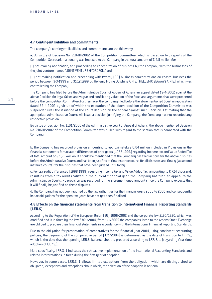#### **4.7 Contingent liabilities and commitments**

The company's contingent liabilities and commitments are the following:

a. By virtue of Decision No. 210/III/2002 of the Competition Committee, which is based on two reports of the Competition Secretariat, a penalty was imposed to the Company in the total amount of  $\epsilon$  4,5 million for:

(i) not making notification, and proceeding to concentration of business by the Company with the businesses of the joint venture named "JOINT VENTURE HYDROFOIL" and

(ii) not making notification and proceeding with twenty (20) business concentrations on coastal business the period between 3-3-1999 and 31-12-1999 by Hellenic Flying Dolphins A.N.E. (HELLENIC SEAWAYS A.N.E.) which was controlled by the Company.

The Company has filed before the Administrative Court of Appeal of Athens an appeal dated 19-4-2002 against the above Decision for legal falses and vague and conflicting valuation of the facts and arguments that were presented before the Competition Committee; furthermore, the Company filed before the aforementioned Court an application dated 22-4-2002 by virtue of which the execution of the above decision of the Competition Committee was suspended until the issuance of the court decision on the appeal against such Decision. Estimating that the appropriate Administrative Courts will issue a decision justifying the Company, the Company has not recorded any respective provision.

By virtue of Decision No. 1101/2005 of the Administrative Court of Appeal of Athens, the above mentioned Decision No. 210/III/2002 of the Competition Committee was nulled with regard to the section that is connected with the Company.

b. The Company has recorded provision amounting to approximately  $\epsilon$  0,04 million included in Provisions in the financial statements for tax audit differences of prior years (1985-1996) regarding income tax and Value Added Tax of total amount of  $\epsilon$  1,77 million. It should be mentioned that the Company has filed actions for the above disputes before the Administrative Courts and has been justified at first instance courts for all disputes and finally (at second instance courts) for the disputes that have been judged until today.

c. For tax audit differences (1998-1999) regarding income tax and Value Added Tax, amounting to  $\epsilon$  724 thousand, resulting from a tax audit realized in the current financial year, the Company has filed an appeal to the Administrative Courts. No provision was recorded for the aforementioned amount since the Company expects that it will finally be justified on these disputes.

d. The Company has not been audited by the tax authorities for the financial years 2000 to 2005 and consequently its tax obligations for the open tax years have not yet been finalized.

### **4.8 Effects on the financial statements from transition to International Financial Reporting Standards (I.F.R.S)**

According to the Regulation of the European Union (EU) 1606/2002 and the corporate law 2190/1920, which was modified and is in force by the law 3301/2004, from 1/1/2005 the companies listed to the Athens Stock Exchange are obliged to prepare their financial statements in accordance with the International Financial Reporting Standards.

Due to the obligation for presentation of comparatives for the financial year 2004, using consistent accounting policies, the beginning of the comparative period  $(1/1/2004)$  is determined as the date of transition to I.F.R.S., which is the date that the opening I.F.R.S. balance sheet is prepared according to I.F.R.S. 1 (regarding first time adoption of *I.F.R.S.*).

More specifically, I.F.R.S. 1 indicates the retroactive implementation of the International Accounting Standards and related interpretations in force during the first year of adoption.

However, in some cases, I.F.R.S. 1 allows limited exceptions from the obligation, which are distinguished to obligatory exceptions and exceptions about which, the selection of the adoption is optional.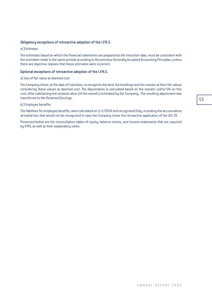# Obligatory exceptions of retroactive adoption of the I.F.R.S.

#### a) Estimates

The estimates based on which the financial statements are prepared at the transition date, must be consistent with the estimates made in the same periods according to the previous Generally Accepted Accounting Principles, unless there are objective reasons that these estimates were incorrect.

#### Optional exceptions of retroactive adoption of the I.F.R.S.

#### a) Use of fair value as deemed cost

The Company chose, at the date of transition, to recognize the land, the buildings and the vessels at their fair values considering these values as deemed cost. The depreciation is calculated based on the vessels' useful life on this cost, after subtracting the residual value (of the vessels) estimated by the Company,. The resulting adjustment was transferred to the Retained Earnings.

#### b) Employee benefits

The liabilities for employee benefits, were calculated on 1/1/2004 and recognized fully, including the accumulative actuarial loss that would not be recognized in case the Company chose the retroactive application of the IAS 19.

Presented below are the reconciliation tables of equity, balance sheets, and income statements that are required by IFRS, as well as their explanatory notes.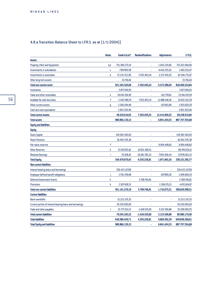# 4.8.a Transition Balance Sheet to I.F.R.S. as at  $(1/1/2004)$

|                                                          | <b>Notes</b> | Greek G.A.A.P. | <b>Reclassifications</b> | <b>Adjustments</b> | I.F.R.S.       |
|----------------------------------------------------------|--------------|----------------|--------------------------|--------------------|----------------|
| <b>Assets</b>                                            |              |                |                          |                    |                |
| Property, Plant and Equipment                            | a.b          | 751.380.273,10 |                          | 1.043.220,96       | 752.423.494,06 |
| <b>Investments in subsidiaries</b>                       | c            | 7.907.807,38   |                          | $-4.442.255.91$    | 3.465.551,47   |
| <b>Investments in associates</b>                         | d            | 72.223.722,96  | $-7.503.405,24$          | $-2.173.545,05$    | 62.546.772,67  |
| Other long term assets                                   |              | 33.716,64      |                          | ä,                 | 33.716,64      |
| <b>Total non-current assts</b>                           |              | 831.545.520,08 | $-7.503.405,24$          | $-5.572.580,00$    | 818.469.534,84 |
| <b>Inventories</b>                                       |              | 3.877.294,93   |                          |                    | 3.877.294,93   |
| <b>Trade and other receivables</b>                       | е            | 34.043.216,90  | i,                       | $-101.759,61$      | 33.941.457,29  |
| <b>Available for sale Securities</b>                     | f            | 5.240.589,79   | 7.503.405,24             | 11.888.148,36      | 24.632.143,39  |
| Other current assets                                     | Q            | 3.306.004,49   |                          | 627.615,80         | 3.933.620,29   |
| Cash and cash equivalents                                |              | 2.853.503,94   |                          |                    | 2.853.503,94   |
| <b>Total current assets</b>                              |              | 49.320.610,05  | 7.503.405,24             | 12.414.004,55      | 69.238.019,84  |
| <b>Total assets</b>                                      |              | 880.866.130,13 |                          | 6.841.424,55       | 887.707.554,68 |
| <b>Equity and liabilities</b>                            |              |                |                          |                    |                |
| <b>Equity</b>                                            |              |                |                          |                    |                |
| <b>Share Capital</b>                                     |              | 159.583.500,00 |                          | ×,                 | 159.583.500,00 |
| <b>Share Premium</b>                                     |              | 26.942.576,38  |                          |                    | 26.942.576,38  |
| <b>Fair value reserves</b>                               | f            |                |                          | 9.904.448,60       | 9.904.448,60   |
| <b>Other Reserves</b>                                    | h            | 53.917.655,61  | 14.831.368,51            | ×,                 | 68.749.024,12  |
| <b>Retained Earnings</b>                                 | j.           | 35.938,43      | -19.181.595,32           | $-7.932.606,44$    | -27.078.263,33 |
| <b>Total Equity</b>                                      |              | 240.479.670,42 | -4.350.226,81            | 1.971.842,16       | 238.101.285,77 |
| <b>Non current liabilities</b>                           |              |                |                          |                    |                |
| Interest-bearing loans and borrowings                    |              | 556.422.127,69 | ä,                       | ä,                 | 556.422.127,69 |
| <b>Employee defined benefit obligations</b>              |              | 1.791.709,98   |                          | 207.899,36         | 1.999.609,34   |
| <b>Deferred Government Grants</b>                        | h            |                | 5.768.746,81             |                    | 5.768.746,81   |
| <b>Provisions</b>                                        | k            | 2.927.438,52   |                          | 1.508.176,15       | 4.435.614,67   |
| <b>Total non current liabilities</b>                     |              | 561.141.276,19 | 5.768.746,81             | 1.716.075,51       | 568.626.098,51 |
| <b>Current liabilities</b>                               |              |                |                          |                    |                |
| <b>Bank overdrafts</b>                                   |              | 15.222.170,35  | ä,                       | ×,                 | 15.222.170,35  |
| Current portion of interest-bearing loans and borrowings |              | 30.250.000,00  | ×,                       | ä,                 | 30.250.000,00  |
| Trade and other payables                                 |              | 33.773.013,17  | $-1.418.520,00$          | 3.153.506,88       | 35.508.000,05  |
| <b>Total current liabilities</b>                         |              | 79.245.183,52  | -1.418.520,00            | 3.153.506,88       | 80.980.170,40  |
| <b>Total liabilities</b>                                 |              | 640.386.459,71 | 4.350.226,81             | 4.869.582,39       | 649.606.268,91 |
| <b>Total Equity and liabilities</b>                      |              | 880.866.130.13 |                          | 6.841.424.55       | 887.707.554,68 |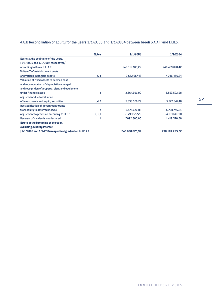# 4.8.b Reconciliation of Equity for the years 1/1/2005 and 1/1/2004 between Greek G.A.A.P and I.F.R.S.

|                                                           | <b>Notes</b> | 1/1/2005        | 1/1/2004        |
|-----------------------------------------------------------|--------------|-----------------|-----------------|
| Equity at the beginning of the years,                     |              |                 |                 |
| $[1/1/2005$ and $1/1/2004$ respectively]                  |              |                 |                 |
| according to Greek G.AA.P.                                |              | 243.312.160,22  | 240.479.670,42  |
| Write-off of establishment costs                          |              |                 |                 |
| and various intangible assets                             | a, b         | $-2.652.967,43$ | $-4.736.456,24$ |
| Valuation of fixed assets to deemed cost                  |              |                 |                 |
| and recomputation of depreciation charged                 |              |                 |                 |
| and recognition of property, plant and equipment          |              |                 |                 |
| under finance leases                                      | a            | 2.364.691,00    | 5.559.592,98    |
| Adjustment due to valuation                               |              |                 |                 |
| of investments and equity securities                      | c, d, f      | 5.333.376,29    | 5.272.347,40    |
| Reclassification of government grants                     |              |                 |                 |
| from equity to deferred income                            | h            | $-5.575.626,87$ | $-5.768.746.81$ |
| Adjustment to provision according to I.F.R.S.             | e, k, l      | $-3.243.557.22$ | $-4.123.641.98$ |
| Reversal of dividends not declared                        |              | 7.092.600,00    | 1.418.520,00    |
| Equity at the beginning of the year,                      |              |                 |                 |
| excluding minority interest                               |              |                 |                 |
| [1/1/2005 and 1/1/2004 respectively] adjusted to I.F.R.S. |              | 246.630.675,99  | 238.101.285,77  |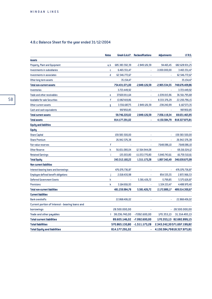# 4.8.c Balance Sheet for the year ended 31/12/2004

|                                                 | <b>Notes</b> | Greek G.A.A.P.  | <b>Reclassifications</b> | <b>Adjustments</b> | I.F.R.S.                   |
|-------------------------------------------------|--------------|-----------------|--------------------------|--------------------|----------------------------|
| <b>Assets</b>                                   |              |                 |                          |                    |                            |
| <b>Property, Plant and Equipment</b>            | a, b         | 685.383.592,39  | $-2.849.126,59$          | 94.465,45          | 682.628.931,25             |
| <b>Investments in subsidiaries</b>              | c            | 6.465.551,47    |                          | $-3.000.000,00$    | 3.465.551,47               |
| Investments in associates                       | d            | 62.546.772,67   | ×                        |                    | 62.546.772,67              |
| Other long term assets                          |              | 35.154,47       | ×                        | ä,                 | 35.154,47                  |
| <b>Total non-current assets</b>                 |              | 754.431.071,00  | $-2.849.126,59$          | $-2.905.534,55$    | 748.676.409,86             |
| <b>Inventories</b>                              |              | 3.723.449,92    |                          |                    | 3.723.449,92               |
| Trade and other receivables                     | е            | 37.600.811,64   |                          | $-1.039.015,96$    | 36.561.795,68              |
| <b>Available for sale Securities</b>            | f            | 13.867.419,86   |                          | 8.333.376,29       | 22.200.796,15              |
| Other current assets                            | q            | 3.556.687,75    | 2.849.126,59             | -238.240,99        | 6.167.573,35               |
| Cash and cash equivalents                       |              | 997.850,85      |                          | ×,                 | 997.850,85                 |
| <b>Total current assets</b>                     |              | 59.746.220,02   | 2.849.126,59             | 7.056.119,34       | 69.651.465,95              |
| <b>Total assets</b>                             |              | 814.177.291,02  |                          | 4.150.584,79       | 818.327.875,81             |
| <b>Equity and liabilities</b>                   |              |                 |                          |                    |                            |
| Equity                                          |              |                 |                          |                    |                            |
| <b>Share Capital</b>                            |              | 159.583.500,00  | ä                        | ä,                 | 159.583.500,00             |
| <b>Share Premium</b>                            |              | 26.942.576,38   | ×                        | ×,                 | 26.942.576,38              |
| <b>Fair value reserves</b>                      | f            | i,              | ×,                       | 7.648.086,10       | 7.648.086,10               |
| <b>Other Reserve</b>                            | h            | 56.651.080,04   | 12.564.944,08            |                    | 69.216.024,12              |
| <b>Retained Earnings</b>                        | i.           | 135.003,80      | -11.053.770,80           | $-5.840.743,61$    | $-16.759.510,61$           |
| <b>Total Equity</b>                             |              | 243.312.160,22  | 1.511.173,28             | 1.807.342,49       | 246.630.675,99             |
| <b>Non current liabilities</b>                  |              |                 |                          |                    |                            |
| Interest-bearing loans and borrowings           |              | 476.076.736,87  |                          | ä,                 | 476.076.736,87             |
| <b>Employee defined benefit obligations</b>     |              | 2.018.430,98    |                          | 854.535,55         | 2.872.966,53               |
| <b>Deferred Government Grants</b>               | h            |                 | 5.581.426,72             | $-5.799,85$        | 5.575.626,87               |
| <b>Provisions</b>                               | k            | 3.164.816,93    |                          | 1.324.153,47       | 4.488.970,40               |
| <b>Total non-current liabilities</b>            |              | 481.259.984,78  | 5.581.426,72             | 2.172.889,17       | 489.014.300,67             |
| <b>Current liabilities</b>                      |              |                 |                          |                    |                            |
| <b>Bank overdrafts</b>                          |              | 22.868.406,02   |                          | ä,                 | 22.868.406,02              |
| Current portion of Interest - bearing loans and |              |                 |                          |                    |                            |
| borrowings                                      |              | 28.500.000,00   |                          |                    | $-28.500.000,00$           |
| Trade and other payables                        |              | 1 38.236.740,00 | $-7.092.600,00$          | 170.353,13         | 31.314.493,13              |
| <b>Total current liabilities</b>                |              | 89.605.146,02   | $-7.092.600,00$          |                    | 170.353,13 82.682.899,15   |
| <b>Total liabilities</b>                        |              | 570.865.130,80  | $-1.511.173,28$          |                    | 2.343.242,30571.697.199,82 |
| <b>Total Equity and liabilities</b>             |              | 814.177.291,02  |                          |                    | 4.150.584,79818.327.875,81 |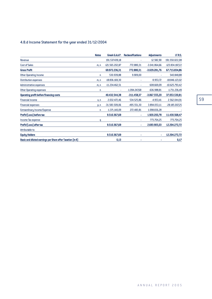# 4.8.d Income Statement for the year ended 31/12/2004

|                                                            | <b>Notes</b> | Greek G.A.A.P.   | <b>Reclassifications</b> | <b>Adjustments</b> | I.F.R.S.        |
|------------------------------------------------------------|--------------|------------------|--------------------------|--------------------|-----------------|
| Revenue                                                    |              | 191.537.439,18   |                          | 12.582,90          | 191.550.022,08  |
| <b>Cost of Sales</b>                                       | m, n         | -121.565.202,87  | 772.880,31               | $-3.041.864,66$    | -123.834.187,22 |
| <b>Gross Profit</b>                                        |              | 69.972.236,31    | 772.880,31               | $-3.029.281,76$    | 67.715.834,86   |
| <b>Other Operating Income</b>                              | n            | 530.939,88       | 9.909,00                 |                    | 540.848,88      |
| <b>Distribution expenses</b>                               | m, n         | -18.836.169,30   |                          | $-9.953,72$        | -18.846.123,02  |
| <b>Administrative expenses</b>                             | m, n         | $-11.234.462,51$ |                          | 608.669,09         | -10.625.793,42  |
| Other Operating expenses                                   | n            | ٠                | $-1.094.24768$           | $-636.988,81$      | $-1.731.236,49$ |
| <b>Operating profit before financing costs</b>             |              | 40.432.544,38    | $-311.458,37$            | $-3.067.555,20$    | 37.053.530,81   |
| <b>Financial income</b>                                    | 0, n         | 2.032.472,46     | 534.525,86               | $-4.953,41$        | 2.562.044,91    |
| <b>Financial expenses</b>                                  | p, n         | $-31.583.509,06$ | $-495.551,30$            | 3.894.053,11       | -28.185.007,25  |
| Extraordinary Income/Expense                               | n            | $-1.371.140.09$  | 272.483,81               | 1.098.656,28       |                 |
| Profit/[Loss] before tax                                   |              | 9.510.367,69     | ٠                        | 1.920.200,78       | 11.430.568,47   |
| Income Tax expense                                         | a            |                  |                          | 773.704,25         | 773.704,25      |
| Profit/[Loss] after tax                                    |              | 9.510.367,69     |                          | 2.693.905,03       | 12.204.272,72   |
| Attributable to:                                           |              |                  |                          |                    |                 |
| <b>Equity Holders</b>                                      |              | 9.510.367,69     | ٠                        | ۰                  | 12.204.272,72   |
| Basic and diluted earnings per Share after Taxation (in €) |              | 0,13             |                          |                    | 0,17            |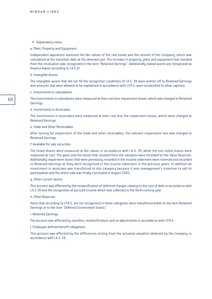#### • Explanatory notes

#### a. Plant, Property and Equipment

Independent appraisers assessed the fair values of the real estate and the vessels of the Company, which was considered at the transition date as the deemed cost. The increase in property, plant and equipment that resulted from the revaluation was recognized in the item "Retained Earnings". Additionally leased assets are recognized as finance leases according to I.A.S.17.

#### b. Intangible Assets

The intangible assets that did not fill the recognition conditions of I.A.S. 38 were written off to Retained Earnings and amounts that were allowed to be capitalized in accordance with I.F.R.S. were reclassified to other captions.

#### c. Investments in subsidiaries

The investments in subsidiaries were measured at their cost less impairment losses, which was charged to Retained Earnings.

#### d. Investments in Associates

The investments in associates were measured at their cost less the impairment losses, which were charged to Retained Earnings.

# e. Trade and Other Receivables

After testing for impairment of the trade and other receivables, the relevant impairment loss was charged to Retained Earnings.

#### f. Available for sale securities

The listed shares were measured at fair values in accordance with I.A.S. 39, while the non listed shares were measured at cost. The gains and the losses that resulted from the valuation were recorded to Fair Value Reserves. Additionally impairment losses that were previously recorded in the income statement were reversed and recorded to Retained earnings as they were recognised in the income statement in the previous years. In addition an investment in associate was transferred to this category because it was management's intention to sell its participation and the entire sale was finally concluded in August 2005.

#### g. Other current assets

This account was affected by the reclassification of deferred charges relating to the cost of debt in accordance with I.A.S.39 and the recognition of accrued income which was collected in the forth-coming year.

#### h. Other Reserves

Items that according to I.F.R.S. are not recognized in these categories were transferred either to the item Retained Earnings or to the item "Deferred Government Grants".

#### i. Retained Earnings

The account was affected by transfers, reclassifications and re-adjustments in accordance with I.F.R.S..

#### j. Employee defined benefit obligations

This account was affected by the differences arising from the actuarial valuation obtained by the Company in accordance with I.A.S. 19.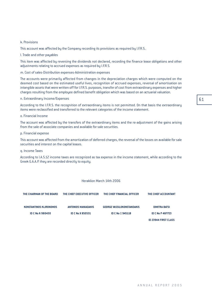#### ANNUAL REPORT 2005

61

# k. Provisions

This account was affected by the Company recording its provisions as required by I.F.R.S..

l. Trade and other payables

This item was affected by reversing the dividends not declared, recording the finance lease obligations and other adjustments relating to accrued expenses as required by I.F.R.S.

m. Cost of sales-Distribution expenses-Administration expenses

The accounts were primarily affected from changes in the depreciation charges which were computed on the deemed cost based on the estimated useful lives, recognition of accrued expenses, reversal of amortisation on intangible assets that were written off for I.F.R.S. purposes, transfer of cost from extraordinary expenses and higher charges resulting from the employee defined benefit obligation which was based on an actuarial valuation.

# n. Extraordinary Income/Expenses

According to the I.F.R.S. the recognition of extraordinary items is not permitted. On that basis the extraordinary items were reclassified and transferred to the relevant categories of the income statement.

# o. Financial Income

The account was affected by the transfers of the extraordinary items and the re-adjustment of the gains arising from the sale of associate companies and available for sale securities.

# p. Financial expense

This account was affected from the amortization of deferred charges, the reversal of the losses on available for sale securities and interest on the capital leases.

# q. Income Taxes

According to I.A.S.12 income taxes are recognized as tax expense in the income statement, while according to the Greek G.A.A.P. they are recorded directly to equity.

# Heraklion March 14th 2006

| THE CHAIRMAN OF THE BOARD      | THE CHIEF EXECUTIVE OFFICER | THE CHIEF FINANCIAL OFFICER       | THE CHIEF ACCOUNTANT        |
|--------------------------------|-----------------------------|-----------------------------------|-----------------------------|
| <b>KONSTANTINOS KLIRONOMOS</b> | ANTONIOS MANIADAKIS         | <b>GEORGE VASSILOKONSTANDAKIS</b> | <b>DIMITRA BATSI</b>        |
| <b>ID C No K 980430</b>        | <b>ID C No X 850531</b>     | ID C No $\equiv$ 945118           | <b>ID C No P 487723</b>     |
|                                |                             |                                   | <b>ID 23944 FIRST CLASS</b> |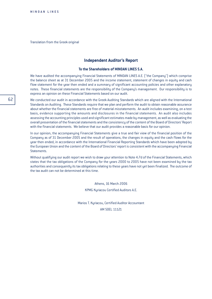Translation from the Greek original

# **Independent Auditor's Report**

#### **To the Shareholders of MINOAN LINES S.A.**

We have audited the accompanying Financial Statements of MINOAN LINES A.E. ("the Company") which comprise the balance sheet as at 31 December 2005 and the income statement, statement of changes in equity and cash flow statement for the year then ended and a summary of significant accounting policies and other explanatory notes. These financial statements are the responsibility of the Company's management. Our responsibility is to express an opinion on these Financial Statements based on our audit.

We conducted our audit in accordance with the Greek Auditing Standards which are aligned with the International Standards on Auditing. These Standards require that we plan and perform the audit to obtain reasonable assurance about whether the financial statements are free of material misstatements. An audit includes examining, on a test basis, evidence supporting the amounts and disclosures in the financial statements. An audit also includes assessing the accounting principles used and significant estimates made by management, as well as evaluating the overall presentation of the financial statements and the consistency of the content of the Board of Directors' Report with the financial statements. We believe that our audit provides a reasonable basis for our opinion.

In our opinion, the accompanying Financial Statements give a true and fair view of the financial position of the Company as of 31 December 2005 and the result of operations, the changes in equity and the cash flows for the year then ended, in accordance with the International Financial Reporting Standards which have been adopted by the European Union and the content of the Board of Directors' report is consistent with the accompanying Financial Statements.

Without qualifying our audit report we wish to draw your attention to Note 4.7d of the Financial Statements, which states that the tax obligations of the Company for the years 2000 to 2005 have not been examined by the tax authorities and consequently its tax obligations relating to these years have not yet been finalized. The outcome of the tax audit can not be determined at this time.

> Athens, 16 March 2006 KPMG Kyriacou Certified Auditors A.E.

Marios T. Kyriacou, Certified Auditor Accountant

AM SOEL 11121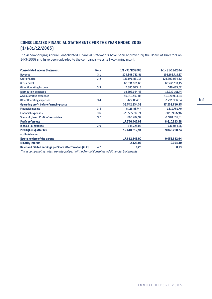# **CONSOLIDATED FINANCIAL STATEMENTS FOR THE YEAR ENDED 2005 (1/1-31/12/2005)**

The Accompanying Annual Consolidated Financial Statements have been approved by the Board of Directors on 14/3/2006 and have been uploaded to the company's website (www.minoan.gr).

| <b>Consolidated Income Statement</b>                                 | <b>Note</b> | 1/1 - 31/12/2005 | 1/1 - 31/12/2004 |
|----------------------------------------------------------------------|-------------|------------------|------------------|
| Revenue                                                              | 3.1         | 204.808.782,81   | 192.182.714,87   |
| <b>Cost of Sales</b>                                                 | 3.2         | -141.976.881,15  | -124.609.984,42  |
| <b>Gross Profit</b>                                                  |             | 62.831.901,66    | 67.572.730,45    |
| <b>Other Operating Income</b>                                        | 3.3         | 2.385.925,18     | 549.463,52       |
| <b>Distribution expenses</b>                                         |             | -18.692.054,43   | -18.230.161,74   |
| Administrative expenses                                              |             | $-10.310.403,85$ | -10.920.934,84   |
| <b>Other Operating expenses</b>                                      | 3.4         | $-672.834,18$    | $-1.731.386,54$  |
| <b>Operating profit before financing costs</b>                       |             | 35.542.534.38    | 37.239.710,85    |
| <b>Financial income</b>                                              | 3.5         | 8.116.887,44     | 1.310.751,70     |
| <b>Financial expenses</b>                                            | 3.6         | $-26.565.261,74$ | $-28.199.617,16$ |
| Share of [Loss] Profit of associates                                 | 3.7         | 662.282,94       | $-1.940.631,81$  |
| <b>Profit before tax</b>                                             |             | 17.756.443,02    | 8.410.213,58     |
| Income Tax expense                                                   | 3.9         | $-145.725.08$    | 636.054,66       |
| Profit/[Loss] after tax                                              |             | 17.610.717,94    | 9.046.268,24     |
| Attributable to:                                                     |             |                  |                  |
| <b>Equity holders of the parent</b>                                  |             | 17.612.845,90    | 9.055.632,64     |
| <b>Minority Interest</b>                                             |             | $-2.127,96$      | $-9.364,40$      |
| Basic and Diluted earnings per Share after Taxation (in $\epsilon$ ) | 4.2         | 0,25             | 0,13             |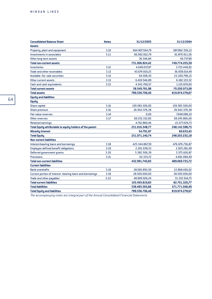| <b>Consolidated Balance Sheet</b>                         | <b>Notes</b> | 31/12/2005      | 31/12/2004     |
|-----------------------------------------------------------|--------------|-----------------|----------------|
| <b>Assets</b>                                             |              |                 |                |
| Property, plant and equipment                             | 3.10         | 664.907.564,79  | 687.862.556,13 |
| Investments in associates                                 | 3.11         | 66.062.812,79   | 61.870.911,56  |
| Other long term assets                                    |              | 36.546,84       | 40.737,90      |
| <b>Total non-current assets</b>                           |              | 731.006.924,42  | 749.774.205,59 |
| <b>Inventories</b>                                        | 3.12         | 4.048.037,97    | 3.723.449,92   |
| <b>Trade and other receivables</b>                        | 3.13         | 43.674.919,25   | 36.958.014,49  |
| Available -for- sale securities                           | 3.14         | 64.508,30       | 22.200.796,15  |
| Other current assets                                      | 3.13         | 6.419.546,89    | 6.182.133,52   |
| <b>Cash and cash equivalents</b>                          | 3.15         | 4.342.769,57    | 1.135.679,00   |
| <b>Total current assets</b>                               |              | 58.549.781,98   | 70.200.073,08  |
| <b>Total assets</b>                                       |              | 789.556.706,40  | 819.974.278,67 |
| <b>Equity and liabilities</b>                             |              |                 |                |
| <b>Equity</b>                                             |              |                 |                |
| Share capital                                             | 3.16         | 159.583.500,00  | 159.583.500,00 |
| Share premium                                             | 3.16         | 26.942.576,38   | 26.942.576,38  |
| Fair value reserves                                       | 3.14         | 0,00            | 7.648.086,10   |
| Other reserves                                            | 3.17         | 69.252.152,85   | 69.245.866,00  |
| <b>Retained earnings</b>                                  |              | $-4.761.880,46$ | -15.277.429,73 |
| Total Equity attributable to equity holders of the parent |              | 251.016.348,77  | 248.142.598,75 |
| <b>Minority Interest</b>                                  |              | 54.791,97       | 60.633,43      |
| <b>Total Equity</b>                                       |              | 251.071.140,74  | 248.203.232,18 |
| <b>Non current liabilities</b>                            |              |                 |                |
| Interest-bearing loans and borrowings                     | 3.18         | 425.344.867,39  | 476.076.736,87 |
| <b>Employee defined benefit obligations</b>               | 3.19         | 2.201.038,33    | 2.925.281,49   |
| Deferred government grants                                | 3.20         | 5.382.506,39    | 5.575.626,87   |
| <b>Provisions</b>                                         | 3.21         | 63.333,72       | 4.492.080,49   |
| <b>Total non-current liabilities</b>                      |              | 432.991.745,83  | 489.069.725,72 |
| <b>Current liabilities</b>                                |              |                 |                |
| <b>Bank overdrafts</b>                                    | 3.18         | 28.083.893,59   | 22.868.406,02  |
| Current portion of interest -bearing loans and borrowings | 3.18         | 28.500.000,00   | 28.500.000,00  |
| Trade and other payables                                  | 3.22         | 48.909.926,24   | 31.332.914,75  |
| <b>Total current liabilities</b>                          |              | 105.493.819,83  | 82.701.320,77  |
| <b>Total liabilities</b>                                  |              | 538.485.565,66  | 571.771.046,49 |
| <b>Total Equity and liabilities</b>                       |              | 789.556.706,40  | 819.974.278,67 |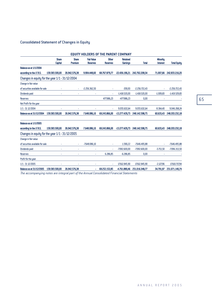# Consolidated Statement of Changes in Equity

|                                                 |                                |                         |                                      | <b>EQUITY HOLDERS OF THE PARENT COMPANY</b> |                                    |                 |                                    |                     |
|-------------------------------------------------|--------------------------------|-------------------------|--------------------------------------|---------------------------------------------|------------------------------------|-----------------|------------------------------------|---------------------|
|                                                 | <b>Share</b><br><b>Capital</b> | <b>Share</b><br>Premium | <b>Fair Value</b><br><b>Reserves</b> | <b>Other</b><br><b>Reserves</b>             | <b>Retained</b><br><b>Earnings</b> | <b>Total</b>    | <b>Minority</b><br><b>Interest</b> | <b>Total Equity</b> |
| <b>Balance as at 1/1/2004</b>                   |                                |                         |                                      |                                             |                                    |                 |                                    |                     |
| according to the I.F.R.S.                       | 159.583.500,00                 | 26.942.576,38           | 9.904.448.60                         | 68.767.879,77                               | $-22.436.196.21$                   | 242.762.208.54  | 71.007,66                          | 242.833.216,20      |
| Changes in equity for the year 1/1 - 31/12/2004 |                                |                         |                                      |                                             |                                    |                 |                                    |                     |
| Change in fair value                            |                                |                         |                                      |                                             |                                    |                 |                                    |                     |
| of securities available for sale                |                                |                         | $-2.256.362,50$                      |                                             | $-359,93$                          | $-2.256.722.43$ | ×.                                 | $-2.256.722,43$     |
| Dividends paid                                  |                                |                         |                                      |                                             | $-1.418.520,00$                    | $-1.418.520,00$ | $-1.009,83$                        | $-1.419.529.83$     |
| <b>Reserves</b>                                 |                                |                         |                                      | 477.986,23                                  | -477.986,23                        | 0,00            |                                    |                     |
| Net Profir for the year                         |                                |                         |                                      |                                             |                                    |                 |                                    |                     |
| $1/1 - 31$ 12/2004                              |                                |                         |                                      | ×                                           | 9.055.632,64                       | 9.055.632,64    | $-9.364,40$                        | 9.046.268,24        |
| <b>Balance as at 31/12/2004</b>                 | 159.583.500.00                 | 26.942.576.38           | 7.648.086.10                         | 69.245.866,00                               | $-15.277.429.73$                   | 248.142.598.75  | 60.633.43                          | 248.203.232,18      |
| <b>Balance as at 1/1/2005</b>                   |                                |                         |                                      |                                             |                                    |                 |                                    |                     |
| according to the I.F.R.S.                       | 159.583.500.00                 | 26.942.576.38           | 7.648.086.10                         | 69.245.866.00                               | $-15.277.429.73$                   | 248.142.598.75  | 60.633.43                          | 248.203.232.18      |
| Changes in equity for the year 1/1 - 31/12/2005 |                                |                         |                                      |                                             |                                    |                 |                                    |                     |
| Change in fair value                            |                                |                         |                                      |                                             |                                    |                 |                                    |                     |
| of securities available for sale                |                                |                         | $-7.648.086,10$                      |                                             | 1.590,22                           | $-7.646.495.88$ | ×,                                 | $-7.646.495.88$     |
| Dividends paid                                  |                                |                         |                                      |                                             | $-7.092.600,00$                    | $-7.092.600,00$ | $-3.713,50$                        | $-7.096.313,50$     |
| <b>Reserves</b>                                 |                                |                         |                                      | 6.286,85                                    | $-6.286,85$                        | 0,00            |                                    |                     |
| Profir for the year                             |                                |                         |                                      |                                             |                                    |                 |                                    |                     |
| $1/1 - 31$ 12/2005                              | à,                             |                         | ×                                    | ×                                           | 17.612.845,90                      | 17.612.845,90   | $-2.127,96$                        | 17.610.717,94       |
| <b>Balance as at 31/12/2005</b>                 | 159.583.500.00                 | 26.942.576.38           | ö                                    | 69.252.152,85                               | -4.761.880.46                      | 251.016.348.77  | 54.791.97                          | 251.071.140,74      |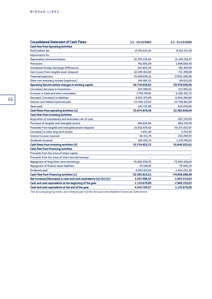| <b>Consolidated Statement of Cash Flows</b>                      | 1/1-31/12/2005   | 1/1 - 31/12/2004 |
|------------------------------------------------------------------|------------------|------------------|
| <b>Cash flow from Operating Activities</b>                       |                  |                  |
| <b>Profit before Tax</b>                                         | 17.756.443,02    | 8.410.213,58     |
| Adjustments for:                                                 |                  |                  |
| Depreciation and amortization                                    | 20.709.559,04    | 21.149.258,37    |
| <b>Provisions</b>                                                | 741.006,09       | 1.898.669,40     |
| <b>Unrealized Foreign Exchange Differences</b>                   | 342.825,50       | -381.847,99      |
| Gain (Loss) from tangible asset disposal                         | $-10.289.160,82$ | 721.390,68       |
| <b>Financial expenses</b>                                        | 25.648.839,32    | 27.650.266,96    |
| Other non-monetary income (expenses)                             | $-192.661,52$    | $-69.015,00$     |
| Operating Results before changes in working capital              | 54.716.850,63    | 59.378.936,00    |
| (Increase) decrease in Inventories                               | $-324.588,05$    | 153.845,01       |
| Increase in Trade and other receivables                          | $-7.795.797.61$  | $-5.206.552,75$  |
| Decrease (Increase) in liabilities                               | 9.620.375,89     | $-6.840.284,80$  |
| Interest and related expenses paid                               | -22.996.137,42   | $-25.738.160,08$ |
| <b>Taxes paid</b>                                                | $-145.725,08$    | 636.054,66       |
| Cash flows from operating activities (a)                         | 33.074.978,36    | 22.383.838,04    |
| <b>Cash flow from Investing Activities</b>                       |                  |                  |
| Acquisition of subsidiaries and associates net of cash           |                  | $-265.570,00$    |
| Purchase of tangible and intangible assets                       | -584.839,84      | -864.207,99      |
| Proceeds from tangible and intangible assets disposal            | 23.052.679,03    | 50.271.405,87    |
| (Increase) in other long-term assets                             | $-3.651,00$      | $-3.722,85$      |
| Interest income received                                         | 94.331,79        | 224.289,93       |
| Dividends received                                               | 166.402,74       | 1.278.740,65     |
| <b>Cash flows from investing activities (b)</b>                  | 22.724.922,72    | 50.640.935,61    |
| <b>Cash flow from Financing activities</b>                       |                  |                  |
| Proceeds from the issue of share capital                         |                  |                  |
| Proceeds from the issue of short term borrowings                 |                  |                  |
| Repayment of long/short term borrowings                          | -45.666.054,55   | -72.843.109,64   |
| Repayment of finance lease liabilities                           | -74.128,93       | $-70.945,25$     |
| Dividends paid                                                   | $-6.852.627,03$  | $-1.944.233.39$  |
| <b>Cash Flow from Financing activities [c]</b>                   | -52.592.810,51   | -74.858.288,28   |
| Net Increase/(Decrease) in cash and cash equivalents (a)+(b)+(c) | 3.207.090,57     | $-1.833.514,63$  |
| Cash and cash equivalents at the beginning of the year           | 1.135.679,00     | 2.969.193,63     |
| Cash and cash equivalents at the end of the year                 | 4.342.769,57     | 1.135.679,00     |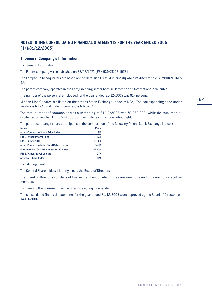67

# **NOTES TO THE CONSOLIDATED FINANCIAL STATEMENTS FOR THE YEAR ENDED 2005 (1/1-31/12/2005)**

# **1. General Company's Information**

**•** General Information

The Parent company was established on 25/05/1972 (FEK 939/25.05.1972).

The Company's headquarters are based on the Heraklion Crete Municipality while its discrete title is "MINOAN LINES S.A."

The parent company operates in the Ferry shipping sector both in Domestic and International sea routes.

The number of the personnel employeed for the year ended 31/12/2005 was 917 persons.

Minoan Lines' shares are listed on the Athens Stock Exchange (code: MINOA). The corresponding code under Reuters is MILr.AT and under Bloomberg is MINOA GA.

The total number of common shares outstanding at 31/12/2005 was 70.926.000, while the total market capitalization reached  $\epsilon$  225.544.680,00. Every share carries one voting right.

The parent company's share participates in the composition of the following Athens Stock Exchange indices:

| <b>Index</b>                             | Code         |
|------------------------------------------|--------------|
| <b>Athex Composite Share Price Index</b> | GD           |
| FTSE / Athex International               | <b>FTSEI</b> |
| FTSE / Athex 140                         | <b>FTSEA</b> |
| Athex Composite Index Total Return Index | <b>SAGD</b>  |
| Eurobank Mid Cap Private Sector 50 Index | <b>EPS50</b> |
| FTSE / Athex Travel-Leisure              | <b>DTA</b>   |
| Athex All Share Index                    | n∩M          |

• Management

The General Shareholders' Meeting elects the Board of Directors.

The Board of Directors constists of twelve members of which three are executive and nine are non-executive members.

Four among the non-executive members are acting independently.

The consolidated financial statements for the year ended 31/12/2005 were approved by the Board of Directors on 14/03/2006.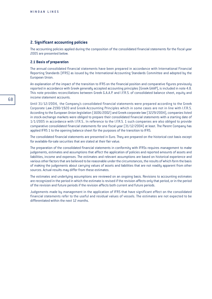## **2. Significant accounting policies**

The accounting policies applied during the composition of the consolidated financial statements for the fiscal year 2005 are presented below.

### **2.1 Basis of preparation**

The annual consolidated financial statements have been prepared in accordance with International Financial Reporting Standards (IFRS) as issued by the International Accounting Standards Committee and adopted by the European Union.

An explanation of the impact of the transition to IFRS on the financial position and comparative figures previously reported in accordance with Greek generally accepted accounting principles (Greek GAAP), is included in note 4.8. This note provides reconciliations between Greek G.A.A.P. and I.F.R.S. of consolidated balance sheet, equity and income statement accounts.

Until 31/12/2004, the Company's consolidated financial statements were prepared according to the Greek Corporate Law 2190/1920 and Greek Accounting Principles which in some cases are not in line with I.F.R.S. According to the European Union legislation (1606/2002) and Greek corporate law (3229/2004), companies listed in stock exchange markets were obliged to prepare their consolidated financial statements with a starting date of 1/1/2005 in accordance with I.F.R.S.. In reference to the I.F.R.S. 1 such companies are also obliged to provide comparative consolidated financial statements for one fiscal year (31/12/2004) at least. The Parent Company has applied IFRS 1 to the opening balance sheet for the purposes of the transition to IFRS.

The consolidated financial statements are presented in Euro. They are prepared on the historical cost basis except for available-for-sale securities that are stated at their fair value.

The preparation of the consolidated financial statements in conformity with IFRSs requires management to make judgements, estimates and assumptions that affect the application of policies and reported amounts of assets and liabilities, income and expenses. The estimates and relevant assumptions are based on historical experience and various other factors that are believed to be reasonable under the circumstances, the results of which form the basis of making the judgements about carrying values of assets and liabilities that are not readily apparent from other sources. Actual results may differ from these estimates.

The estimates and underlying assumptions are reviewed on an ongoing basis. Revisions to accounting estimates are recognized in the period in which the estimate is revised if the revision affects only that period, or in the period of the revision and future periods if the revision affects both current and future periods.

Judgements made by management in the application of IFRS that have significant effect on the consolidated financial statements refer to the useful and residual values of vessels. The estimates are not expected to be differentiated within the next 12 months.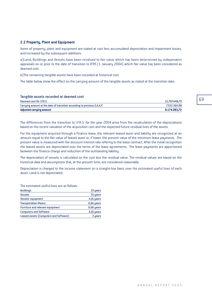# **2.2 Property, Plant and Equipment**

Items of property, plant and equipment are stated at cost less accumulated depreciation and impairment losses, and increased by the subsequent additions.

a)Land, Buildings and Vessels have been revalued to fair value which has been determined by independent appraisals on or prior to the date of transition to IFRS (1 January 2004) which fair value has been considered as deemed cost.

b)The remaining tangible assets have been recorded at historical cost.

The table below show the effect on the carrying amount of the tangible assets as stated at the transition date:

| <b>Adjusted carrying amount</b>                                          | 8.174.083.72  |
|--------------------------------------------------------------------------|---------------|
| Carrying amount at the date of transition according to previous G.A.A.P. | 7.533.364.98  |
| Deemed cost for I.F.R.S.                                                 | 15.707.448,70 |
| Tangible assets recorded at deemed cost                                  |               |

The differences from the transition to I.F.R.S. for the year 2004 arise from the recalculation of the depreciations based on the recent valuation of the acquisition cost and the expected future residual lives of the assets.

For the equipment acquired through a finance lease, the relevant leased asset and liability are recognized at an amount equal to the fair value of leased asset or, if lower, the present value of the minimum lease payments. The present value is measured with the discount interest rate refering to the lease contract. After the initial recognition the leased assets are depreciated over the terms of the lease agreements. The lease payments are apportioned between the finance charge and reduction of the outstanding liability.

The depreciation of vessels is calculated on the cost less the residual value. The residual values are based on the historical data and assumptions that, at the present time, are considered reasonable.

Depreciation is charged to the income statement on a straight-line basis over the estimated useful lives of each asset. Land is not depreciated.

The estimated useful lives are as follows:

| <b>Buildings</b>                       | 33 years   |
|----------------------------------------|------------|
| <b>Vessels</b>                         | 35 years   |
| Vessels' equipment                     | 4,16 years |
| <b>Transportation Means</b>            | 6,66 years |
| Furniture and relevant equipment       | 6,66 years |
| <b>Computers and Software</b>          | 4,16 years |
| Leased assets (Computers and Software) | 3 years    |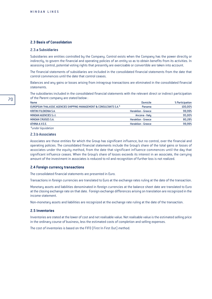### **2.3 Basis of Consolidation**

#### 2.3.a Subsidiaries

Subsidiaries are entities controlled by the Company. Control exists when the Company has the power directly or indirectly, to govern the financial and operating policies of an entity so as to obtain benefits from its activities. In assessing control, potential voting rights that presently are exercisable or convertible are taken into account.

The financial statements of subsidiaries are included in the consolidated financial statements from the date that control commences until the date that control ceases.

Balances and any gains or losses arising from intragroup transactions are eliminated in the consolidated financial statements.

The subsidiaries included in the consolidated financial statements with the relevant direct or indirect participation of the Parent company are stated below :

| Name                                                                | Domicile                  | % Participation |
|---------------------------------------------------------------------|---------------------------|-----------------|
| EUROPEAN THALASSIC AGENCIES SHIPPING MANAGEMENT & CONSULTANTS S.A.* | Panama                    | 100,00%         |
| <b>KRITIKI FILOXENIA S.A.</b>                                       | <b>Heraklion - Greece</b> | 99,99%          |
| MINOAN AGENCIES S.r.I.                                              | Ancona - Italy            | 95.00%          |
| <b>MINOAN CRUISES S.A.</b>                                          | <b>Heraklion - Greece</b> | 80,28%          |
| ATHINA A.V.E.E.                                                     | <b>Heraklion - Greece</b> | 99,99%          |
|                                                                     |                           |                 |

*\*under liquidation*

#### 2.3.b Associates

Associates are those entities for which the Group has significant influence, but no control, over the financial and operating policies. The consolidated financial statements include the Group's share of the total gains or losses of associates under the equity method, from the date that significant influence commences until the day that significant influence ceases. When the Group's share of losses exceeds its interest in an associate, the carrying amount of the investment in associates is reduced to nil and recognition of further loss is not realized.

#### **2.4 Foreign currency transactions**

The consolidated financial statements are presented in Euro.

Transactions in foreign currencies are translated to Euro at the exchange rates ruling at the date of the transaction.

Monetary assets and liabilities denominated in foreign currencies at the balance sheet date are translated to Euro at the closing exchange rate on that date. Foreign exchange differences arising on translation are recognized in the income statement.

Non-monetary assets and liabilities are recognized at the exchange rate ruling at the date of the transaction.

#### **2.5 Inventories**

Inventories are stated at the lower of cost and net realisable value. Net realisable value is the estimated selling price in the ordinary course of business, less the estimated costs of completion and selling expenses.

The cost of inventories is based on the FIFO (First In First Out) method.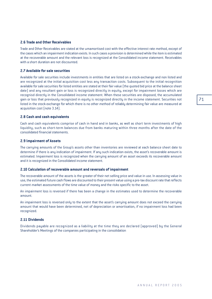Trade and Other Receivables are stated at the umamortised cost with the effective interest rate method, except of the cases which an impairment indication exists. In such cases a provision is determined while the item is estimated at the recoverable amount and the relevant loss is recognized at the Consolidated income statement. Receivables with a short duration are not discounted.

# **2.7 Available for sale securities**

Available for sale securities include investments in entities that are listed on a stock exchange and non listed and are recognized at the initial acquisition cost less any transaction costs. Subsequent to the initial recognition available for sale securities for listed entities are stated at their fair value (the quoted bid price at the balance sheet date) and any resultant gain or loss is recognized directly in equity, except for impairment losses which are recognisd directly in the Consolidated income statement. When these securities are disposed, the accumulated gain or loss that previously recognized in equity is recognized directly in the income statement. Securities not listed in the stock exchange for which there is no other method of reliably determining fair value are measured at acquisition cost (note 3.14).

# **2.8 Cash and cash equivalents**

Cash and cash equivalents comprise of cash in hand and in banks, as well as short term investments of high liquidity, such as short-term balances due from banks maturing within three months after the date of the consolidated financial statements.

# **2.9 Impairment of Assets**

The carrying amounts of the Group's assets other than inventories are reviewed at each balance sheet date to determine if there is any indication of impairment. If any such indication exists, the asset's recoverable amount is estimated. Impairment loss is recognized when the carrying amount of an asset exceeds its recoverable amount and it is recognized in the Consolidated income statement.

#### **2.10 Calculation of recoverable amount and reversals of impairment**

The recoverable amount of the assets is the greater of their net selling price and value in use. In assessing value in use, the estimated future cash flows are discounted to their present value using a pre-tax discount rate that reflects current market assessments of the time value of money and the risks specific to the asset.

An impairment loss is reversed if there has been a change in the estimates used to determine the recoverable amount.

An impairment loss is reversed only to the extent that the asset's carrying amount does not exceed the carrying amount that would have been determined, net of depreciation or amortisation, if no impairment loss had been recognized.

#### **2.11 Dividends**

Dividends payable are recognized as a liability at the time they are declared (approved) by the General Shareholder's Meetings of the companies participating in the consolidation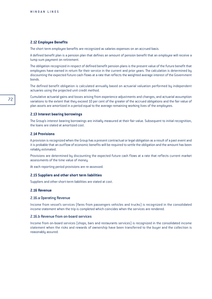#### **2.12 Employee Benefits**

The short term employee benefits are recognized as salaries expenses on an accrued basis.

A defined benefit plan is a pension plan that defines an amount of pension benefit that an employee will receive a lump sum payment on retirement.

The obligation recognized in respect of defined benefit pension plans is the present value of the future benefit that employees have earned in return for their service in the current and prior years. The calculation is determined by discounting the expected future cash flows at a rate that reflects the weighted average interest of the Government bonds.

The defined benefit obligation is calculated annually based on actuarial valuation performed by independent actuaries using the projected unit credit method.

Cumulative actuarial gains and losses arising from experience adjustments and changes, and actuarial assumption variations to the extent that they exceed 10 per cent of the greater of the accrued obligations and the fair value of plan assets are amortized in a period equal to the average remaining working lives of the employees.

#### **2.13 Interest bearing borrowings**

The Group's interest bearing borrowings are initially measured at their fair value. Subsequent to initial recognition, the loans are stated at amortized cost.

### **2.14 Provisions**

A provision is recognized when the Group has a present contractual or legal obligation as a result of a past event and it is probable that an outflow of economic benefits will be required to settle the obligation and the amount has been reliably estimated.

Provisions are determined by discounting the expected future cash flows at a rate that reflects current market assessments of the time value of money.

At each reporting period provisions are re-assessed.

#### **2.15 Suppliers and other short term liabilities**

Suppliers and other short-term liabilities are stated at cost.

#### **2.16 Revenue**

#### 2.16.a Operating Revenue

Income from vessel's services (fares from passengers vehicles and trucks) is recognized in the consolidated income statement when the trip is completed which coincides when the services are rendered.

#### 2.16.b Revenue from on-board services

Income from on-board services (shops, bars and restaurants services) is recognized in the consolidated income statement when the risks and rewards of ownership have been transferred to the buyer and the collection is reasonably assured.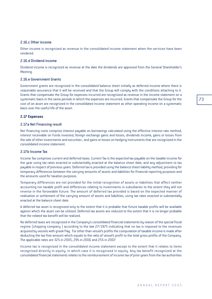## 2.16.c Other income

Other income is recognized as revenue in the consolidated income statement when the services have been rendered.

#### 2.16.d Dividend income

Dividend income is recognized as revenue at the date the dividends are approved from the General Shareholder's Meeting.

#### 2.16.e Government Grants

Government grants are recognized in the consolidated balance sheet initially as deferred income where there is reasonable assurance that it will be received and that the Group will comply with the conditions attaching to it. Grants that compensate the Group for expenses incurred are recognized as revenue in the income statement on a systematic basis in the same periods in which the expenses are incurred. Grants that compensate the Group for the cost of an asset are recognized in the consolidated income statement as other operating income on a systematic basis over the useful life of the asset.

#### **2.17 Expenses**

#### 2.17.a Net Financing result

Net financing costs comprise interest payable on borrowings calculated using the effective interest rate method, interest receivable on funds invested, foreign exchange gains and losses, dividends income, gains or losses from the sale of other investments and securities , and gains or losses on hedging instruments that are recognized in the consolidated income statement.

## 2.17.b Income Tax

Income Tax comprises current and deferred taxes. Current Tax is the expected tax payable on the taxable income for the year using tax rates enacted or substantially enacted at the balance sheet date, and any adjustment to tax payable in respect of previous years. Deferred tax is provided using the balance sheet liability method, providing for temporary differences between the carrying amounts of assets and liabilities for financial reporting purposes and the amounts used for taxation purposes.

Temporary differences are not provided for the initial recognition of assets or liabilities that affect neither accounting nor taxable profit and differences relating to investments in subsidiaries to the extent they will not reverse in the forseeable future. The amount of deferred tax provided is based on the expected manner of realisation or settlement of the carrying amount of assets and liabilities, using tax rates enacted or substantially enacted at the balance sheet date.

A deferred tax asset is recognized only to the extent that it is probable that future taxable profits will be available against which the asset can be utilized. Deferred tax assets are reduced to the extent that it is no longer probable that the related tax benefit will be realized.

No deferred taxes are recognized in the Company's consolidated financial statements by reason of the special fiscal regime (shipping company ) according to the law 27/1975 indicating that no tax is imposed to the revenues acquired by vessels with greek flag. For other than vessel's profits the computation of taxable income is made after deducting the tax free amount which equals to the ratio of vessel's profit to the total gross profits of the Company. The applicable rates are 32% in 2005, 29% in 2006 and 25% in 2007.

Income tax is recognized in the consolidated income statement except to the extent that it relates to items recognized directly in equity, in which case it is recognized in equity. Any tax benefit recognized at the consolidated financial statements relates to the reimbursement of income tax of prior years from the tax authorities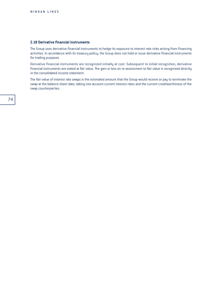#### **2.18 Derivative financial instruments**

The Group uses derivative financial instruments to hedge its exposure to interest rate risks arising from financing activities. In accordance with its treasury policy, the Group does not hold or issue derivative financial instruments for trading purposes.

Derivative financial instruments are recognized initially at cost. Subsequent to initial recognition, derivative financial instruments are stated at fair value. The gain or loss on re-assessment to fair value is recognized directly in the consolidated income statement.

The fair value of interest rate swaps is the estimated amount that the Group would receive or pay to terminate the swap at the balance sheet date, taking into account current interest rates and the current creditworthiness of the swap counterparties.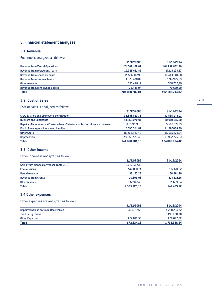# **3. Financial statement analyses**

## **3.1. Revenue**

Revenue is analyzed as follows:

|                                       | 31/12/2005     | 31/12/2004     |
|---------------------------------------|----------------|----------------|
| <b>Revenue from Vessel Operations</b> | 171.501.462,09 | 161.998.832,80 |
| Revenue from restaurant - bars        | 19.223.661,82  | 17.114.193,27  |
| Revenue from shops on board           | 11.576.347,90  | 10.443.681,78  |
| Revenue from slot machines            | 1.876.438.87   | 1.977.677,23   |
| Other revenue                         | 555.428,19     | 568.700,79     |
| Revenue from rent owned assets        | 75.443.94      | 79.629,00      |
| <b>Totals</b>                         | 204.808.782.81 | 192.182.714,87 |

# **3.2. Cost of Sales**

Cost of sales is analyzed as follows:

|                                                                            | 31/12/2005     | 31/12/2004     |
|----------------------------------------------------------------------------|----------------|----------------|
| Crew Salaries and employer's contribution                                  | 32.383.812.38  | 32.565.148,03  |
| <b>Bunkers and Lubricants</b>                                              | 53.650.970,91  | 39.910.115,50  |
| Repairs - Maintenance - Consumables - Salaries and technical work expenses | 8.517.289,15   | 5.589.327,93   |
| Food - Beverages - Shops merchandize                                       | 12.590.341,89  | 11.567.038,89  |
| <b>Other Costs</b>                                                         | 15.268.340,42  | 15.015.578,24  |
| <b>Depreciation</b>                                                        | 19.566.126.40  | 19.962.775,83  |
| <b>Totals</b>                                                              | 141.976.881.15 | 124.609.984,42 |

# **3.3. Other Income**

Other income is analyzed as follows:

|                                           | 31/12/2005   | 31/12/2004 |
|-------------------------------------------|--------------|------------|
| Gains from disposal of vessel (note 3.10) | 2.083.587,36 |            |
| <b>Commissions</b>                        | 142.838.21   | 137.178,92 |
| Rental revenue                            | 36.155.28    | 66.361,90  |
| <b>Revenue from Grants</b>                | 10.396.93    | 314.223,16 |
| Other revenue                             | 112.947.40   | 31.699.54  |
| <b>Totals</b>                             | 2.385.925.18 | 549.463.52 |

# **3.4 Other expenses**

Other expenses are analyzed as follows:

|                                      | 31/12/2005 | 31/12/2004   |
|--------------------------------------|------------|--------------|
| Impairment loss on trade Receivables | 400.817.65 | 1.258.764,22 |
| Third party claims                   |            | 193.000,00   |
| Other Expenses                       | 272.016.53 | 279.622,32   |
| <b>Totals</b>                        | 672.834,18 | 1.731.386,54 |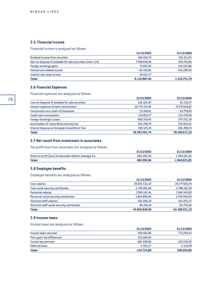## **3.5. Financial Income**

Financial income is analyzed as follows:

|                                                               | 31/12/2005   | 31/12/2004   |
|---------------------------------------------------------------|--------------|--------------|
| Dividend Income from securities                               | 166.402.74   | 101.211.05   |
| Gain on disposal of available for sale securities (note 3.14) | 7.798.658,96 | 450.724,86   |
| Foreign exchange gains                                        | 57.493.95    | 534.525.86   |
| Interest and related income                                   | 64.319.02    | 224.289,93   |
| Interest rate swap income                                     | 30.012.77    |              |
| <b>Totals</b>                                                 | 8.116.887,44 | 1.310.751,70 |

# **3.6 Financial Expenses**

Financial expenses are analyzed as follows:

|                                                   | 31/12/2005    | 31/12/2004    |
|---------------------------------------------------|---------------|---------------|
| Loss on disposal of available for sale securities | 516.102.97    | 91.510,57     |
| Interest expenses & bank commissions              | 24.776.212,81 | 27.237.624,82 |
| <b>Commissions on Letters of Guarantee</b>        | 53.918,41     | 63.759,83     |
| <b>Credit card commissions</b>                    | 134.813,77    | 115.279,40    |
| <b>Foreign Exchange Losses</b>                    | 400.319,45    | 275.551,30    |
| Amortization of Loans Restructuring Cost          | 503.768,79    | 233.602,91    |
| Interest Expense on European Committee's Fine     | 180.125.54    | 182.288,33    |
| <b>Totals</b>                                     | 26.565.261.74 | 28.199.617.16 |

## **3.7 Net result from investment in associates**

The profit/loss from associates are analysed as follows:

|                                                           | 31/12/2005 | 31/12/2004      |
|-----------------------------------------------------------|------------|-----------------|
| Share on profit (loss) of associate Hellenic Seaways S.A. | 662.282.94 | $-1.940.631,81$ |
| <b>Totals</b>                                             | 662.282.94 | $-1.940.631,81$ |

## **3.8 Employee benefits**

Employee benefits are analyzed as follows:

| <b>Totals</b>                                | 42.804.649,39 | 42.189.221,19 |
|----------------------------------------------|---------------|---------------|
| Technical staff social security contribution | 90.218.34     | 83.755,06     |
| <b>Technical staff salaries</b>              | 516.596.20    | 431.033,57    |
| Personnel social security contribution       | 1.814.890.06  | 1.759.940.93  |
| <b>Personnel salaries</b>                    | 7.999.132.41  | 7.349.343,60  |
| Crew social security contribution            | 2.728.281,04  | 2.788.102.29  |
| <b>Crew salaries</b>                         | 29.655.531,34 | 29.777.045,74 |
|                                              | 31/12/2005    | 31/12/2004    |

## **3.9 Income taxes**

Income taxes are analyzed as follows :

|                              | 31/12/2005    | 31/12/2004    |
|------------------------------|---------------|---------------|
| Income taxes returned        | 209.162.84    | 773,704,25    |
| Prior years' tax differences | $-211.664.65$ |               |
| Current tax provision        | $-140.308.00$ | $-134.539,50$ |
| Deferred taxes               | $-2.915.27$   | $-3.110.09$   |
| <b>Totals</b>                | $-145.725.08$ | 636.054.66    |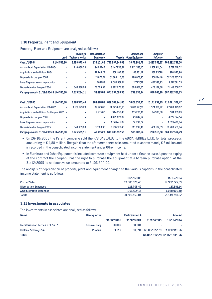## **3.10 Property, Plant and Equipment**

Property, Plant and Equipment are analyzed as follows:

|                                          | Land         | <b>Buildings</b><br>Technical works | Transportation<br><b>Equipment</b> | <b>Vessels</b> | <b>Furniture and</b><br><b>Other Equipmnet</b> | <b>Computer</b><br><b>Software</b> | <b>Totals</b>  |
|------------------------------------------|--------------|-------------------------------------|------------------------------------|----------------|------------------------------------------------|------------------------------------|----------------|
| Cost 1/1/2004                            | 8.144.535,60 | 8.378.973,40                        | 138.101.66                         | 743.387.849,05 | 3.876.281,78                                   | 2.497.055,57                       | 766.422.797.06 |
| Accumulated Depreciation 1/1/2004        | ٠            | 816,060,30                          | 94.007.42                          | 3.447.656.81   | 2.871.583,45                                   | 1.557.941.54                       | 8.787.249,52   |
| <b>Acquisitions and additions 2004</b>   |              | ٠                                   | 42.249,23                          | 658.402,83     | 143.431,12                                     | 132.857,78                         | 976.940,96     |
| Disposals for the year 2004              |              | ٠                                   | 15.872,21                          | 51.664.110,23  | 190.078,95                                     | 458.174,16                         | 52.328.235,55  |
| Less: Disposed assets depreciation       |              |                                     | 7.037.89                           | 2.085.367.54   | 177.757,19                                     | 457.398,93                         | 2.727.561,55   |
| Depreciation for the year 2004           |              | 343.688.99                          | 23.009,52                          | 19.962.775.83  | 396.651,35                                     | 423.132,68                         | 21.149.258,37  |
| Carruing amounts 31/12/2004 8.144.535.60 |              | 7.219.224.11                        | 54.499.63                          | 671.057.076.55 | 739.156.34                                     | 648.063.90                         | 687.862.556,13 |

| Cost 1/1/2005                                  | 8.144.535.60 | 8.378.973.40 | 164.478.68 | 692.382.141.65 | 3.829.633,95 | 2.171.739.19 | 715.071.502,47 |
|------------------------------------------------|--------------|--------------|------------|----------------|--------------|--------------|----------------|
| Accumulated Depreciation 1/1/2005              |              | 1.159.749.29 | 109.979.05 | 21.325.065.10  | 3.090.477.61 | 1.524.678.92 | 27.209.949,97  |
| Acquisitions and additions for the year 2005 - |              |              | 9.915.00   | 344.656.43     | 135.280.10   | 94.988.30    | 584.839,83     |
| Disposals for the year 2005                    |              |              |            | 4.699.629.82   | 23.044,72    |              | 4.722.674,54   |
| Less: Disposed assets depreciation             |              |              |            | 1.870.415.82   | 22.990.22    |              | 1.893.406,04   |
| Depreciation for the year 2005                 |              | 343.689.00   | 17.509.35  | 19.566.126.40  | 311.099.40   | 471.134.89   | 20.709.559.04  |
| Carrying amounts 31/12/2005 8.144.535,60       |              | 6.875.535.11 | 46.905.28  | 649.006.392.58 | 563.282.54   | 270.913.68   | 664.907.564.79 |

- On 26/10/2005 the Parent Company sold the F/B DAEDALUS to the ADRIA FERRIES L.T.D. for total proceeds amounting to  $\epsilon$  4,88 million. The gain from the aforementioned sale amounted to approximately  $\epsilon$  2 million and is recorded in the consolidated income statement under Other Income.
- In Furniture and Other Equipment is included computer equipment held under a finance lease. Upon the expiry of the contract the Company has the right to purchase the equipment at a bargain purchase option. At the  $31/12/2005$  its net book value amounted to  $\epsilon$  106.200,00.

The analysis of depreciation of property plant and equipment charged to the various captions in the consolidated income statement is as follows:

|                                | 31/12/2005    | 31/12/2004    |
|--------------------------------|---------------|---------------|
| <b>Cost of Sales</b>           | 19.566.126.40 | 19.962.775.83 |
| <b>Distribution Expenses</b>   | 125.705.49    | 127.581,14    |
| <b>Administrative Expenses</b> | 1.017.727.15  | 1.058.901,40  |
| <b>Totals</b>                  | 20.709.559.04 | 21.149.258,37 |

## **3.11 Investments in associates**

The investments in associates are analyzed as follows:

| <b>Name</b>                         | <b>Headquarter</b> |            | <b>Participation %</b> |            | <b>Amount</b>                      |
|-------------------------------------|--------------------|------------|------------------------|------------|------------------------------------|
|                                     |                    | 31/12/2005 | 31/12/2004             | 31/12/2005 | 31/12/2004                         |
| Mediterranean Ferries S.r.L S.r.I.* | Genova, Italy      | 50.00%     | 50.00%                 |            |                                    |
| <b>Hellenic Seaways S.A.</b>        | <b>Piraeus</b>     | 33.31%     |                        |            | 31,59% 66.062.812,79 61.870.911,56 |
| <b>Totals</b>                       |                    |            |                        |            | 66.062.812.79 61.870.911.56        |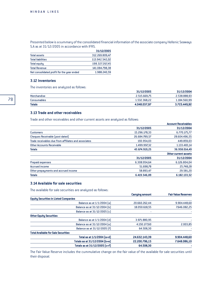Presented below is a summary of the consolidated financial information of the associate company Hellenic Seaways S.A as at 31/12/2005 in accordance with IFRS.

|                                            | 31/12/2005     |
|--------------------------------------------|----------------|
| <b>Total assets</b>                        | 312.269.809.47 |
| <b>Total liabilities</b>                   | 113.942.542,02 |
| <b>Total equity</b>                        | 198.327.267.45 |
| <b>Total Revenue</b>                       | 141.084.798.38 |
| Net consolidated profit for the year ended | 1.988.240.59   |

## **3.12 Inventories**

The inventories are analyzed as follows:

| <b>Totals</b> | 4.048.037.97 | 3.723.449,92 |
|---------------|--------------|--------------|
| Consumables   | 1.532.368.22 | 1.184.560,99 |
| Merchandise   | 2.515.669.75 | 2.538.888.93 |
|               | 31/12/2005   | 31/12/2004   |

#### **3.13 Trade and other receivables**

Trade and other receivables and other current assets are analyzed as follows:

|               | <b>Account Receivables</b> |
|---------------|----------------------------|
| 31/12/2005    | 31/12/2004                 |
| 15.296.178,33 | 6.770.175,77               |
| 26.684.789,57 | 28.604.496,55              |
| 193.954,03    | 449.859,03                 |
| 1.499.997,32  | 1.133.483,14               |
| 43.674.919,25 | 36.958.014,49              |
|               | Other current assets       |
| 31/12/2005    | 31/12/2004                 |
| 6.308.954.64  | 6.126.804,04               |
| 51.698,78     | 25.748,28                  |
| 58.893,47     | 29.581,20                  |
| 6.419.546.89  | 6.182.133.52               |
|               |                            |

# **3.14 Available for sale securities**

The available for sale securities are analyzed as follows:

|                                              | <b>Carrying amount</b> | <b>Fair Value Reserves</b> |
|----------------------------------------------|------------------------|----------------------------|
| <b>Equity Securities in Listed Companies</b> |                        |                            |
| Balance as at 1/1/2004 [a]                   | 20.660.262.44          | 9.904.448.60               |
| Balance as at 31/12/2004 [b]                 | 18.050.618.55          | 7.646.082,25               |
| Balance as at 31/12/2005 [c]                 |                        |                            |
| <b>Other Equity Securities</b>               |                        |                            |
| Balance as at 1/1/2004 [d]                   | 3.971.880,95           |                            |
| Balance as at 31/12/2004 [e]                 | 4.150.177,60           | 2.003,85                   |
| Balance as at 31/12/2005 [f]                 | 64.508,30              |                            |
| <b>Total Available for Sale Securities</b>   |                        |                            |
| Total as at 1/1/2004 [a+d]                   | 24.632.143,39          | 9.904.448,60               |
| Totals as at 31/12/2004 [b+e]                | 22.200.796,15          | 7.648.086,10               |
| Totals as at 31/12/2005 [c+f]                | 64.508,30              |                            |

The Fair Value Reserve includes the cummulative change on the fair value of the available for sale securities until their disposal.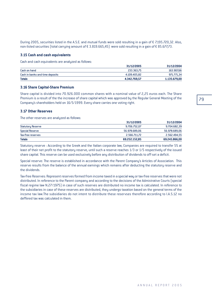During 2005, securities listed in the A.S.E. and mutual funds were sold resulting in a gain of  $\epsilon$  7.195.720.32. Also, non-listed securities (total carrying amount of  $\epsilon$  3.819.665,45) were sold resulting in a gain of  $\epsilon$  85.677,73.

#### **3.15 Cash and cash equivalents**

Cash and cash equivalents are analyzed as follows:

| <b>Totals</b>                   | 4.342.769,57 | 1.135.679,00 |
|---------------------------------|--------------|--------------|
| Cash in banks and time deposits | 4.109.405.82 | 971.771,34   |
| Cash on hand                    | 233.363.75   | 163.907,66   |
|                                 | 31/12/2005   | 31/12/2004   |

## **3.16 Share Capital-Share Premium**

Share capital is divided into 70.926.000 common shares with a nominal value of 2,25 euros each. The Share Premium is a result of the the increase of share capital which was approved by the Regular General Meeting of the Company's shareholders held on 16/5/1999. Every share carries one voting right.

### **3.17 Other Reserves**

The other reserves are analyzed as follows:

|                          | 31/12/2005    | 31/12/2004    |
|--------------------------|---------------|---------------|
| <b>Statutory Reserve</b> | 9.706.752.07  | 9.704.682,39  |
| <b>Special Reserve</b>   | 56.978.689.06 | 56.978.689,06 |
| Tax-free reserves        | 2.566.711.72  | 2.562.494,55  |
| <b>Totals</b>            | 69.252.152.85 | 69.245.866.00 |

Statutory reserve : According to the Greek and the Italian corporate law, Companies are required to transfer 5% at least of their net profit to the statutory reserve, until such a reserve reaches 1/3 or 1/5 respectively of the issued share capital. This reserve can be used exclusively before any distribution of dividends to off-set a deficit.

Special reserve: The reserve is established in accordance with the Parent Company's Articles of Association. This reserve results from the balance of the annual earnings which remains after deducting the statutory reserve and the dividends.

Tax-free Reserves: Represent reserves formed from income taxed in a special way or tax-free reserves that were not distributed. In reference to the Parent company and according to the decisions of the Admistrative Courts (special fiscal regime law N.27/1975) in case of such reserves are distributed no income tax is calculated. In reference to the subsidiaries in case of these reserves are distributed, they undergo taxation based on the general terms of the income tax law.The subsidiaries do not intent to distribute these reservses therefore according to I.A.S.12 no deffered tax was calculated in them.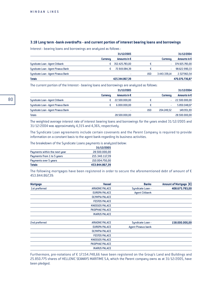### **3.18 Long term -bank overdrafts - and current portion of interest bearing loans and borrowings**

Interest - bearing loans and borrowings are analyzed as follows :

|                                     |                 | 31/12/2005            |     |                 | 31/12/2004            |
|-------------------------------------|-----------------|-----------------------|-----|-----------------|-----------------------|
|                                     | <b>Currencu</b> | Amounts in $\epsilon$ |     | <b>Currencu</b> | Amounts in $\epsilon$ |
| Syndicate Loan - Agent Citibank     |                 | 352.425.783.00        |     |                 | 374.925.783,00        |
| Syndicate Loan - Agent Piraeus Bank |                 | 72.919.084.39         |     |                 | 98.622.990,33         |
| Syndicate Loan - Agent Piraeus Bank |                 |                       | USD | 3.443.339.14    | 2.527.963,54          |
| <b>Totals</b>                       |                 | 425.344.867,39        |     |                 | 476.076.736,87        |

The current portion of the Interest - bearing loans and borrowings are analyzed as follows:

|                                     |                 | 31/12/2005            |            |                 | 31/12/2004    |
|-------------------------------------|-----------------|-----------------------|------------|-----------------|---------------|
|                                     | <b>Currency</b> | Amounts in $\epsilon$ |            | <b>Currency</b> | Amounts in €  |
| Syndicate Loan - Agent Citibank     |                 | 22.500.000.00         | €          | ٠               | 22.500.000,00 |
| Syndicate Loan - Agent Piraeus Bank |                 | 6.000.000.00          | €          |                 | 5.850.048,07  |
| Syndicate Loan - Agent Piraeus Bank |                 |                       | <b>USD</b> | 204.249.52      | 149.951,93    |
| <b>Totals</b>                       |                 | 28.500.000,00         |            |                 | 28.500.000,00 |

The weighted average interest rate of interest bearing loans and borrowings for the years ended 31/12/2005 and 31/12/2004 was approximately 4,31% and 4,36%, respectively.

The Syndicate Loan agreements include certain covenants and the Parent Company is required to provide information on a constant basis to the agent bank regarding its business activities.

The breakdown of the Syndicate Loans payments is analyzed below:

|                               | 31/12/2005     |
|-------------------------------|----------------|
| Payments within the next year | 28.500.000.00  |
| Payments from 1 to 5 years    | 215.340.117,39 |
| Payments over 5 years         | 210.004.750.00 |
| <b>Totals</b>                 | 453.844.867,39 |
|                               |                |

The following mortgages have been registered in order to secure the aforementioned debt of amount of  $\epsilon$ 453.844.867,39:

| Mortgage      | <b>Vessel</b>          | <b>Banks</b>              | Amount of Mortgage (€) |
|---------------|------------------------|---------------------------|------------------------|
| 1st preferred | <b>ARIADNE PALACE</b>  | Syndicate Loan -          | 408.675.783,00         |
|               | <b>EUROPA PALACE</b>   | <b>Agent Citibank</b>     |                        |
|               | <b>OLYMPIA PALACE</b>  |                           |                        |
|               | <b>FESTOS PALACE</b>   |                           |                        |
|               | <b>KNOSSOS PALACE</b>  |                           |                        |
|               | PASIPHAE PALACE        |                           |                        |
|               | <b>IKARUS PALACE</b>   |                           |                        |
|               | <b>ARIADNE PALACE</b>  |                           | 158.000.000.00         |
| 2nd preferred |                        | Syndicate Loan -          |                        |
|               | <b>EUROPA PALACE</b>   | <b>Agent Piraeus bank</b> |                        |
|               | <b>OLYMPIA PALACE</b>  |                           |                        |
|               | <b>FESTOS PALACE</b>   |                           |                        |
|               | <b>KNOSSOS PALACE</b>  |                           |                        |
|               | <b>PASIPHAE PALACE</b> |                           |                        |
|               | <b>IKARUS PALACE</b>   |                           |                        |

Furthermore, pre-notations of  $\epsilon$  17.154.748,66 have been registered on the Group's Land and Buildings and 25.850.775 shares of HELLENIC SEAWAYS MARITIME S.A, which the Parent company owns as at 31/12/2005, have been pledged.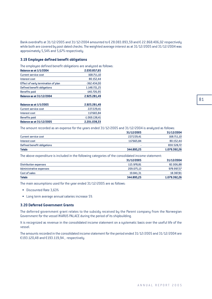Bank overdrafts at 31/12/2005 and 31/12/2004 amounted to  $\epsilon$  28.083.893.59 and  $\epsilon$  22.868.406.02 respectively while both are covered by post dated checks. The weighted average interest as at 31/12/2005 and 31/12/2004 was approximately 5,54% and 5,67% respectively.

### **3.19 Employee defined benefit obligations**

The employee defined benefit obligations are analyzed as follows:

| 168.711,10<br>80.152,44 |
|-------------------------|
|                         |
|                         |
| $-362.434,00$           |
| 1.148.721,25            |
| $-140.726,95$           |
| 2.925.281,49            |
|                         |

| <b>Balance as at 1/1/2005</b>   | 2.925.281.49    |
|---------------------------------|-----------------|
| <b>Current service cost</b>     | 227.229.41      |
| Interest cost                   | 117.665.84      |
| <b>Benefits paid</b>            | $-1.069.138.41$ |
| <b>Balance as at 31/12/2005</b> | 2.201.038.33    |

The amount recorded as an expense for the years ended 31/12/2005 and 31/12/2004 is analyzed as follows:

|                             | 31/12/2005 | 31/12/2004   |
|-----------------------------|------------|--------------|
| Current service cost        | 227,229.41 | 168.711,10   |
| Interest cost               | 117.665.84 | 80.152,44    |
| Defined benefit obligations |            | 830.528,72   |
| <b>Totals</b>               | 344.895.25 | 1.079.392,26 |

The above expenditure is included in the following categories of the consolidated income statement:

|                         | 31/12/2005 | 31/12/2004   |
|-------------------------|------------|--------------|
| Distribution expenses   | 115.978.81 | 82.006,88    |
| Administrative expenses | 209.075.13 | 978.997,57   |
| Cost of sales           | 19.841.31  | 18.387,81    |
| <b>Totals</b>           | 344.895.25 | 1.079.392.26 |

The main assumptions used for the year ended 31/12/2005 are as follows:

- Discounted Rate 3,63%
- Long term average annual salaries increase 5%

#### **3.20 Deferred Government Grants**

The deferred government grant relates to the subsidy received by the Parent company from the Norwegian Government for the vessel IKARUS PALACE during the period of its shipbuilding.

It is recognized as revenue in the consolidated income statement on a systematic basis over the useful life of the vessel.

The amounts recorded in the consolidated income statement for the period ended 31/12/2005 and 31/12/2004 are €193.120,48 and €193.119,94, respectively.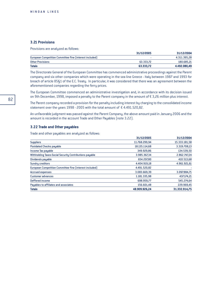### **3.21 Provisions**

Provisions are analyzed as follows:

|                                                         | 31/12/2005 | 31/12/2004   |
|---------------------------------------------------------|------------|--------------|
| European Competition Committee fine (interest included) |            | 4.311.395.28 |
| <b>Other Provisions</b>                                 | 63.333.72  | 180.685,21   |
| <b>Totals</b>                                           | 63.333.72  | 4.492.080,49 |

The Directorate General of the European Committee has commenced administrative proceedings against the Parent company and six other companies which were operating in the sea line Greece - Italy between 1987 and 1993 for breach of article 85§1 of the E.C. Treaty. In particular, it was considered that there was an agreement between the aforementioned companies regarding the ferry prices.

The European Committee commenced an administrative investigation and, in accordance with its decision issued on 9th December, 1998, imposed a penalty to the Parent company in the amount of  $\epsilon$  3,26 million plus interest.

The Parent company recorded a provision for the penalty including interest by charging to the consolidated income statement over the years 1998 - 2005 with the total amount of  $\epsilon$  4.491.520,82.

An unfavorable judgment was passed against the Parent Company, the above amount paid in January 2006 and the amount is recorded in the account Trade and Other Payables (note 3.22).

#### **3.22 Trade and Other payables**

Trade and other payables are analyzed as follows:

| <b>Suppliers</b><br>11.768.299.94<br><b>Postdated Checks payable</b><br>18.135.114,68<br>349.929,86<br>Income Tax payable<br>Withholding Taxes-Social Security Contributions payable<br>3.985.367.34<br>654.207,80<br>4.404.919.18<br>European Competition Committee fine (interest included)<br>4.491.520,82<br>3.083.669,39<br><b>Accrued expenses</b><br>1.181.335,98<br><b>Customer advances</b><br>Deffered income<br>698.959,77<br>Payables to affiliates and associates<br>156.601,48<br>48.909.926,24<br><b>Totals</b> | 31/12/2005 | 31/12/2004    |
|--------------------------------------------------------------------------------------------------------------------------------------------------------------------------------------------------------------------------------------------------------------------------------------------------------------------------------------------------------------------------------------------------------------------------------------------------------------------------------------------------------------------------------|------------|---------------|
| Dividends payable<br><b>Sundry creditors</b>                                                                                                                                                                                                                                                                                                                                                                                                                                                                                   |            | 15.333.181,58 |
|                                                                                                                                                                                                                                                                                                                                                                                                                                                                                                                                |            | 3.319.708,13  |
|                                                                                                                                                                                                                                                                                                                                                                                                                                                                                                                                |            | 134.539,50    |
|                                                                                                                                                                                                                                                                                                                                                                                                                                                                                                                                |            | 2.862.747,24  |
|                                                                                                                                                                                                                                                                                                                                                                                                                                                                                                                                |            | 410.513,68    |
|                                                                                                                                                                                                                                                                                                                                                                                                                                                                                                                                |            | 4.961.921,61  |
|                                                                                                                                                                                                                                                                                                                                                                                                                                                                                                                                |            |               |
|                                                                                                                                                                                                                                                                                                                                                                                                                                                                                                                                |            | 3.097.884,71  |
|                                                                                                                                                                                                                                                                                                                                                                                                                                                                                                                                |            | 437.174,21    |
|                                                                                                                                                                                                                                                                                                                                                                                                                                                                                                                                |            | 545.274,64    |
|                                                                                                                                                                                                                                                                                                                                                                                                                                                                                                                                |            | 229.969,45    |
|                                                                                                                                                                                                                                                                                                                                                                                                                                                                                                                                |            | 31.332.914,75 |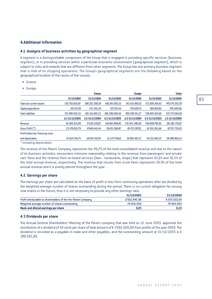# **4.Additional Information**

### **4.1. Analysis of business activities by geographical segment**

A segment is a distinguishable component of the Group that is engaged in providing specific services (business segment), or in providing services within a particular economic environment (geographical segment), which is subject to risks and rewards that are different from other segments. The Group has one primary business segment that is that of its shipping operations. The Group's geographical segments are the following based on the geographical location of the routes of the vessels:

- Greece
- Europe

|                                    |                | Greece         |                | <b>Europe</b>  |                | <b>Totals</b>  |
|------------------------------------|----------------|----------------|----------------|----------------|----------------|----------------|
|                                    | 31/12/2005     | 31/12/2004     | 31/12/2005     | 31/12/2004     | 31/12/2005     | 31/12/2004     |
| <b>Total non-current assets</b>    | 292.763.830,87 | 298.352.308.39 | 438.243.093,55 | 451.421.897,20 | 731.006.924,42 | 749.774.205,59 |
| Capital expenditure                | 247.137,39     | 222.301.24     | 337.702.44     | 754.639,72     | 584.839,83     | 976.940,96     |
| <b>Total Liabilities</b>           | 172.089.505,22 | 181.512.695.22 | 366.396.060.44 | 390.258.351,27 | 538.485.565.66 | 571.771.046,49 |
|                                    | 1/1-31/12/2005 | 1/1-31/12/2004 | 1/1-31/12/2005 | 1/1-31/12/2004 | 1/1-31/12/2005 | 1/1-31/12/2004 |
| Revenue                            | 65.945.913,99  | 57.140.328.87  | 138.862.868.82 | 135.042.386.00 | 204.808.782.81 | 192.182.714,87 |
| Gross Profit [*]                   | 23.379.632,79  | 17.849.443.44  | 39.452.268.87  | 49.723.287.01  | 62.831.901.66  | 67.572.730,45  |
| Profit before tax, financing costs |                |                |                |                |                |                |
| and depreciation                   | 25.024.354.75  | 18.405.567.05  | 31.227.738.62  | 39.983.402.17  | 56.252.093.37  | 58.388.969,22  |
| $*inolutioned equation$            |                |                |                |                |                |                |

*\* including depreciation*

The revenue of the Parent Company represents the 99,7% of the total consolidated revenue and due to the nature of its business activities, encounters intensive seasonality relating to the revenue from passengers' and private cars' fares and the revenue from on-board services (bars - restaurants, shops) that represent 43,6% and 16,5% of the total annual revenue, respectively. The revenue that results from truck fares represents 39,9% of the total annual revenue and it is evenly earned throughout the year.

## **4.2. Earnings per share**

The earnings per share are calculated on the basis of profit or loss from continuing operations after tax divided by the weighted average number of shares outstanding during the period. There is no current obligation for issuing new shares in the future, thus it is not necessary to provide any other earnings ratio.

|                                                               | 31/12/2005    | 31/12/2004   |
|---------------------------------------------------------------|---------------|--------------|
| Profit attributable to shareholders of the the Parent Company | 17.612.845.90 | 9.055.632,64 |
| Weighted average number of shares outstanding                 | 70.926.000    | 70.926.000   |
| <b>Basic and diluted earnings per share</b>                   | 0.25          | 0,13         |

### **4.3 Dividends per share**

The Annual General Shareholders' Meeting of the Parent company that was held on 12 June 2005, approved the distribution of a dividend of 10 cents per share of total amount of  $\epsilon$  7.092.600,00 from profits of the year 2004. The dividend is recorded as a payable in trade and other payables, and the outstanding amount at 31/12/2005 is  $\epsilon$ 388.265,80.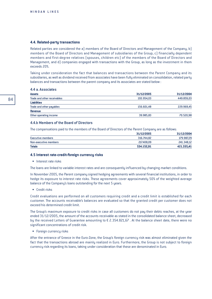#### **4.4. Related-party transactions**

Related parties are considered the a) members of the Board of Directors and Management of the Company, b) members of the Board of Directors and Management of subsidiaries of the Group, c) financially dependent members and first-degree relatives (spouses, children etc) of the members of the Board of Directors and Management, and d) companies engaged with transactions with the Group, as long as the investment in them exceeds 20%.

Taking under consideration the fact that balances and transactions between the Parent Company and its subsidiaries, as well as dividend received from associates have been fully eliminated on consolidation, related party balances and transactions between the parent company and its associates are stated below :

#### 4.4 a. Associates

| <b>Assets</b>               | 31/12/2005 | 31/12/2004 |
|-----------------------------|------------|------------|
| Trade and other receivables | 193.954.03 | 449.859,03 |
| <b>Liabilities</b>          |            |            |
| Trade and other payables    | 156.601.48 | 229.969,45 |
| Revenue                     |            |            |
| Other operating income      | 39.985.83  | 70.520,98  |

#### 4.4.b Members of the Board of Directors

The compensations paid to the members of the Board of Directors of the Parent Company are as follows:

|                       | 31/12/2005 | 31/12/2004 |
|-----------------------|------------|------------|
| Executive members     | 316.744.82 | 179.987,29 |
| Non-executive members | 217.408.09 | 241.348,12 |
| <b>Totals</b>         | 534.152.91 | 421.335.41 |

#### **4.5 Interest rate-credit-foreign currency risks**

• Interest rate risks

The loans are linked to variable interest rates and are consequently influenced by changing market conditions.

In November 2005, the Parent company signed hedging agreements with several financial institutions, in order to hedge its exposure to interest rate risks. These agreements cover approximately 50% of the weighted average balance of the Company's loans outstanding for the next 5 years.

• Credit risks

Credit evaluations are performed on all customers requiring credit and a credit limit is established for each customer. The accounts receivable's balances are evaluated so that the granted credit per customer does not exceed his determined credit limit.

The Group's maximum exposure to credit risks in case all customers do not pay their debts reaches, at the year ended 31/12/2005, the amount of the accounts receivable as stated in the consolidated balance sheet, decreased by the received Letters of Guarantee amounting to  $\epsilon$  2.354.821,67. At the balance sheet date, there were no significant concentrations of credit risk.

• Foreign currency risks

After the entrance of Greece in the Euro-Zone, the Group's foreign currency risk was almost eliminated given the fact that the transactions abroad are mainly realized in Euro. Furthermore, the Group is not subject to foreign currency risk regarding its loans, taking under consideration that these are denominated in Euro.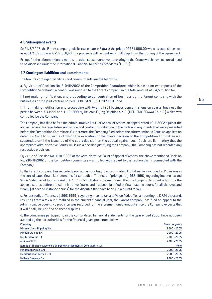#### **4.6 Subsequent events**

On 21/2/2006, the Parent company sold its real estate in Patra at the price of  $\epsilon$  351.000,00 while its acquisition cost as at  $31/12/2005$  was  $\epsilon$  282.858,60. The proceeds will be paid within 50 daus from the signing of the agreement.

Except for the aforementioned matter, no other subsequent events relating to the Group which have occurred need to be disclosed under the International Financial Reporting Standards (I.F.R.S.).

#### **4.7 Contingent liabilities and commitments**

The Group's contingent liabilities and commitments are the following :

a. By virtue of Decision No. 210/III/2002 of the Competition Committee, which is based on two reports of the Competition Secretariat, a penalty was imposed to the Parent company in the total amount of  $\epsilon$  4,5 million for:

(i) not making notification, and proceeding to concentration of business by the Parent company with the businesses of the joint venture named "JOINT VENTURE HYDROFOIL" and

(ii) not making notification and proceeding with twenty (20) business concentrations on coastal business the period between 3-3-1999 and 31-12-1999 by Hellenic Flying Dolphins A.N.E. (HELLENIC SEAWAYS A.N.E.) which was controlled by the Company.

The Company has filed before the Administrative Court of Appeal of Athens an appeal dated 19-4-2002 against the above Decision for legal falses and vague and conflicting valuation of the facts and arguments that were presented before the Competition Committee; furthermore, the Company filed before the aforementioned Court an application dated 22-4-2002 by virtue of which the execution of the above decision of the Competition Committee was suspended until the issuance of the court decision on the appeal against such Decision. Estimating that the appropriate Administrative Courts will issue a decision justifying the Company, the Company has not recorded any respective provision.

By virtue of Decision No. 1101/2005 of the Administrative Court of Appeal of Athens, the above mentioned Decision No. 210/III/2002 of the Competition Committee was nulled with regard to the section that is connected with the Company.

b. The Parent company has recorded provision amounting to approximately  $\epsilon$  0,04 million included in Provisions in the consolidated financial statements for tax audit differences of prior years (1985-1996) regarding income tax and Value Added Tax of total amount of  $\epsilon$  1,77 million. It should be mentioned that the Company has filed actions for the above disputes before the Administrative Courts and has been justified at first instance courts for all disputes and finally (at second instance courts) for the disputes that have been judged until today.

c. For tax audit differences (1998-1999) regarding income tax and Value Added Tax, amounting to  $\epsilon$  724 thousand, resulting from a tax audit realized in the current financial year, the Parent company has filed an appeal to the Administrative Courts. No provision was recorded for the aforementioned amount since the Company expects that it will finally be justified on these disputes.

d. The companies participating in the consolidated fianancial statements for the year ended 2005, have not been audited by the tax authorities for the financial years presented below:

| Company                                                            | Open tax years |
|--------------------------------------------------------------------|----------------|
| Minoan Lines Shipping S.A.                                         | $2000 - 2005$  |
| <b>Minoan Cruises S.A.</b>                                         | 2000 - 2005    |
| Kritiki Filoxenia S.A.                                             | $2000 - 2005$  |
| Athina A.V.E.E.                                                    | $2000 - 2005$  |
| European Thalassic Agencies Shipping Management & Consultants S.A. | none           |
| Minoan Agencies S.r.l.                                             | 2002 - 2005    |
| Mediterranean Ferries S.r.l.                                       | 2002 - 2005    |
| <b>Hellenic Seaways S.A.</b>                                       | 2000 - 2005    |
|                                                                    |                |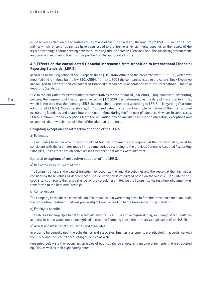e. The adverse effect on the operating results of one of the subsidiaries by the amounts of USD 0,56 mil. and  $\epsilon$  0,21 mil. for which letters of guarantee have been issued to the Seamen's Pension Fund depends on the results of the legal proceedings commenced by both the subsidiary and the Seamen's Pension Fund. The subsidiary has not made any provision estimating that it will be justified by the appropriate Courts.

## **4.8 Effects on the consolidated financial statements from transition to International Financial Reporting Standards (I.F.R.S)**

According to the Regulation of the European Union (EU) 1606/2002 and the corporate law 2190/1920, which was modified and is in force by the law 3301/2004, from 1/1/2005 the companies listed to the Athens Stock Exchange are obliged to prepare their consolidated financial statements in accordance with the International Financial Reporting Standards.

Due to the obligation for presentation of comparatives for the financial year 2004, using consistent accounting policies, the beginning of the comparative period (1/1/2004) is determined as the date of transition to I.F.R.S., which is the date that the opening I.F.R.S. balance sheet is prepared according to I.F.R.S. 1 (regarding first time adoption of I.F.R.S.). More specifically, I.F.R.S. 1 indicates the retroactive implementation of the International Accounting Standards and related interpretations in force during the first year of adoption. However, in some cases, I.F.R.S. 1 allows limited exceptions from the obligation, which are distinguished to obligatory exceptions and exceptions about which, the selection of the adoption is optional.

#### Obligatory exceptions of retroactive adoption of the I.F.R.S.

#### a) Estimates

The estimates based on which the consolidated financial statements are prepared at the transition date, must be consistent with the estimates made in the same periods according to the previous Generally Accepted Accounting Principles, unless there are objective reasons that these estimates were incorrect.

#### Optional exceptions of retroactive adoption of the I.F.R.S.

#### a) Use of fair value as deemed cost

The Company chose, at the date of transition, to recognize the land, the buildings and the vessels at their fair values considering these values as deemed cost. The depreciation is calculated based on the vessels' useful life on this cost, after subtracting the residual value (of the vessels) estimated by the Company,. The resulting adjustment was transferred to the Retained Earnings.

#### b) Consolidations

The company chose for the consolidation of companies that were recognized before the transition date to maintain the accounting treatment that was previously followed according to the Greek Accounting Standards.

#### c) Employee benefits

The liabilities for employee benefits, were calculated on 1/1/2004 and recognized fully, including the accumulative actuarial loss that would not be recognized in case the Company chose the retroactive application of the IAS 19.

#### d) Assets and liabilities of subsidiaries and associates

In order to be consolidated, the subsidiaries and associates' financial statements are adjusted in accordance with the I.F.R.S. and the Group's accounting principles as well.

Presented below are the reconciliation tables of equity, balance sheets, and income statements that are required by IFRS, as well as their explanatory notes.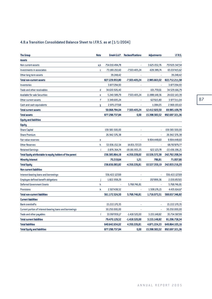# 4.8.a Transition Consolidated Balance Sheet to I.F.R.S. as at (1/1/2004)

| <b>The Group</b>                                          | <b>Note</b> | Greek G.A.P.   | <b>Reclassifications</b> | <b>Adjustments</b> | I.F.R.S.         |
|-----------------------------------------------------------|-------------|----------------|--------------------------|--------------------|------------------|
| Assets                                                    |             |                |                          |                    |                  |
| Non current-assets                                        | a,b         | 754.010.494,78 |                          | 3.625.052,76       | 757.635.547,54   |
| Investments in associates                                 | c           | 73.180.210,60  | $-7.503.405,24$          | -639.389,74        | 65.037.415,62    |
| Other long term assets                                    |             | 39.248,42      |                          |                    | 39.248,42        |
| <b>Total non-current assets</b>                           |             | 827.229.953,80 | -7.503.405,24            | 2.985.663,02       | 822.712.211,58   |
| <b>Inventories</b>                                        |             | 3.877.294,93   |                          |                    | 3.877.294,93     |
| <b>Trade and other receivables</b>                        | d           | 34.630.926,40  |                          | $-101.759.61$      | 34.529.166,79    |
| <b>Available for sale Securities</b>                      | е           | 5.240.589,79   | 7.503.405,24             | 11.888.148,36      | 24.632.143,39    |
| Other current assets                                      | f           | 3.349.695,24   |                          | 627.615,80         | 3.977.311,04     |
| Cash and cash equivalents                                 | g           | 2.970.277,68   |                          | $-1.084,05$        | 2.969.193,63     |
| <b>Total current assets</b>                               |             | 50.068.784,04  | 7.503.405,24             | 12.412.920,50      | 69.985.109,78    |
| <b>Total assets</b>                                       |             | 877.298.737,84 | 0,00                     | 15.398.583,52      | 892.697.321,36   |
| <b>Equity and liabilities</b>                             |             |                |                          |                    |                  |
| <b>Equity</b>                                             |             |                |                          |                    |                  |
| <b>Share Capital</b>                                      |             | 159.583.500,00 |                          | ä,                 | 159.583.500,00   |
| <b>Share Premium</b>                                      |             | 26.942.576,38  | ä                        | ä,                 | 26.942.576,38    |
| <b>Fair value reserves</b>                                | е           |                |                          | 9.904.448,60       | 9.904.448,60     |
| <b>Other Reserves</b>                                     | h           | 53.936.152,54  | 14.831.727,23            |                    | 68.767.879,77    |
| <b>Retained Earnings</b>                                  | i.          | -3.876.364,74  | -19.181.955,25           | 622.123,78         | $-22.436.196,21$ |
| Total Equity attributable to equity holders of the parent |             | 236.585.864,18 | -4.350.228,02            | 10.526.572,38      | 242.762.208,54   |
| <b>Minority Interest</b>                                  |             | 70.219,64      | 1,21                     | 786,81             | 71.007,66        |
| <b>Total Equity</b>                                       |             | 236.656.083,82 | -4.350.226,81            | 10.527.359,19      | 242.833.216,20   |
| <b>Non current liabilities</b>                            |             |                |                          |                    |                  |
| Interest-bearing loans and borrowings                     |             | 556.422.127,69 |                          |                    | 556.422.127,69   |
| <b>Employee defined benefit obligations</b>               |             | 1.822.958,29   |                          | 207.899,36         | 2.030.857,65     |
| <b>Deferred Government Grants</b>                         | h           |                | 5.768.746,81             | ä,                 | 5.768.746,81     |
| <b>Provisions</b>                                         | k           | 2.927.438,52   |                          | 1.508.176,15       | 4.435.614,67     |
| <b>Total non-current liabilities</b>                      |             | 561.172.524,50 | 5.768.746,81             | 1.716.075,51       | 568.657.346,82   |
| <b>Current liabilities</b>                                |             |                |                          |                    |                  |
| <b>Bank overdrafts</b>                                    |             | 15.222.170,35  |                          |                    | 15.222.170,35    |
| Current portion of interest-bearing loans and borrowings  |             | 30.250.000,00  |                          |                    | 30.250.000,00    |
| Trade and other payables                                  | T           | 33.997.959,17  | $-1.418.520,00$          | 3.155.148,82       | 35.734.587,99    |
| <b>Total current liabilities</b>                          |             | 79.470.129,52  | $-1.418.520,00$          | 3.155.148,82       | 81.206.758,34    |
| <b>Total liabilities</b>                                  |             | 640.642.654,02 | 4.350.226,81             | 4.871.224,33       | 649.864.105,16   |
| <b>Total Equity and liabilities</b>                       |             | 877.298.737.84 | 0.00                     | 15.398.583,52      | 892.697.321,36   |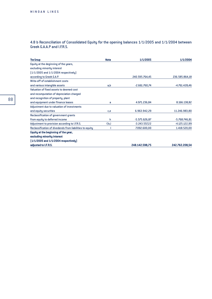4.8 b Reconciliation of Consolidated Equity for the opening balances 1/1/2005 and 1/1/2004 between Greek G.A.A.P and I.F.R.S.

| <b>The Group</b>                                         | <b>Note</b> | 1/1/2005        | 1/1/2004        |
|----------------------------------------------------------|-------------|-----------------|-----------------|
| Equity at the deginning of the years,                    |             |                 |                 |
| excluding minority interest                              |             |                 |                 |
| $[1/1/2005$ and $1/1/2004$ respectively]                 |             |                 |                 |
| according to Greek G.A.P.                                |             | 240.595.764,45  | 236.585.864,18  |
| Write-off of establishment costs                         |             |                 |                 |
| and various intangible assets                            | a,b         | $-2.661.760,74$ | -4.761.428,46   |
| Valuation of fixed assets to deemed cost                 |             |                 |                 |
| and recomputation of depreciation charged                |             |                 |                 |
| and recognition of property, plant                       |             |                 |                 |
| and equipment under finance leases                       | a           | 4.971.236,84    | 8.166.138,82    |
| Adjustment due to valuation of investments               |             |                 |                 |
| and equity securities                                    | c,e         | 6.963.942,29    | 11.246.983,80   |
| Reclassification of government grants                    |             |                 |                 |
| from equity to deferred income                           | h           | $-5.575.626.87$ | $-5.768.746.81$ |
| Adjustment to provision according to I.F.R.S.            | f,k,l       | $-3.243.557.22$ | $-4.125.122,99$ |
| Reclassification of divedends from liabilities to equity |             | 7.092.600,00    | 1.418.520,00    |
| Equity at the beginning of the year,                     |             |                 |                 |
| excluding minority interest                              |             |                 |                 |
| $[1/1/2005$ and $1/1/2004$ respectively]                 |             |                 |                 |
| adjusted to I.F.R.S.                                     |             | 248.142.598,75  | 242.762.208,54  |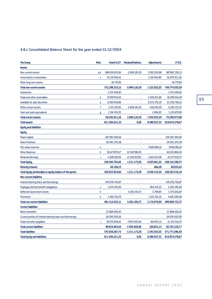# 4.8.c Consolidated Balance Sheet for the year ended 31/12/2004

| <b>The Group</b>                                          | <b>Note</b> | Greek G.A.P.    | <b>Reclassifications</b> | <b>Adjustments</b> | I.F.R.S.       |
|-----------------------------------------------------------|-------------|-----------------|--------------------------|--------------------|----------------|
| <b>Assets</b>                                             |             |                 |                          |                    |                |
| Non current-assets                                        | a,b         | 688.019.655,84  | $-2.849.126,59$          | 2.692.026,88       | 687.862.556,13 |
| Investments in associates                                 | c           | 63.237.916,41   |                          | $-1.367.004,85$    | 61.870.911,56  |
| Other long term assets                                    |             | 40.737,90       |                          |                    | 40.737,90      |
| <b>Total non-current assets</b>                           |             | 751.298.310,15  | $-2.849.126,59$          | 1.325.022,03       | 749.774.205,59 |
| <b>Inventories</b>                                        |             | 3.723.449,92    |                          |                    | 3.723.449,92   |
| <b>Trade and other receivables</b>                        | d           | 37.997.030,45   |                          | $-1.039.015,96$    | 36.958.014,49  |
| <b>Available for sale Securities</b>                      | e           | 13.867.419,86   |                          | 8.333.376,29       | 22.200.796,15  |
| Other current assets                                      | f           | 3.571.247,92    | 2.849.126,59             | -238.240,99        | 6.182.133,52   |
| Cash and cash equivalents                                 | g           | 1.136.763,05    |                          | $-1.084,05$        | 1.135.679,00   |
| <b>Total current assets</b>                               |             | 60.295.911,20   | 2.849.126,59             | 7.055.035,29       | 70.200.073,08  |
| <b>Total assets</b>                                       |             | 811.594.221,35  | 0,00                     | 8.380.057,32       | 819.974.278,67 |
| <b>Equity and liabilities</b>                             |             |                 |                          |                    |                |
| <b>Equity</b>                                             |             |                 |                          |                    |                |
| <b>Share Capital</b>                                      |             | 159.583.500,00  |                          | à,                 | 159.583.500,00 |
| <b>Share Premium</b>                                      |             | 26.942.576,38   | ä,                       | i.                 | 26.942.576,38  |
| <b>Fair value reserves</b>                                | e           |                 |                          | 7.648.086,10       | 7.648.086,10   |
| <b>Other Reserves</b>                                     | h           | 56.677.875,07   | 12.567.990,93            |                    | 69.245.866,00  |
| <b>Retained Earnings</b>                                  | i.          | $-2.608.187,00$ | -11.056.817,65           | $-1.612.425.08$    | -15.277.429,73 |
| <b>Total Equity</b>                                       |             | 240.595.764,45  | 1.511.173,28             | 6.035.661,02       | 248.142.598,75 |
| <b>Minority Interest</b>                                  |             | 60.169,15       |                          | 464,28             | 60.633,43      |
| Total Equity attributable to equity holders of the parent |             | 240.655.933,60  | 1.511.173,28             | 6.036.125,30       | 248.203.232,18 |
| <b>Non current liabilities</b>                            |             |                 |                          |                    |                |
| Interest-bearing loans and borrowings                     |             | 476.076.736,87  |                          |                    | 476.076.736,87 |
| <b>Employee defined benefit obligations</b>               |             | 2.070.745,94    |                          | 854.535,55         | 2.925.281,49   |
| <b>Deferred Government Grants</b>                         | h           |                 | 5.581.426,72             | $-5.799.85$        | 5.575.626,87   |
| <b>Provisions</b>                                         | k           | 3.166.739,30    |                          | 1.325.341,19       | 4.492.080,49   |
| <b>Total non-current liabilities</b>                      |             | 481.314.222,11  | 5.581.426,72             | 2.174.076,89       | 489.069.725,72 |
| <b>Current liabilities</b>                                |             |                 |                          |                    |                |
| <b>Bank overdrafts</b>                                    |             | 22.868.406,02   |                          | ä,                 | 22.868.406,02  |
| Current portion of interest-bearing loans and borrowings  |             | 28.500.000,00   |                          |                    | 28.500.000,00  |
| Trade and other payables                                  | Т           | 38.255.659,62   | $-7.092.600,00$          | 169.855,13         | 31.332.914,75  |
| <b>Total current liabilities</b>                          |             | 89.624.065,64   | -7.092.600,00            | 169.855,13         | 82.701.320,77  |
| <b>Total liabilities</b>                                  |             | 570.938.287,75  | -1.511.173,28            | 2.343.932,02       | 571.771.046,49 |
| <b>Total Equity and liabilities</b>                       |             | 811.594.221,35  | 0,00                     | 8.380.057,32       | 819.974.278,67 |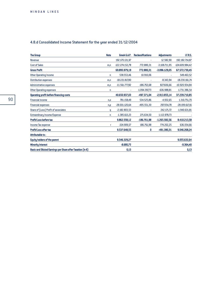# 4.8.d Consolidated Income Statement for the year ended 31/12/2004

| <b>The Group</b>                                                     | <b>Note</b> | Greek G.A.P.     | <b>Reclassifications</b> | <b>Adjustments</b> | I.F.R.S.        |
|----------------------------------------------------------------------|-------------|------------------|--------------------------|--------------------|-----------------|
| Revenue                                                              |             | 192.170.131,97   |                          | 12.582,90          | 192.182.714,87  |
| <b>Cost of Sales</b>                                                 | m,n         | -122.274.152,78  | 772.880,31               | $-3.108.711,95$    | -124.609.984,42 |
| <b>Gross Profit</b>                                                  |             | 69.895.979,19    | 772.880,31               | $-3.096.129,05$    | 67.572.730,45   |
| <b>Other Operating Income</b>                                        | n           | 538.553,46       | 10.910,06                |                    | 549.463,52      |
| <b>Distribution expenses</b>                                         | m,n         | -18.221.817,80   |                          | $-8.343,94$        | -18.230.161,74  |
| <b>Administrative expenses</b>                                       | m,n         | -11.561.777,82   | -186.763,68              | 827.606,66         | -10.920.934,84  |
| <b>Other Operating expenses</b>                                      | n           |                  | $-1.094.397.73$          | $-636.988,81$      | $-1.731.386,54$ |
| <b>Operating profit before financing costs</b>                       |             | 40.650.937,03    | -497.371,04              | $-2.913.855,14$    | 37.239.710,85   |
| <b>Financial income</b>                                              | n, o        | 781.158,49       | 534.525,86               | $-4.932,65$        | 1.310.751,70    |
| <b>Financial expenses</b>                                            | n, p        | $-28.001.120,64$ | $-495.551,30$            | 297.054,78         | -28.199.617,16  |
| Share of (Loss) Profit of associates                                 | q           | $-2.182.803,53$  |                          | 242.171,72         | $-1.940.631,81$ |
| Extraordinary Income/Expense                                         | n           | $-1.385.613,23$  | 271.634,50               | 1.113.978,73       |                 |
| Profit/Loss before tax                                               |             | 9.862.558,12     | $-186.761,98$            | $-1.265.582,56$    | 8.410.213,58    |
| Income Tax expense                                                   | r           | $-324.909,57$    | 186.761,98               | 774.202,25         | 636.054,66      |
| <b>Profit/Loss after tax</b>                                         |             | 9.537.648,55     | 0                        | $-491.380,31$      | 9.046.268,24    |
| Attributable to:                                                     |             |                  |                          |                    |                 |
| <b>Equity holders of the parent</b>                                  |             | 9.546.329,27     |                          |                    | 9.055.632,64    |
| <b>Minority Interest</b>                                             |             | $-8.680,72$      |                          |                    | $-9.364,40$     |
| Basic and Diluted Earnings per Share after Taxation (in $\epsilon$ ) |             | 0,13             |                          |                    | 0,13            |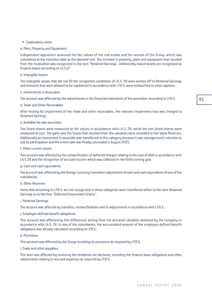91

#### • Explanatory notes

### a. Plant, Property and Equipment

Independent appraisers assessed the fair values of the real estate and the vessels of the Group, which was considered at the transition date as the deemed cost. The increase in property, plant and equipment that resulted from the revaluation was recognized in the item "Retained Earnings". Additionally leased assets are recognized as finance leases according to I.A.S.17.

#### b. Intangible Assets

The intangible assets that did not fill the recognition conditions of I.A.S. 38 were written off to Retained Earnings and amounts that were allowed to be capitalized in accordance with I.F.R.S. were reclassified to other captions.

#### c. Investments in Associates

The account was affected by the adjustments in the financial statements of the associates according to I.F.R.S..

#### d. Trade and Other Receivables

After testing for impairment of the trade and other receivables, the relevant impairment loss was charged to Retained Earnings.

#### e. Available for sale securities

The listed shares were measured at fair values in accordance with I.A.S. 39, while the non listed shares were measured at cost. The gains and the losses that resulted from the valuation were recorded to Fair Value Reserves. Additionally an investment in associate was transferred to this category because it was management's intention to sell its participation and the entire sale was finally concluded in August 2005.

#### f. Other current assets

This account was affected by the reclassification of deferred charges relating to the cost of debt in accordance with I.A.S.39 and the recognition of accrued income which was collected in the forth-coming year.

#### g. Cash and cash equivalents

The account was affected by the foreign currency translation adjustment of cash and cash equivalents of one of the subsidiaries.

#### h. Other Reserves

Items that according to I.F.R.S. are not recognized in these categories were transferred either to the item Retained Earnings or to the item "Deferred Government Grants".

#### i. Retained Earnings

The account was affected by transfers, reclassifications and re-adjustments in accordance with I.F.R.S..

### j. Employee defined benefit obligations

This account was affected by the differences arising from the actuarial valuation obtained by the Company in accordance with I.A.S. 19. In one of the subsidiaries, the accumulated amount of the employee defined benefit obligations was already calculated according to I.F.R.S..

## k. Provisions

This account was affected by the Group recording its provisions as required by I.F.R.S..

### l. Trade and other payables

This item was affected by reversing the dividends not declared, recording the finance lease obligations and other adjustments relating to accrued expenses as required by I.F.R.S..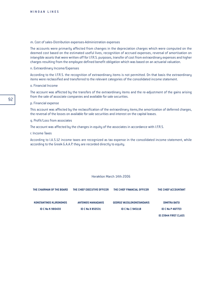#### m. Cost of sales-Distribution expenses-Administration expenses

The accounts were primarily affected from changes in the depreciation charges which were computed on the deemed cost based on the estimated useful lives, recognition of accrued expenses, reversal of amortisation on intangible assets that were written off for I.F.R.S. purposes, transfer of cost from extraordinary expenses and higher charges resulting from the employee defined benefit obligation which was based on an actuarial valuation.

#### n. Extraordinary Income/Expenses

According to the I.F.R.S. the recognition of extraordinary items is not permitted. On that basis the extraordinary items were reclassified and transferred to the relevant categories of the consolidated income statement.

#### o. Financial Income

The account was affected by the transfers of the extraordinary items and the re-adjustment of the gains arising from the sale of associate companies and available for sale securities.

#### p. Financial expense

This account was affected by the reclassification of the extraordinary items,the amortization of deferred charges, the reversal of the losses on available for sale securities and interest on the capital leases.

#### q. Profit/Loss from associates

The account was affected by the changes in equity of the associates in accordance with I.F.R.S.

#### r. Income Taxes

According to I.A.S.12 income taxes are recognized as tax expense in the consolidated income statement, while according to the Greek G.A.A.P. they are recorded directly to equity.

#### Heraklion March 14th 2006

| THE CHAIRMAN OF THE BOARD      | THE CHIEF EXECUTIVE OFFICER | THE CHIEF FINANCIAL OFFICER       | THE CHIEF ACCOUNTANT        |
|--------------------------------|-----------------------------|-----------------------------------|-----------------------------|
| <b>KONSTANTINOS KLIRONOMOS</b> | ANTONIOS MANIADAKIS         | <b>GEORGE VASSILOKONSTANDAKIS</b> | <b>DIMITRA BATSI</b>        |
| <b>ID C No K 980430</b>        | <b>ID C No X 850531</b>     | ID C No $\equiv$ 945118           | <b>ID C No P 487723</b>     |
|                                |                             |                                   | <b>ID 23944 FIRST CLASS</b> |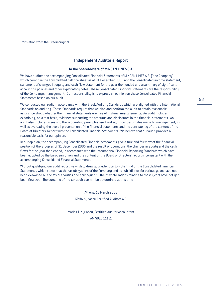Translation from the Greek original

# **Independent Auditor's Report**

#### **To the Shareholders of MINOAN LINES S.A.**

We have audited the accompanying Consolidated Financial Statements of MINOAN LINES A.E. ("the Company") which comprise the Consolidated balance sheet as at 31 December 2005 and the Consolidated income statement, statement of changes in equity and cash flow statement for the year then ended and a summary of significant accounting policies and other explanatory notes. These Consolidated Financial Statements are the responsibility of the Company's management. Our responsibility is to express an opinion on these Consolidated Financial Statements based on our audit.

We conducted our audit in accordance with the Greek Auditing Standards which are aligned with the International Standards on Auditing. These Standards require that we plan and perform the audit to obtain reasonable assurance about whether the financial statements are free of material misstatements. An audit includes examining, on a test basis, evidence supporting the amounts and disclosures in the financial statements. An audit also includes assessing the accounting principles used and significant estimates made by management, as well as evaluating the overall presentation of the financial statements and the consistency of the content of the Board of Directors' Report with the Consolidated Financial Statements. We believe that our audit provides a reasonable basis for our opinion.

In our opinion, the accompanying Consolidated Financial Statements give a true and fair view of the financial position of the Group as of 31 December 2005 and the result of operations, the changes in equity and the cash flows for the year then ended, in accordance with the International Financial Reporting Standards which have been adopted by the European Union and the content of the Board of Directors' report is consistent with the accompanying Consolidated Financial Statements.

Without qualifying our audit report we wish to draw your attention to Note 4.7 d of the Consolidated Financial Statements, which states that the tax obligations of the Company and its subsidiaries for various years have not been examined by the tax authorities and consequently their tax obligations relating to these years have not yet been finalized. The outcome of the tax audit can not be determined at this time

> Athens, 16 March 2006 KPMG Kyriacou Certified Auditors A.E.

Marios T. Kyriacou, Certified Auditor Accountant AM SOEL 11121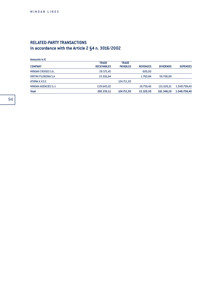# **RELATED-PARTY TRANSACTIONS** In accordance with the Article 2 §4 n. 3016/2002

| Amounts in $E$                |                    |                 |                 |                  |                 |
|-------------------------------|--------------------|-----------------|-----------------|------------------|-----------------|
|                               | <b>TRADE</b>       | <b>TRADE</b>    |                 |                  |                 |
| <b>COMPANY</b>                | <b>RECEIVABLES</b> | <b>PAYABLES</b> | <b>REVENUES</b> | <b>DIVIDENDS</b> | <b>EXPENSES</b> |
| <b>MINOAN CRUISES S.A</b>     | 29.571,45          |                 | 600,00          |                  |                 |
| <b>KRITIKI FILOXENIA S.A.</b> | 33.016,64          |                 | 1.760,84        | 59.708.99        |                 |
| ATHINA A.V.E.E.               |                    | 124.711,93      |                 |                  |                 |
| <b>MINOAN AGENCIES S.r.I.</b> | 229.645,02         |                 | 19.759,46       | 131.639,21       | 1.048.708,40    |
| <b>Total</b>                  | 292.233.11         | 124.711.93      | 22.120,30       | 191.348,20       | 1.048.708,40    |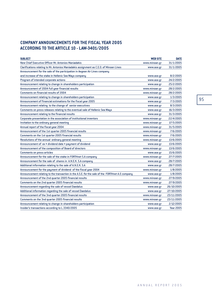# **COMPANY ANNOUNCEMENTS FOR THE FISCAL YEAR 2005 ACCORDING TO THE ARTICLE 10 - LAW-3401/2005**

| <b>SUBJECT</b>                                                                                  | <b>WEB SITE</b> | <b>DATE</b>      |
|-------------------------------------------------------------------------------------------------|-----------------|------------------|
| New Chief Executive Officer Mr. Antonios Maniadakis                                             | www.minoan.gr   | 31/1/2005        |
| Clarifications relating to Mr. Antonios Maniadakis assignment as C.E.O. of Minoan Lines         | www.ase.gr      | 31/1/2005        |
| Announcement for the sale of the participation in Aegean Air Lines company                      |                 |                  |
| and increase of the stake in Hellenic Sea Ways company                                          | www.ase.gr      | 8/2/2005         |
| Program of intended corporate actions                                                           | www.ase.gr      | 24/2/2005        |
| Announcement relating to change in shareholders participation                                   | www.ase.gr      | 25/2/2005        |
| Announcement of 2004 full year financial results                                                | www.minoan.gr   | 28/2/2005        |
| <b>Comments on financial results of 2004</b>                                                    | www.minoan.gr   | 28/2/2005        |
| Announcement relating to change in shareholders participation                                   | www.ase.gr      | 1/3/2005         |
| Announcement of financial estimations for the fiscal year 2005                                  | www.ase.gr      | 7/3/2005         |
| Announcement relating to the change of senior executives                                        | www.ase.gr      | 8/3/2005         |
| Comments on press releases relating to the eventual sale of Hellenic Sea Ways                   | www.ase.gr      | 16/3/2005        |
| Announcement relating to the financial results                                                  | www.ase.gr      | 31/3/2005        |
| Corporate presentation in the association of institutional inventors                            | www.minoan.gr   | 22/4/2005        |
| Invitation to the ordinary general meeting                                                      | www.minoan.gr   | 17/5/2005        |
| Annual report of the fiscal year 2004                                                           | www.minoan.gr   | 31/5/2005        |
| Announcement of the 1st quarter 2005 financial results                                          | www.minoan.gr   | 7/6/2005         |
| Comments on the 1st quarter 2005 financial results                                              | www.minoan.gr   | 7/6/2005         |
| Resolutions of the annual ordinary general meeting                                              | www.minoan.gr   | 13/6/2005        |
| Announcement of ex • dividend date • payment of dividend                                        | www.ase.gr      | 13/6/2005        |
| Announcement of the composition of Board of directors                                           | www.minoan.gr   | 13/6/2005        |
| <b>Comments on press articles</b>                                                               | www.ase.gr      | 15/6/2005        |
| Announcement for the sale of the stake in FORTHnet S.A company                                  | www.minoan.gr   | 27/7/2005        |
| Announcement for the sale of shares in A.N.E.K. S.A company                                     | www.ase.gr      | 28/7/2005        |
| Additional information relating to the sale of A.N.E.K. S.A                                     | www.ase.gr      | 28/7/2005        |
| Announcement for the payment of dividend of the fiscal year 2004                                | www.minoan.gr   | 1/8/2005         |
| Announcement relating to the transaction in the A.S.E. for the sale of the FORTHnet A.E company | www.ase.gr      | 1/8/2005         |
| Announcement of the 2nd quarter 2005 financial results                                          | www.minoan.gr   | 27/9/2005        |
| Comments on the 2nd quarter 2005 financial results                                              | www.minoan.gr   | 27/9/2005        |
| Announcement regarding the sale of vessel Daedalus                                              | www.ase.gr      | 26/10/2005       |
| Additional information regarding the sale of vessel Daedalus                                    | www.ase.gr      | 27/10/2005       |
| Announcement of the 3nd quarter 2005 financial results                                          | www.minoan.gr   | 23/11/2005       |
| Comments on the 3nd quarter 2005 financial results                                              | www.minoan.gr   | 23/11/2005       |
| Announcement relating to change in shareholders participation                                   | www.ase.gr      | 2/12/2005        |
| Insider's transactions according to L.3340/2005                                                 | www.ase.gr      | <b>Year 2005</b> |